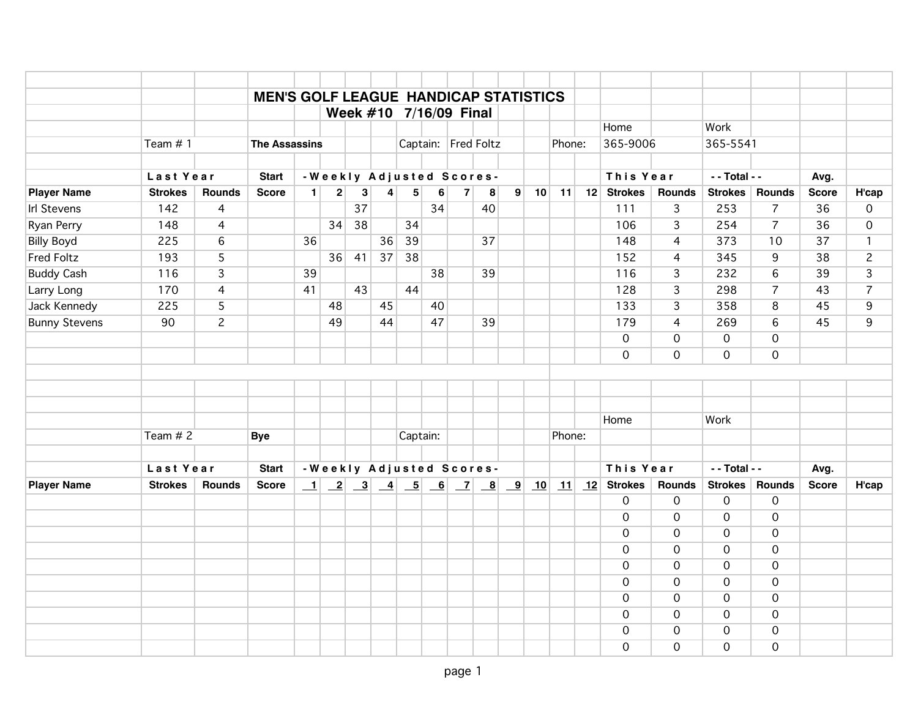|                      |                |                | <b>MEN'S GOLF LEAGUE HANDICAP STATISTICS</b> |                |                         |                        |                |          |    |                |                          |                         |    |                                       |              |                |                 |                |              |                |
|----------------------|----------------|----------------|----------------------------------------------|----------------|-------------------------|------------------------|----------------|----------|----|----------------|--------------------------|-------------------------|----|---------------------------------------|--------------|----------------|-----------------|----------------|--------------|----------------|
|                      |                |                |                                              |                |                         | Week #10 7/16/09 Final |                |          |    |                |                          |                         |    |                                       |              |                |                 |                |              |                |
|                      |                |                |                                              |                |                         |                        |                |          |    |                |                          |                         |    |                                       | Home         |                | Work            |                |              |                |
|                      | Team $# 1$     |                | <b>The Assassins</b>                         |                |                         |                        |                |          |    |                | Captain: Fred Foltz      |                         |    | Phone:                                | 365-9006     |                | 365-5541        |                |              |                |
|                      | Last Year      |                | <b>Start</b>                                 |                |                         |                        |                |          |    |                | -Weekly Adjusted Scores- |                         |    |                                       | This Year    |                | $-$ - Total - - |                | Avg.         |                |
| <b>Player Name</b>   | <b>Strokes</b> | <b>Rounds</b>  | <b>Score</b>                                 | 1 <sup>1</sup> | $\overline{\mathbf{c}}$ | 3                      | $\overline{4}$ | 5        | 6  | 7 <sup>1</sup> | 8                        | $\mathbf{9}$            | 10 | 11                                    | 12 Strokes   | <b>Rounds</b>  | <b>Strokes</b>  | Rounds         | <b>Score</b> | H'cap          |
| <b>Irl Stevens</b>   | 142            | 4              |                                              |                |                         | $\overline{37}$        |                |          | 34 |                | 40                       |                         |    |                                       | 111          | $\overline{3}$ | 253             | $\overline{7}$ | 36           | $\mathbf 0$    |
| Ryan Perry           | 148            | 4              |                                              |                | 34                      | 38                     |                | 34       |    |                |                          |                         |    |                                       | 106          | 3              | 254             | $\overline{7}$ | 36           | $\mathbf 0$    |
| <b>Billy Boyd</b>    | 225            | 6              |                                              | 36             |                         |                        | 36             | 39       |    |                | 37                       |                         |    |                                       | 148          | $\overline{4}$ | 373             | 10             | 37           | $\mathbf{1}$   |
| <b>Fred Foltz</b>    | 193            | 5              |                                              |                |                         | 36   41                | 37             | 38       |    |                |                          |                         |    |                                       | 152          | $\overline{4}$ | 345             | 9              | 38           | $\overline{c}$ |
| <b>Buddy Cash</b>    | 116            | 3              |                                              | 39             |                         |                        |                |          | 38 |                | 39                       |                         |    |                                       | 116          | 3              | 232             | 6              | 39           | 3              |
| Larry Long           | 170            | 4              |                                              | 41             |                         | 43                     |                | 44       |    |                |                          |                         |    |                                       | 128          | $\overline{3}$ | 298             | $\overline{7}$ | 43           | $\overline{7}$ |
| Jack Kennedy         | 225            | 5              |                                              |                | 48                      |                        | 45             |          | 40 |                |                          |                         |    |                                       | 133          | $\overline{3}$ | 358             | 8              | 45           | 9              |
| <b>Bunny Stevens</b> | 90             | $\overline{c}$ |                                              |                | 49                      |                        | 44             |          | 47 |                | 39                       |                         |    |                                       | 179          | $\overline{4}$ | 269             | 6              | 45           | 9              |
|                      |                |                |                                              |                |                         |                        |                |          |    |                |                          |                         |    |                                       | $\mathbf 0$  | $\mathbf 0$    | $\mathbf 0$     | $\mathbf 0$    |              |                |
|                      |                |                |                                              |                |                         |                        |                |          |    |                |                          |                         |    |                                       | $\mathbf 0$  | $\overline{0}$ | $\mathbf 0$     | $\mathbf 0$    |              |                |
|                      |                |                |                                              |                |                         |                        |                |          |    |                |                          |                         |    |                                       |              |                |                 |                |              |                |
|                      |                |                |                                              |                |                         |                        |                |          |    |                |                          |                         |    |                                       |              |                |                 |                |              |                |
|                      |                |                |                                              |                |                         |                        |                |          |    |                |                          |                         |    |                                       |              |                |                 |                |              |                |
|                      |                |                |                                              |                |                         |                        |                |          |    |                |                          |                         |    |                                       | Home         |                | Work            |                |              |                |
|                      | Team $# 2$     |                | <b>Bye</b>                                   |                |                         |                        |                | Captain: |    |                |                          |                         |    | Phone:                                |              |                |                 |                |              |                |
|                      |                |                |                                              |                |                         |                        |                |          |    |                |                          |                         |    |                                       |              |                |                 |                |              |                |
|                      | Last Year      |                | <b>Start</b>                                 |                |                         |                        |                |          |    |                | -Weekly Adjusted Scores- |                         |    |                                       | This Year    |                | - - Total - -   |                | Avg.         |                |
| <b>Player Name</b>   | <b>Strokes</b> | <b>Rounds</b>  | <b>Score</b>                                 |                |                         |                        |                |          |    |                |                          | $\overline{\mathbf{9}}$ | 10 | $\vert \underline{\mathbf{11}} \vert$ | $12$ Strokes | <b>Rounds</b>  | <b>Strokes</b>  | Rounds         | <b>Score</b> | H'cap          |
|                      |                |                |                                              |                |                         |                        |                |          |    |                |                          |                         |    |                                       | $\mathbf 0$  | $\overline{0}$ | $\mathbf 0$     | $\mathbf 0$    |              |                |
|                      |                |                |                                              |                |                         |                        |                |          |    |                |                          |                         |    |                                       | $\mathbf 0$  | 0              | $\mathbf 0$     | $\overline{0}$ |              |                |
|                      |                |                |                                              |                |                         |                        |                |          |    |                |                          |                         |    |                                       | $\mathbf 0$  | $\mathbf 0$    | $\mathbf 0$     | $\mathbf 0$    |              |                |
|                      |                |                |                                              |                |                         |                        |                |          |    |                |                          |                         |    |                                       | $\mathbf 0$  | $\mathbf 0$    | $\mathbf 0$     | $\mathbf 0$    |              |                |
|                      |                |                |                                              |                |                         |                        |                |          |    |                |                          |                         |    |                                       | $\Omega$     | $\mathbf 0$    | $\mathbf 0$     | $\mathbf 0$    |              |                |
|                      |                |                |                                              |                |                         |                        |                |          |    |                |                          |                         |    |                                       | $\Omega$     | $\mathbf 0$    | $\mathbf 0$     | $\mathbf 0$    |              |                |
|                      |                |                |                                              |                |                         |                        |                |          |    |                |                          |                         |    |                                       | $\Omega$     | $\mathbf 0$    | $\mathbf 0$     | $\Omega$       |              |                |
|                      |                |                |                                              |                |                         |                        |                |          |    |                |                          |                         |    |                                       | $\Omega$     | 0              | $\mathbf 0$     | $\mathbf 0$    |              |                |
|                      |                |                |                                              |                |                         |                        |                |          |    |                |                          |                         |    |                                       | $\Omega$     | $\mathbf 0$    | $\mathbf 0$     | $\mathbf 0$    |              |                |
|                      |                |                |                                              |                |                         |                        |                |          |    |                |                          |                         |    |                                       | $\Omega$     | $\mathbf 0$    | 0               | $\mathbf 0$    |              |                |
|                      |                |                |                                              |                |                         |                        |                |          |    |                |                          |                         |    |                                       |              |                |                 |                |              |                |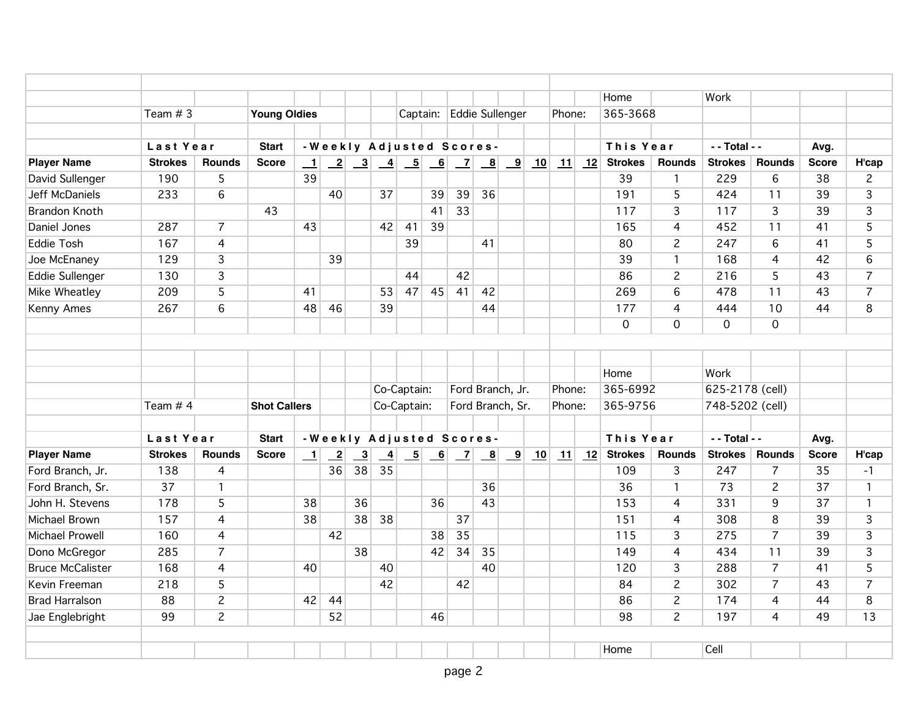|                         |                |                 |                     |                          |                |                         |                |             |    |                          |                                    |                                                                     |    |            |    | Home           |                | Work            |                |              |                |
|-------------------------|----------------|-----------------|---------------------|--------------------------|----------------|-------------------------|----------------|-------------|----|--------------------------|------------------------------------|---------------------------------------------------------------------|----|------------|----|----------------|----------------|-----------------|----------------|--------------|----------------|
|                         | Team $# 3$     |                 | <b>Young Oldies</b> |                          |                |                         |                |             |    |                          |                                    | Captain: Eddie Sullenger                                            |    | Phone:     |    | 365-3668       |                |                 |                |              |                |
|                         |                |                 |                     |                          |                |                         |                |             |    |                          |                                    |                                                                     |    |            |    |                |                |                 |                |              |                |
|                         | Last Year      |                 | <b>Start</b>        |                          |                |                         |                |             |    | -Weekly Adjusted Scores- |                                    |                                                                     |    |            |    | This Year      |                | - - Total - -   |                | Avg.         |                |
| <b>Player Name</b>      | <b>Strokes</b> | <b>Rounds</b>   | <b>Score</b>        | $\perp$                  |                |                         |                |             |    |                          |                                    | $\begin{array}{ c c c c c } \hline 7 & 8 & 9 \\ \hline \end{array}$ | 10 | $\vert$ 11 |    | 12 Strokes     | <b>Rounds</b>  | <b>Strokes</b>  | <b>Rounds</b>  | <b>Score</b> | H'cap          |
| David Sullenger         | 190            | 5               |                     | 39                       |                |                         |                |             |    |                          |                                    |                                                                     |    |            |    | 39             | 1              | 229             | 6              | 38           | $\overline{2}$ |
| Jeff McDaniels          | 233            | $6\phantom{1}6$ |                     |                          | 40             |                         | 37             |             | 39 | 39                       | 36                                 |                                                                     |    |            |    | 191            | 5              | 424             | 11             | 39           | $\overline{3}$ |
| <b>Brandon Knoth</b>    |                |                 | 43                  |                          |                |                         |                |             | 41 | 33                       |                                    |                                                                     |    |            |    | 117            | 3              | 117             | 3              | 39           | 3              |
| Daniel Jones            | 287            | $\overline{7}$  |                     | 43                       |                |                         | 42             | 41          | 39 |                          |                                    |                                                                     |    |            |    | 165            | 4              | 452             | 11             | 41           | 5              |
| <b>Eddie Tosh</b>       | 167            | $\overline{4}$  |                     |                          |                |                         |                | 39          |    |                          | 41                                 |                                                                     |    |            |    | 80             | $\overline{c}$ | 247             | 6              | 41           | 5              |
| Joe McEnaney            | 129            | $\overline{3}$  |                     |                          | 39             |                         |                |             |    |                          |                                    |                                                                     |    |            |    | 39             | $\mathbf{1}$   | 168             | 4              | 42           | 6              |
| Eddie Sullenger         | 130            | 3               |                     |                          |                |                         |                | 44          |    | 42                       |                                    |                                                                     |    |            |    | 86             | $\overline{c}$ | 216             | 5              | 43           | $\overline{7}$ |
| <b>Mike Wheatley</b>    | 209            | $\overline{5}$  |                     | 41                       |                |                         | 53             | 47          | 45 | 41                       | 42                                 |                                                                     |    |            |    | 269            | 6              | 478             | 11             | 43           | $\overline{7}$ |
| Kenny Ames              | 267            | 6               |                     | 48                       | 46             |                         | 39             |             |    |                          | 44                                 |                                                                     |    |            |    | 177            | 4              | 444             | 10             | 44           | 8              |
|                         |                |                 |                     |                          |                |                         |                |             |    |                          |                                    |                                                                     |    |            |    | $\mathbf 0$    | 0              | $\mathbf 0$     | $\mathbf 0$    |              |                |
|                         |                |                 |                     |                          |                |                         |                |             |    |                          |                                    |                                                                     |    |            |    |                |                |                 |                |              |                |
|                         |                |                 |                     |                          |                |                         |                |             |    |                          |                                    |                                                                     |    |            |    |                |                |                 |                |              |                |
|                         |                |                 |                     |                          |                |                         |                |             |    |                          |                                    |                                                                     |    |            |    | Home           |                | Work            |                |              |                |
|                         |                |                 |                     |                          |                |                         |                | Co-Captain: |    |                          |                                    | Ford Branch, Jr.                                                    |    | Phone:     |    | 365-6992       |                | 625-2178 (cell) |                |              |                |
|                         | Team $# 4$     |                 | <b>Shot Callers</b> |                          |                |                         |                | Co-Captain: |    |                          |                                    | Ford Branch, Sr.                                                    |    | Phone:     |    | 365-9756       |                | 748-5202 (cell) |                |              |                |
|                         |                |                 |                     |                          |                |                         |                |             |    |                          |                                    |                                                                     |    |            |    |                |                |                 |                |              |                |
|                         | Last Year      |                 | <b>Start</b>        |                          |                |                         |                |             |    |                          | -Weekly Adjusted Scores-           |                                                                     |    |            |    | This Year      |                | - - Total - -   |                | Avg.         |                |
| <b>Player Name</b>      | <b>Strokes</b> | <b>Rounds</b>   | <b>Score</b>        | $\mathbf{\underline{1}}$ | $\overline{2}$ | $\overline{\mathbf{3}}$ | $\overline{4}$ | $-5$        | 6  | $\mathbf{Z}$             | $\begin{array}{c c} 8 \end{array}$ | $\overline{9}$                                                      | 10 | 11         | 12 | <b>Strokes</b> | Rounds         | <b>Strokes</b>  | <b>Rounds</b>  | <b>Score</b> | H'cap          |
| Ford Branch, Jr.        | 138            | $\overline{4}$  |                     |                          | 36             | 38                      | 35             |             |    |                          |                                    |                                                                     |    |            |    | 109            | 3              | 247             | $\overline{7}$ | 35           | $-1$           |
| Ford Branch, Sr.        | 37             | $\mathbf{1}$    |                     |                          |                |                         |                |             |    |                          | 36                                 |                                                                     |    |            |    | 36             | $\mathbf{1}$   | 73              | $\overline{2}$ | 37           | $\mathbf{1}$   |
| John H. Stevens         | 178            | 5               |                     | 38                       |                | 36                      |                |             | 36 |                          | 43                                 |                                                                     |    |            |    | 153            | 4              | 331             | 9              | 37           | $\mathbf{1}$   |
| Michael Brown           | 157            | $\overline{4}$  |                     | 38                       |                | 38                      | 38             |             |    | 37                       |                                    |                                                                     |    |            |    | 151            | 4              | 308             | 8              | 39           | 3              |
| <b>Michael Prowell</b>  | 160            | 4               |                     |                          | 42             |                         |                |             | 38 | 35                       |                                    |                                                                     |    |            |    | 115            | 3              | 275             | $\overline{7}$ | 39           | 3              |
| Dono McGregor           | 285            | $\overline{7}$  |                     |                          |                | 38                      |                |             | 42 | 34                       | 35                                 |                                                                     |    |            |    | 149            | 4              | 434             | 11             | 39           | 3              |
| <b>Bruce McCalister</b> | 168            | 4               |                     | 40                       |                |                         | 40             |             |    |                          | 40                                 |                                                                     |    |            |    | 120            | 3              | 288             | $\overline{7}$ | 41           | 5              |
| Kevin Freeman           | 218            | 5               |                     |                          |                |                         | 42             |             |    | 42                       |                                    |                                                                     |    |            |    | 84             | $\overline{c}$ | 302             | $\overline{7}$ | 43           | $\overline{7}$ |
| <b>Brad Harralson</b>   | 88             | $\overline{c}$  |                     | 42                       | 44             |                         |                |             |    |                          |                                    |                                                                     |    |            |    | 86             | $\overline{c}$ | 174             | 4              | 44           | 8              |
| Jae Englebright         | 99             | $\overline{c}$  |                     |                          | 52             |                         |                |             | 46 |                          |                                    |                                                                     |    |            |    | 98             | $\overline{c}$ | 197             | 4              | 49           | 13             |
|                         |                |                 |                     |                          |                |                         |                |             |    |                          |                                    |                                                                     |    |            |    |                |                |                 |                |              |                |
|                         |                |                 |                     |                          |                |                         |                |             |    |                          |                                    |                                                                     |    |            |    | Home           |                | Cell            |                |              |                |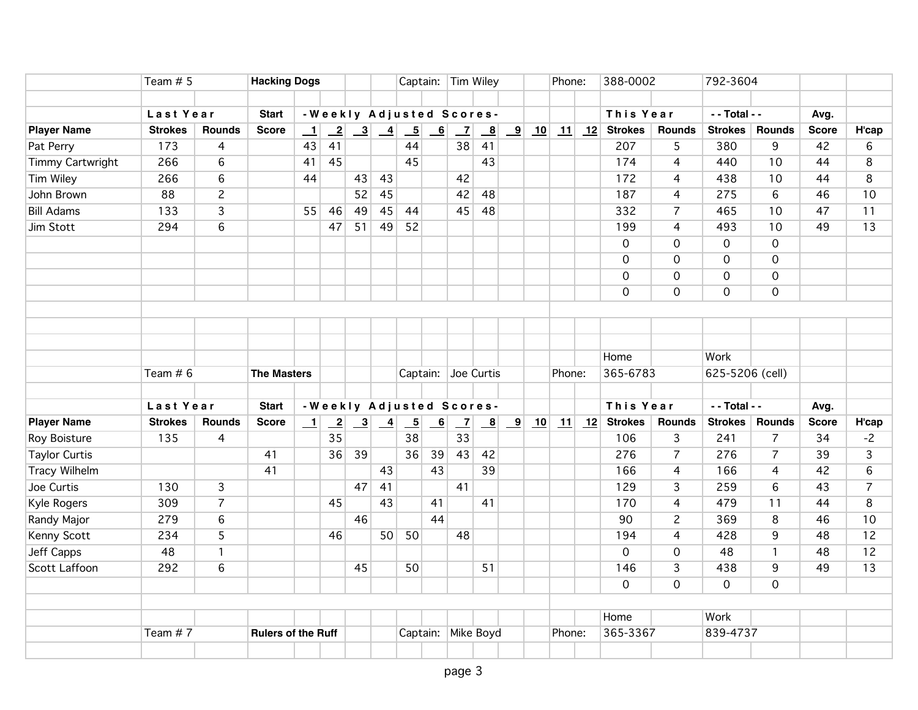|                         | Team $# 5$     |                | <b>Hacking Dogs</b>       |                          |                            |    |                                                             |                          |                | Captain: Tim Wiley       |                         |                         |    | Phone:                    |    | 388-0002                          |                | 792-3604        |                     |              |                 |
|-------------------------|----------------|----------------|---------------------------|--------------------------|----------------------------|----|-------------------------------------------------------------|--------------------------|----------------|--------------------------|-------------------------|-------------------------|----|---------------------------|----|-----------------------------------|----------------|-----------------|---------------------|--------------|-----------------|
|                         |                |                |                           |                          |                            |    |                                                             |                          |                |                          |                         |                         |    |                           |    |                                   |                |                 |                     |              |                 |
|                         | Last Year      |                | <b>Start</b>              |                          |                            |    |                                                             |                          |                | -Weekly Adjusted Scores- |                         |                         |    |                           |    | This Year                         |                | - - Total - -   |                     | Avg.         |                 |
| <b>Player Name</b>      | <b>Strokes</b> | <b>Rounds</b>  | <b>Score</b>              | $\overline{\phantom{0}}$ | $\overline{\phantom{0}}^2$ |    | $\begin{array}{ c c c } \hline 3 & 4 \\ \hline \end{array}$ | $\overline{\phantom{0}}$ | $\overline{6}$ | $\overline{z}$           | $\mathbf{B}$            | $\overline{\mathbf{9}}$ | 10 |                           |    | $\boxed{11}$ $\boxed{12}$ Strokes | Rounds         | Strokes         | <b>Rounds</b>       | <b>Score</b> | H'cap           |
| Pat Perry               | 173            | $\overline{4}$ |                           | 43                       | 41                         |    |                                                             | 44                       |                | 38                       | 41                      |                         |    |                           |    | 207                               | 5              | 380             | 9                   | 42           | 6               |
| <b>Timmy Cartwright</b> | 266            | 6              |                           | 41                       | 45                         |    |                                                             | 45                       |                |                          | 43                      |                         |    |                           |    | 174                               | $\overline{4}$ | 440             | 10                  | 44           | 8               |
| <b>Tim Wiley</b>        | 266            | 6              |                           | 44                       |                            | 43 | 43                                                          |                          |                | 42                       |                         |                         |    |                           |    | 172                               | 4              | 438             | 10                  | 44           | 8               |
| John Brown              | 88             | $\overline{c}$ |                           |                          |                            | 52 | 45                                                          |                          |                | 42                       | 48                      |                         |    |                           |    | 187                               | $\overline{4}$ | 275             | $6\overline{6}$     | 46           | 10              |
| <b>Bill Adams</b>       | 133            | $\overline{3}$ |                           | 55                       | 46                         | 49 | 45                                                          | 44                       |                | 45                       | 48                      |                         |    |                           |    | 332                               | $\overline{7}$ | 465             | 10                  | 47           | 11              |
| Jim Stott               | 294            | $\overline{6}$ |                           |                          | 47                         | 51 | 49                                                          | 52                       |                |                          |                         |                         |    |                           |    | 199                               | 4              | 493             | 10                  | 49           | $\overline{13}$ |
|                         |                |                |                           |                          |                            |    |                                                             |                          |                |                          |                         |                         |    |                           |    | $\mathbf 0$                       | $\mathsf{O}$   | $\overline{0}$  | $\overline{O}$      |              |                 |
|                         |                |                |                           |                          |                            |    |                                                             |                          |                |                          |                         |                         |    |                           |    | $\mathbf 0$                       | 0              | 0               | $\mathsf{O}\xspace$ |              |                 |
|                         |                |                |                           |                          |                            |    |                                                             |                          |                |                          |                         |                         |    |                           |    | $\mathbf 0$                       | 0              | $\mathbf 0$     | $\overline{0}$      |              |                 |
|                         |                |                |                           |                          |                            |    |                                                             |                          |                |                          |                         |                         |    |                           |    | $\mathbf 0$                       | $\mathsf{O}$   | $\overline{0}$  | $\overline{0}$      |              |                 |
|                         |                |                |                           |                          |                            |    |                                                             |                          |                |                          |                         |                         |    |                           |    |                                   |                |                 |                     |              |                 |
|                         |                |                |                           |                          |                            |    |                                                             |                          |                |                          |                         |                         |    |                           |    |                                   |                |                 |                     |              |                 |
|                         |                |                |                           |                          |                            |    |                                                             |                          |                |                          |                         |                         |    |                           |    |                                   |                |                 |                     |              |                 |
|                         |                |                |                           |                          |                            |    |                                                             |                          |                |                          |                         |                         |    |                           |    | Home                              |                | Work            |                     |              |                 |
|                         | Team $# 6$     |                | <b>The Masters</b>        |                          |                            |    |                                                             |                          |                | Captain: Joe Curtis      |                         |                         |    | Phone:                    |    | 365-6783                          |                | 625-5206 (cell) |                     |              |                 |
|                         |                |                |                           |                          |                            |    |                                                             |                          |                |                          |                         |                         |    |                           |    |                                   |                |                 |                     |              |                 |
|                         | Last Year      |                | <b>Start</b>              |                          |                            |    |                                                             |                          |                | -Weekly Adjusted Scores- |                         |                         |    |                           |    | This Year                         |                | - - Total - -   |                     | Avg.         |                 |
| <b>Player Name</b>      | <b>Strokes</b> | <b>Rounds</b>  | <b>Score</b>              | $\perp$                  | $\overline{-2}$            |    | $\begin{array}{ c c c }\n\hline\n3 & 4\n\end{array}$        | $\overline{\phantom{0}}$ | 6              | $\overline{z}$           | $\overline{\mathbf{8}}$ | $\overline{\mathbf{9}}$ | 10 | $\mathbf{\underline{11}}$ | 12 | <b>Strokes</b>                    | Rounds         | <b>Strokes</b>  | Rounds              | <b>Score</b> | H'cap           |
| <b>Roy Boisture</b>     | 135            | $\overline{4}$ |                           |                          | $\overline{35}$            |    |                                                             | 38                       |                | $\overline{33}$          |                         |                         |    |                           |    | 106                               | $\overline{3}$ | 241             | $\overline{7}$      | 34           | $-2$            |
| <b>Taylor Curtis</b>    |                |                | 41                        |                          | 36                         | 39 |                                                             | 36                       | 39             | 43                       | 42                      |                         |    |                           |    | 276                               | $\overline{7}$ | 276             | $\overline{7}$      | 39           | 3               |
| <b>Tracy Wilhelm</b>    |                |                | 41                        |                          |                            |    | 43                                                          |                          | 43             |                          | 39                      |                         |    |                           |    | 166                               | $\overline{4}$ | 166             | $\overline{4}$      | 42           | 6               |
| Joe Curtis              | 130            | $\overline{3}$ |                           |                          |                            | 47 | 41                                                          |                          |                | 41                       |                         |                         |    |                           |    | 129                               | 3              | 259             | 6                   | 43           | $\overline{7}$  |
| Kyle Rogers             | 309            | $\overline{7}$ |                           |                          | 45                         |    | 43                                                          |                          | 41             |                          | 41                      |                         |    |                           |    | 170                               | $\overline{4}$ | 479             | 11                  | 44           | 8               |
| Randy Major             | 279            | $6\,$          |                           |                          |                            | 46 |                                                             |                          | 44             |                          |                         |                         |    |                           |    | 90                                | $\overline{c}$ | 369             | 8                   | 46           | 10              |
| Kenny Scott             | 234            | 5              |                           |                          | 46                         |    | 50                                                          | 50                       |                | 48                       |                         |                         |    |                           |    | 194                               | $\overline{4}$ | 428             | 9                   | 48           | 12              |
| Jeff Capps              | 48             | $\mathbf{1}$   |                           |                          |                            |    |                                                             |                          |                |                          |                         |                         |    |                           |    | $\mathbf 0$                       | $\mathsf{O}$   | 48              | $\mathbf{1}$        | 48           | 12              |
| <b>Scott Laffoon</b>    | 292            | 6              |                           |                          |                            | 45 |                                                             | 50                       |                |                          | 51                      |                         |    |                           |    | 146                               | 3              | 438             | 9                   | 49           | 13              |
|                         |                |                |                           |                          |                            |    |                                                             |                          |                |                          |                         |                         |    |                           |    | $\Omega$                          | $\overline{O}$ | $\overline{O}$  | $\Omega$            |              |                 |
|                         |                |                |                           |                          |                            |    |                                                             |                          |                |                          |                         |                         |    |                           |    |                                   |                |                 |                     |              |                 |
|                         |                |                |                           |                          |                            |    |                                                             |                          |                |                          |                         |                         |    |                           |    | Home                              |                | Work            |                     |              |                 |
|                         | Team #7        |                | <b>Rulers of the Ruff</b> |                          |                            |    |                                                             |                          |                | Captain: Mike Boyd       |                         |                         |    | Phone:                    |    | 365-3367                          |                | 839-4737        |                     |              |                 |
|                         |                |                |                           |                          |                            |    |                                                             |                          |                |                          |                         |                         |    |                           |    |                                   |                |                 |                     |              |                 |
|                         |                |                |                           |                          |                            |    |                                                             |                          |                |                          |                         |                         |    |                           |    |                                   |                |                 |                     |              |                 |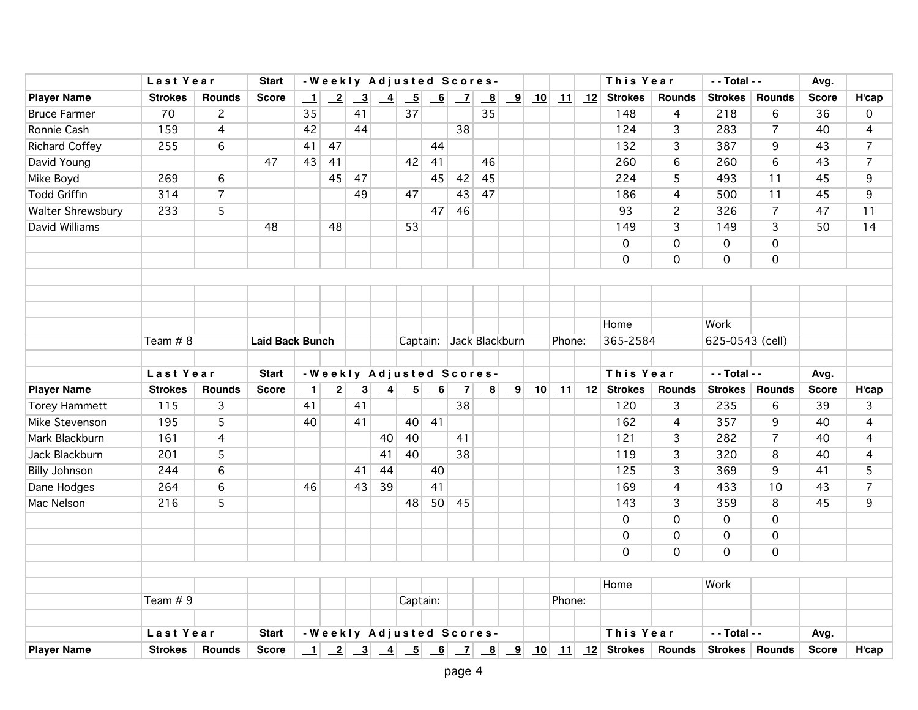|                       | Last Year      |                | <b>Start</b>           |         |              |                                                 |               |          |                          | -Weekly Adjusted Scores-                                                               |              |                         |    |        |    | This Year                         |                | - - Total - -       |                | Avg.         |                |
|-----------------------|----------------|----------------|------------------------|---------|--------------|-------------------------------------------------|---------------|----------|--------------------------|----------------------------------------------------------------------------------------|--------------|-------------------------|----|--------|----|-----------------------------------|----------------|---------------------|----------------|--------------|----------------|
| <b>Player Name</b>    | <b>Strokes</b> | <b>Rounds</b>  | <b>Score</b>           | $\perp$ | $\mathbf{2}$ | $\frac{3}{2}$                                   | $\frac{4}{1}$ | $-5$     | $\overline{\phantom{0}}$ | $\overline{\phantom{0}}$                                                               | $\mathbf{B}$ | $\overline{\mathbf{9}}$ | 10 | 11     | 12 | <b>Strokes</b>                    | <b>Rounds</b>  | <b>Strokes</b>      | Rounds         | <b>Score</b> | H'cap          |
| <b>Bruce Farmer</b>   | 70             | $\overline{2}$ |                        | 35      |              | 41                                              |               | 37       |                          |                                                                                        | 35           |                         |    |        |    | 148                               | 4              | 218                 | 6              | 36           | 0              |
| Ronnie Cash           | 159            | $\overline{4}$ |                        | 42      |              | 44                                              |               |          |                          | 38                                                                                     |              |                         |    |        |    | 124                               | 3              | 283                 | $\overline{7}$ | 40           | $\overline{4}$ |
| <b>Richard Coffey</b> | 255            | 6              |                        | 41      | 47           |                                                 |               |          | 44                       |                                                                                        |              |                         |    |        |    | 132                               | $\overline{3}$ | 387                 | 9              | 43           | $\overline{7}$ |
| David Young           |                |                | 47                     | 43      | 41           |                                                 |               | 42       | 41                       |                                                                                        | 46           |                         |    |        |    | 260                               | 6              | 260                 | 6              | 43           | $\overline{7}$ |
| Mike Boyd             | 269            | 6              |                        |         | 45           | 47                                              |               |          | 45                       | 42                                                                                     | 45           |                         |    |        |    | 224                               | 5              | 493                 | 11             | 45           | 9              |
| <b>Todd Griffin</b>   | 314            | $\overline{7}$ |                        |         |              | 49                                              |               | 47       |                          | 43                                                                                     | 47           |                         |    |        |    | 186                               | $\overline{4}$ | 500                 | 11             | 45           | 9              |
| Walter Shrewsbury     | 233            | 5              |                        |         |              |                                                 |               |          | 47                       | 46                                                                                     |              |                         |    |        |    | 93                                | $\overline{c}$ | 326                 | $\overline{7}$ | 47           | 11             |
| David Williams        |                |                | 48                     |         | 48           |                                                 |               | 53       |                          |                                                                                        |              |                         |    |        |    | 149                               | 3              | 149                 | 3              | 50           | 14             |
|                       |                |                |                        |         |              |                                                 |               |          |                          |                                                                                        |              |                         |    |        |    | 0                                 | $\overline{0}$ | $\overline{0}$      | $\overline{0}$ |              |                |
|                       |                |                |                        |         |              |                                                 |               |          |                          |                                                                                        |              |                         |    |        |    | $\mathbf 0$                       | 0              | $\mathbf 0$         | $\mathbf 0$    |              |                |
|                       |                |                |                        |         |              |                                                 |               |          |                          |                                                                                        |              |                         |    |        |    |                                   |                |                     |                |              |                |
|                       |                |                |                        |         |              |                                                 |               |          |                          |                                                                                        |              |                         |    |        |    |                                   |                |                     |                |              |                |
|                       |                |                |                        |         |              |                                                 |               |          |                          |                                                                                        |              |                         |    |        |    |                                   |                |                     |                |              |                |
|                       |                |                |                        |         |              |                                                 |               |          |                          |                                                                                        |              |                         |    |        |    | Home                              |                | Work                |                |              |                |
|                       | Team # 8       |                | <b>Laid Back Bunch</b> |         |              |                                                 |               |          |                          | Captain: Jack Blackburn                                                                |              |                         |    | Phone: |    | 365-2584                          |                | 625-0543 (cell)     |                |              |                |
|                       |                |                |                        |         |              |                                                 |               |          |                          |                                                                                        |              |                         |    |        |    |                                   |                |                     |                |              |                |
|                       | Last Year      |                | <b>Start</b>           |         |              |                                                 |               |          |                          | -Weekly Adjusted Scores-                                                               |              |                         |    |        |    | This Year                         |                | - - Total - -       |                | Avg.         |                |
| <b>Player Name</b>    | <b>Strokes</b> | <b>Rounds</b>  | <b>Score</b>           | $\perp$ |              | $\begin{array}{ c c } \hline 2 & 3 \end{array}$ |               |          |                          | $\begin{array}{ c c c c c c c c c } \hline 4 & 5 & 6 & 7 & 8 & 9 \ \hline \end{array}$ |              |                         | 10 |        |    | $\boxed{11}$ $\boxed{12}$ Strokes | <b>Rounds</b>  | <b>Strokes</b>      | Rounds         | <b>Score</b> | H'cap          |
| <b>Torey Hammett</b>  | 115            | $\overline{3}$ |                        | 41      |              | 41                                              |               |          |                          | 38                                                                                     |              |                         |    |        |    | 120                               | 3              | 235                 | 6              | 39           | 3              |
| Mike Stevenson        | 195            | $\overline{5}$ |                        | 40      |              | 41                                              |               | 40       | 41                       |                                                                                        |              |                         |    |        |    | 162                               | $\overline{4}$ | 357                 | 9              | 40           | $\overline{4}$ |
| Mark Blackburn        | 161            | $\overline{4}$ |                        |         |              |                                                 | 40            | 40       |                          | 41                                                                                     |              |                         |    |        |    | 121                               | 3              | 282                 | $\overline{7}$ | 40           | $\overline{4}$ |
| Jack Blackburn        | 201            | 5              |                        |         |              |                                                 | 41            | 40       |                          | 38                                                                                     |              |                         |    |        |    | 119                               | 3              | 320                 | 8              | 40           | $\overline{4}$ |
| <b>Billy Johnson</b>  | 244            | 6              |                        |         |              | 41                                              | 44            |          | 40                       |                                                                                        |              |                         |    |        |    | 125                               | 3              | 369                 | 9              | 41           | 5              |
| Dane Hodges           | 264            | 6              |                        | 46      |              | 43                                              | 39            |          | 41                       |                                                                                        |              |                         |    |        |    | 169                               | 4              | 433                 | 10             | 43           | $\overline{7}$ |
| Mac Nelson            | 216            | 5              |                        |         |              |                                                 |               | 48       | 50                       | 45                                                                                     |              |                         |    |        |    | 143                               | 3              | 359                 | 8              | 45           | 9              |
|                       |                |                |                        |         |              |                                                 |               |          |                          |                                                                                        |              |                         |    |        |    | $\mathbf 0$                       | $\overline{0}$ | $\mathsf{O}\xspace$ | $\overline{0}$ |              |                |
|                       |                |                |                        |         |              |                                                 |               |          |                          |                                                                                        |              |                         |    |        |    | $\overline{0}$                    | 0              | $\mathsf{O}\xspace$ | $\overline{0}$ |              |                |
|                       |                |                |                        |         |              |                                                 |               |          |                          |                                                                                        |              |                         |    |        |    | $\overline{0}$                    | $\overline{O}$ | $\mathbf{O}$        | $\mathbf 0$    |              |                |
|                       |                |                |                        |         |              |                                                 |               |          |                          |                                                                                        |              |                         |    |        |    |                                   |                |                     |                |              |                |
|                       |                |                |                        |         |              |                                                 |               |          |                          |                                                                                        |              |                         |    |        |    | Home                              |                | Work                |                |              |                |
|                       | Team # 9       |                |                        |         |              |                                                 |               | Captain: |                          |                                                                                        |              |                         |    | Phone: |    |                                   |                |                     |                |              |                |
|                       | Last Year      |                | <b>Start</b>           |         |              |                                                 |               |          |                          | -Weekly Adjusted Scores-                                                               |              |                         |    |        |    | This Year                         |                | - - Total - -       |                | Avg.         |                |
| <b>Player Name</b>    | <b>Strokes</b> | <b>Rounds</b>  | <b>Score</b>           | $\perp$ |              |                                                 |               |          |                          |                                                                                        |              |                         |    |        |    |                                   |                |                     | Strokes Rounds | <b>Score</b> | H'cap          |
|                       |                |                |                        |         |              |                                                 |               |          |                          |                                                                                        |              |                         |    |        |    |                                   |                |                     |                |              |                |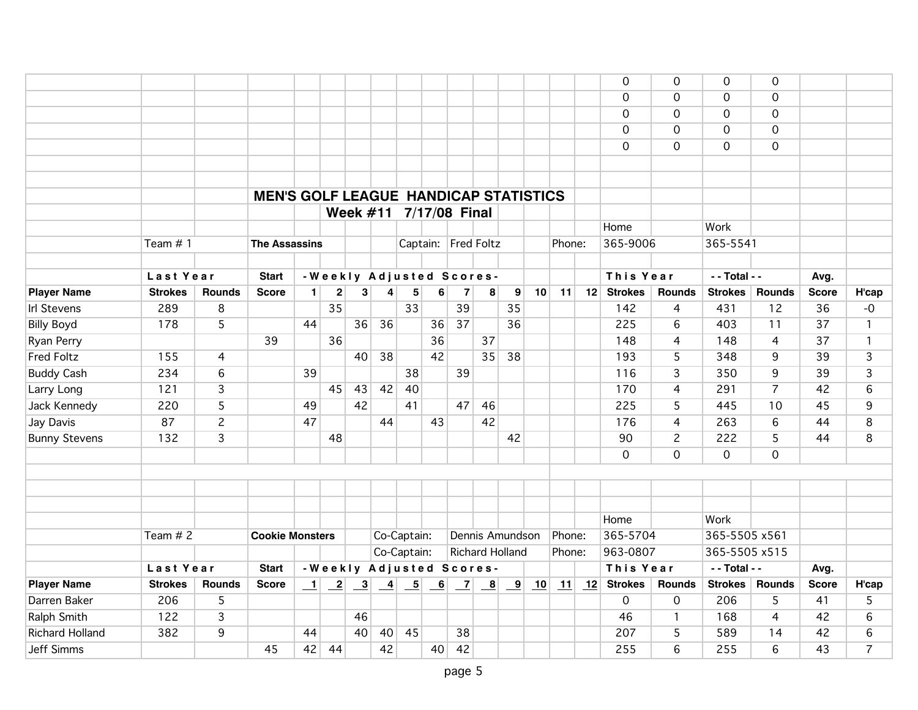|                        |                |                |                                              |                |    |    |    |             |    |                           |                        |    |    |        |    | $\mathbf 0$    | $\mathbf 0$    | $\Omega$       | $\mathbf 0$    |                 |                |
|------------------------|----------------|----------------|----------------------------------------------|----------------|----|----|----|-------------|----|---------------------------|------------------------|----|----|--------|----|----------------|----------------|----------------|----------------|-----------------|----------------|
|                        |                |                |                                              |                |    |    |    |             |    |                           |                        |    |    |        |    | $\mathbf 0$    | 0              | $\mathbf 0$    | $\mathbf 0$    |                 |                |
|                        |                |                |                                              |                |    |    |    |             |    |                           |                        |    |    |        |    | $\Omega$       | 0              | $\mathbf 0$    | $\mathbf 0$    |                 |                |
|                        |                |                |                                              |                |    |    |    |             |    |                           |                        |    |    |        |    | $\mathbf 0$    | $\mathbf 0$    | $\mathbf 0$    | $\mathbf 0$    |                 |                |
|                        |                |                |                                              |                |    |    |    |             |    |                           |                        |    |    |        |    | $\mathbf 0$    | $\overline{0}$ | $\overline{O}$ | $\overline{0}$ |                 |                |
|                        |                |                |                                              |                |    |    |    |             |    |                           |                        |    |    |        |    |                |                |                |                |                 |                |
|                        |                |                |                                              |                |    |    |    |             |    |                           |                        |    |    |        |    |                |                |                |                |                 |                |
|                        |                |                | <b>MEN'S GOLF LEAGUE HANDICAP STATISTICS</b> |                |    |    |    |             |    |                           |                        |    |    |        |    |                |                |                |                |                 |                |
|                        |                |                |                                              |                |    |    |    |             |    | Week #11 7/17/08 Final    |                        |    |    |        |    |                |                |                |                |                 |                |
|                        |                |                |                                              |                |    |    |    |             |    |                           |                        |    |    |        |    | Home           |                | Work           |                |                 |                |
|                        | Team $# 1$     |                | <b>The Assassins</b>                         |                |    |    |    |             |    | Captain: Fred Foltz       |                        |    |    | Phone: |    | 365-9006       |                | 365-5541       |                |                 |                |
|                        |                |                |                                              |                |    |    |    |             |    |                           |                        |    |    |        |    |                |                |                |                |                 |                |
|                        | Last Year      |                | <b>Start</b>                                 |                |    |    |    |             |    | -Weekly Adjusted Scores-  |                        |    |    |        |    | This Year      |                | - - Total - -  |                | Avg.            |                |
| <b>Player Name</b>     | <b>Strokes</b> | <b>Rounds</b>  | <b>Score</b>                                 | $\blacksquare$ | 2  | 3  | 4  | $\sqrt{5}$  | 6  | $\overline{7}$            | 8                      | 9  | 10 | 11     | 12 | <b>Strokes</b> | <b>Rounds</b>  | <b>Strokes</b> | <b>Rounds</b>  | <b>Score</b>    | H'cap          |
| <b>Irl Stevens</b>     | 289            | 8              |                                              |                | 35 |    |    | 33          |    | 39                        |                        | 35 |    |        |    | 142            | 4              | 431            | 12             | 36              | $-0$           |
| <b>Billy Boyd</b>      | 178            | 5              |                                              | 44             |    | 36 | 36 |             | 36 | $\overline{37}$           |                        | 36 |    |        |    | 225            | $\,6\,$        | 403            | 11             | 37              | $\mathbf{1}$   |
| Ryan Perry             |                |                | 39                                           |                | 36 |    |    |             | 36 |                           | 37                     |    |    |        |    | 148            | $\overline{4}$ | 148            | $\overline{4}$ | $\overline{37}$ | 1              |
| <b>Fred Foltz</b>      | 155            | 4              |                                              |                |    | 40 | 38 |             | 42 |                           | 35                     | 38 |    |        |    | 193            | 5              | 348            | 9              | 39              | 3              |
| <b>Buddy Cash</b>      | 234            | 6              |                                              | 39             |    |    |    | 38          |    | 39                        |                        |    |    |        |    | 116            | 3              | 350            | 9              | 39              | 3              |
| Larry Long             | 121            | 3              |                                              |                | 45 | 43 | 42 | 40          |    |                           |                        |    |    |        |    | 170            | $\overline{4}$ | 291            | $\overline{7}$ | 42              | 6              |
| Jack Kennedy           | 220            | 5              |                                              | 49             |    | 42 |    | 41          |    | 47                        | 46                     |    |    |        |    | 225            | 5              | 445            | 10             | 45              | 9              |
| Jay Davis              | 87             | $\overline{c}$ |                                              | 47             |    |    | 44 |             | 43 |                           | 42                     |    |    |        |    | 176            | 4              | 263            | 6              | 44              | 8              |
| <b>Bunny Stevens</b>   | 132            | $\overline{3}$ |                                              |                | 48 |    |    |             |    |                           |                        | 42 |    |        |    | 90             | $\overline{c}$ | 222            | 5              | 44              | 8              |
|                        |                |                |                                              |                |    |    |    |             |    |                           |                        |    |    |        |    | $\mathbf 0$    | $\mathbf 0$    | $\mathbf 0$    | $\mathbf 0$    |                 |                |
|                        |                |                |                                              |                |    |    |    |             |    |                           |                        |    |    |        |    |                |                |                |                |                 |                |
|                        |                |                |                                              |                |    |    |    |             |    |                           |                        |    |    |        |    |                |                |                |                |                 |                |
|                        |                |                |                                              |                |    |    |    |             |    |                           |                        |    |    |        |    |                |                |                |                |                 |                |
|                        |                |                |                                              |                |    |    |    |             |    |                           |                        |    |    |        |    | Home           |                | Work           |                |                 |                |
|                        | Team # 2       |                | <b>Cookie Monsters</b>                       |                |    |    |    | Co-Captain: |    |                           | Dennis Amundson        |    |    | Phone: |    | 365-5704       |                | 365-5505 x561  |                |                 |                |
|                        |                |                |                                              |                |    |    |    | Co-Captain: |    |                           | <b>Richard Holland</b> |    |    | Phone: |    | 963-0807       |                | 365-5505 x515  |                |                 |                |
|                        | Last Year      |                | <b>Start</b>                                 |                |    |    |    |             |    | - Weekly Adjusted Scores- |                        |    |    |        |    | This Year      |                | - - Total - -  |                | Avg.            |                |
| <b>Player Name</b>     | <b>Strokes</b> | <b>Rounds</b>  | <b>Score</b>                                 |                |    |    |    |             |    |                           |                        |    |    |        |    | <b>Strokes</b> | <b>Rounds</b>  | <b>Strokes</b> | <b>Rounds</b>  | <b>Score</b>    | H'cap          |
| Darren Baker           | 206            | 5              |                                              |                |    |    |    |             |    |                           |                        |    |    |        |    | 0              | 0              | 206            | 5              | 41              | 5              |
| Ralph Smith            | 122            | 3              |                                              |                |    | 46 |    |             |    |                           |                        |    |    |        |    | 46             | $\mathbf{1}$   | 168            | $\overline{4}$ | 42              | 6              |
| <b>Richard Holland</b> | 382            | 9              |                                              | 44             |    | 40 | 40 | 45          |    | 38                        |                        |    |    |        |    | 207            | 5              | 589            | 14             | 42              | 6              |
| <b>Jeff Simms</b>      |                |                | 45                                           | 42             | 44 |    | 42 |             | 40 | 42                        |                        |    |    |        |    | 255            | $\overline{6}$ | 255            | 6              | 43              | $\overline{7}$ |
|                        |                |                |                                              |                |    |    |    |             |    |                           |                        |    |    |        |    |                |                |                |                |                 |                |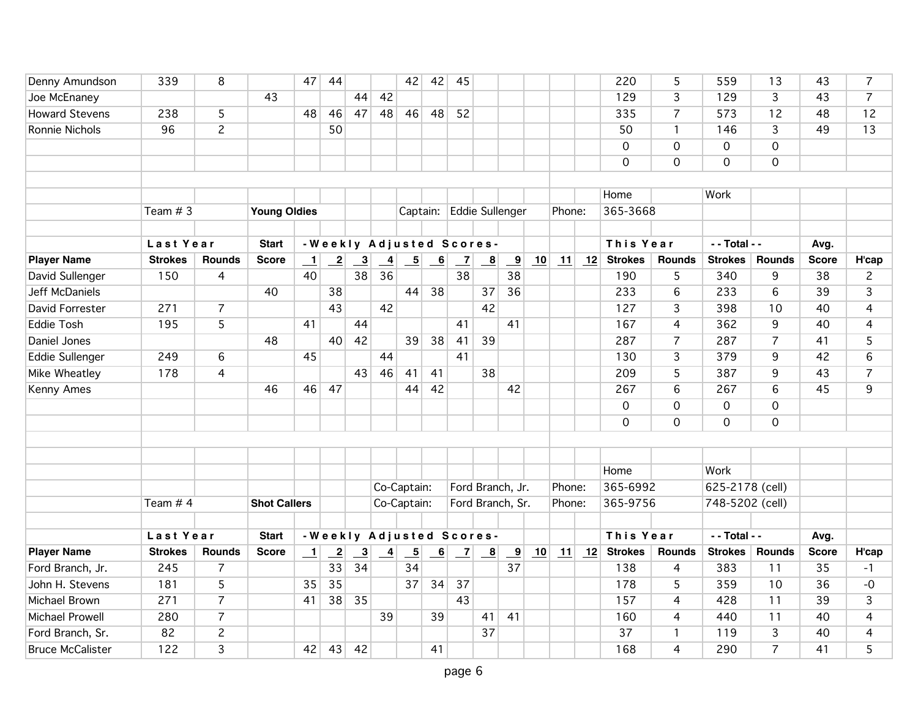| Denny Amundson          | 339            | 8              |                     | 47      | 44             |                         |                 | 42                       | 42              | 45             |                          |                         |    |                           |    | 220            | 5              | 559             | 13              | 43           | 7              |
|-------------------------|----------------|----------------|---------------------|---------|----------------|-------------------------|-----------------|--------------------------|-----------------|----------------|--------------------------|-------------------------|----|---------------------------|----|----------------|----------------|-----------------|-----------------|--------------|----------------|
| Joe McEnaney            |                |                | 43                  |         |                | 44                      | 42              |                          |                 |                |                          |                         |    |                           |    | 129            | 3              | 129             | $\overline{3}$  | 43           | $\overline{7}$ |
| <b>Howard Stevens</b>   | 238            | 5              |                     | 48      | 46             | 47                      | 48              | 46                       | 48              | 52             |                          |                         |    |                           |    | 335            | $\overline{7}$ | 573             | 12              | 48           | 12             |
| Ronnie Nichols          | 96             | $\overline{2}$ |                     |         | 50             |                         |                 |                          |                 |                |                          |                         |    |                           |    | 50             | $\mathbf{1}$   | 146             | 3               | 49           | 13             |
|                         |                |                |                     |         |                |                         |                 |                          |                 |                |                          |                         |    |                           |    | $\mathbf 0$    | $\mathbf 0$    | $\mathbf 0$     | $\mathbf 0$     |              |                |
|                         |                |                |                     |         |                |                         |                 |                          |                 |                |                          |                         |    |                           |    | $\mathbf 0$    | $\mathbf 0$    | $\mathbf 0$     | $\mathbf 0$     |              |                |
|                         |                |                |                     |         |                |                         |                 |                          |                 |                |                          |                         |    |                           |    |                |                |                 |                 |              |                |
|                         |                |                |                     |         |                |                         |                 |                          |                 |                |                          |                         |    |                           |    | Home           |                | Work            |                 |              |                |
|                         | Team $#3$      |                | <b>Young Oldies</b> |         |                |                         |                 |                          |                 |                | Captain: Eddie Sullenger |                         |    | Phone:                    |    | 365-3668       |                |                 |                 |              |                |
|                         |                |                |                     |         |                |                         |                 |                          |                 |                |                          |                         |    |                           |    |                |                |                 |                 |              |                |
|                         | Last Year      |                | <b>Start</b>        |         |                |                         |                 |                          |                 |                | -Weekly Adjusted Scores- |                         |    |                           |    | This Year      |                | - - Total - -   |                 | Avg.         |                |
| <b>Player Name</b>      | <b>Strokes</b> | <b>Rounds</b>  | <b>Score</b>        | $\perp$ | $\mathbf{2}$   | $\overline{\mathbf{3}}$ | $\overline{4}$  | $\overline{\phantom{0}}$ | $\underline{6}$ | $\overline{z}$ | $\overline{\mathbf{8}}$  | $\overline{\mathbf{9}}$ | 10 | $\mathbf{\underline{11}}$ | 12 | <b>Strokes</b> | <b>Rounds</b>  | <b>Strokes</b>  | <b>Rounds</b>   | <b>Score</b> | H'cap          |
| David Sullenger         | 150            | 4              |                     | 40      |                | 38                      | $\overline{36}$ |                          |                 | 38             |                          | 38                      |    |                           |    | 190            | 5              | 340             | 9               | 38           | $\overline{c}$ |
| Jeff McDaniels          |                |                | 40                  |         | 38             |                         |                 | 44                       | 38              |                | 37                       | 36                      |    |                           |    | 233            | 6              | 233             | $6\overline{6}$ | 39           | 3              |
| David Forrester         | 271            | $\overline{7}$ |                     |         | 43             |                         | 42              |                          |                 |                | 42                       |                         |    |                           |    | 127            | $\mathbf{3}$   | 398             | 10              | 40           | 4              |
| <b>Eddie Tosh</b>       | 195            | $\overline{5}$ |                     | 41      |                | 44                      |                 |                          |                 | 41             |                          | 41                      |    |                           |    | 167            | $\overline{4}$ | 362             | $\overline{9}$  | 40           | 4              |
| Daniel Jones            |                |                | 48                  |         | 40             | 42                      |                 | 39                       | 38              | 41             | 39                       |                         |    |                           |    | 287            | $\overline{7}$ | 287             | $\overline{7}$  | 41           | 5              |
| <b>Eddie Sullenger</b>  | 249            | 6              |                     | 45      |                |                         | 44              |                          |                 | 41             |                          |                         |    |                           |    | 130            | 3              | 379             | 9               | 42           | 6              |
| Mike Wheatley           | 178            | $\overline{4}$ |                     |         |                | 43                      | 46              | 41                       | 41              |                | 38                       |                         |    |                           |    | 209            | 5              | 387             | 9               | 43           | $\overline{7}$ |
| Kenny Ames              |                |                | 46                  | 46      | 47             |                         |                 | 44                       | 42              |                |                          | 42                      |    |                           |    | 267            | $6\,$          | 267             | $6\phantom{a}$  | 45           | 9              |
|                         |                |                |                     |         |                |                         |                 |                          |                 |                |                          |                         |    |                           |    | $\mathbf 0$    | $\mathbf 0$    | $\mathbf 0$     | $\mathbf 0$     |              |                |
|                         |                |                |                     |         |                |                         |                 |                          |                 |                |                          |                         |    |                           |    | 0              | $\mathbf 0$    | $\mathbf{O}$    | $\overline{0}$  |              |                |
|                         |                |                |                     |         |                |                         |                 |                          |                 |                |                          |                         |    |                           |    |                |                |                 |                 |              |                |
|                         |                |                |                     |         |                |                         |                 |                          |                 |                |                          |                         |    |                           |    |                |                |                 |                 |              |                |
|                         |                |                |                     |         |                |                         |                 |                          |                 |                |                          |                         |    |                           |    | Home           |                | Work            |                 |              |                |
|                         |                |                |                     |         |                |                         |                 | Co-Captain:              |                 |                | Ford Branch, Jr.         |                         |    | Phone:                    |    | 365-6992       |                | 625-2178 (cell) |                 |              |                |
|                         | Team #4        |                | <b>Shot Callers</b> |         |                |                         |                 | Co-Captain:              |                 |                | Ford Branch, Sr.         |                         |    | Phone:                    |    | 365-9756       |                | 748-5202 (cell) |                 |              |                |
|                         |                |                |                     |         |                |                         |                 |                          |                 |                |                          |                         |    |                           |    |                |                |                 |                 |              |                |
|                         | Last Year      |                | <b>Start</b>        |         |                |                         |                 |                          |                 |                | -Weekly Adjusted Scores- |                         |    |                           |    | This Year      |                | $-$ - Total - - |                 | Avg.         |                |
| <b>Player Name</b>      | <b>Strokes</b> | <b>Rounds</b>  | <b>Score</b>        | $\perp$ | $\overline{2}$ | $\overline{\mathbf{3}}$ | $\overline{-4}$ | $\overline{\phantom{0}}$ | 6               | $\mathbf{Z}$   | $\overline{\mathbf{8}}$  | $\overline{\mathbf{9}}$ | 10 | 11                        | 12 | <b>Strokes</b> | <b>Rounds</b>  | <b>Strokes</b>  | <b>Rounds</b>   | <b>Score</b> | H'cap          |
| Ford Branch, Jr.        | 245            | $\overline{7}$ |                     |         | 33             | 34                      |                 | 34                       |                 |                |                          | 37                      |    |                           |    | 138            | $\overline{4}$ | 383             | 11              | 35           | $-1$           |
| John H. Stevens         | 181            | 5              |                     | 35      | 35             |                         |                 | 37                       | 34              | 37             |                          |                         |    |                           |    | 178            | 5              | 359             | 10              | 36           | $-0$           |
| Michael Brown           | 271            | $\overline{7}$ |                     | 41      |                | 38 35                   |                 |                          |                 | 43             |                          |                         |    |                           |    | 157            | 4              | 428             | 11              | 39           | 3              |
| Michael Prowell         | 280            | $\overline{7}$ |                     |         |                |                         | 39              |                          | 39              |                | 41                       | 41                      |    |                           |    | 160            | $\overline{4}$ | 440             | 11              | 40           | 4              |
| Ford Branch, Sr.        | 82             | $\overline{c}$ |                     |         |                |                         |                 |                          |                 |                | 37                       |                         |    |                           |    | 37             | $\mathbf{1}$   | 119             | $\overline{3}$  | 40           | 4              |
| <b>Bruce McCalister</b> | 122            | 3              |                     | 42      | 43             | 42                      |                 |                          | 41              |                |                          |                         |    |                           |    | 168            | $\overline{4}$ | 290             | $\overline{7}$  | 41           | 5              |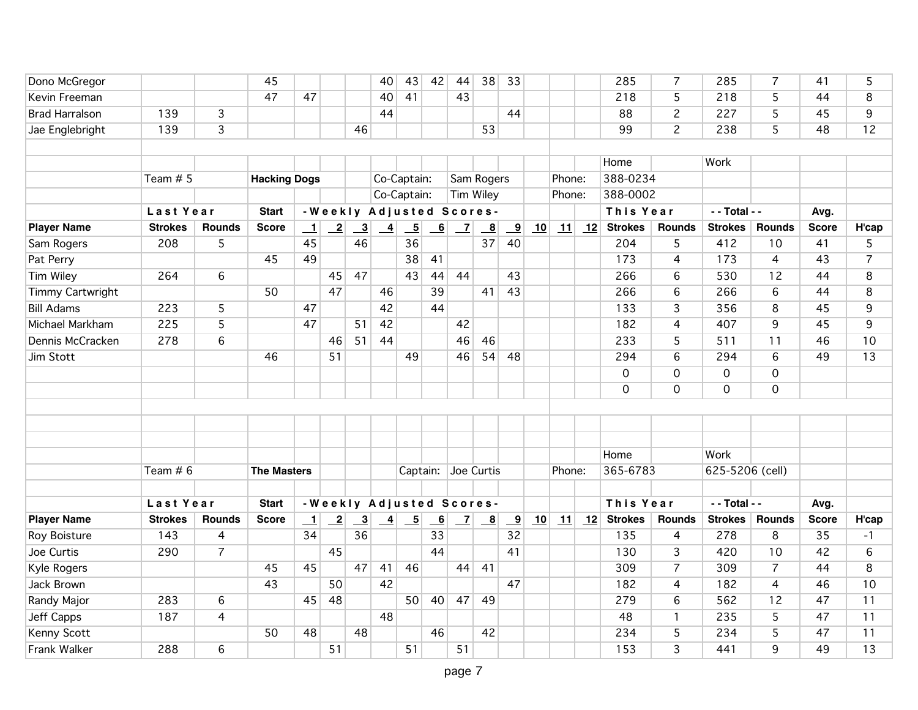| Dono McGregor         |                |                | 45                  |         |                            |                         | 40              | 43                       | 42 | 44             | 38                       | 33                      |    |        |    | 285            | $\overline{7}$      | 285             | 7              | 41           | 5              |
|-----------------------|----------------|----------------|---------------------|---------|----------------------------|-------------------------|-----------------|--------------------------|----|----------------|--------------------------|-------------------------|----|--------|----|----------------|---------------------|-----------------|----------------|--------------|----------------|
| Kevin Freeman         |                |                | 47                  | 47      |                            |                         | 40              | 41                       |    | 43             |                          |                         |    |        |    | 218            | 5                   | 218             | 5              | 44           | 8              |
| <b>Brad Harralson</b> | 139            | $\overline{3}$ |                     |         |                            |                         | 44              |                          |    |                |                          | 44                      |    |        |    | 88             | $\overline{c}$      | 227             | 5              | 45           | 9              |
| Jae Englebright       | 139            | 3              |                     |         |                            | 46                      |                 |                          |    |                | 53                       |                         |    |        |    | 99             | $\overline{2}$      | 238             | 5              | 48           | 12             |
|                       |                |                |                     |         |                            |                         |                 |                          |    |                |                          |                         |    |        |    |                |                     |                 |                |              |                |
|                       |                |                |                     |         |                            |                         |                 |                          |    |                |                          |                         |    |        |    | Home           |                     | Work            |                |              |                |
|                       | Team $# 5$     |                | <b>Hacking Dogs</b> |         |                            |                         | Co-Captain:     |                          |    |                | Sam Rogers               |                         |    | Phone: |    | 388-0234       |                     |                 |                |              |                |
|                       |                |                |                     |         |                            |                         |                 | Co-Captain:              |    |                | <b>Tim Wiley</b>         |                         |    | Phone: |    | 388-0002       |                     |                 |                |              |                |
|                       | Last Year      |                | <b>Start</b>        |         |                            |                         |                 |                          |    |                | -Weekly Adjusted Scores- |                         |    |        |    | This Year      |                     | - - Total - -   |                | Avg.         |                |
| <b>Player Name</b>    | <b>Strokes</b> | <b>Rounds</b>  | <b>Score</b>        | $\perp$ | $\overline{\phantom{0}}^2$ | $\overline{\mathbf{3}}$ | $\overline{-4}$ | $\overline{\phantom{0}}$ | 6  | $\overline{z}$ | $\overline{\mathbf{8}}$  | $\overline{\mathbf{9}}$ | 10 | 11     | 12 | <b>Strokes</b> | <b>Rounds</b>       | <b>Strokes</b>  | <b>Rounds</b>  | <b>Score</b> | H'cap          |
| Sam Rogers            | 208            | 5              |                     | 45      |                            | 46                      |                 | 36                       |    |                | 37                       | 40                      |    |        |    | 204            | 5                   | 412             | 10             | 41           | 5              |
| Pat Perry             |                |                | 45                  | 49      |                            |                         |                 | 38                       | 41 |                |                          |                         |    |        |    | 173            | $\overline{4}$      | 173             | 4              | 43           | $\overline{7}$ |
| Tim Wiley             | 264            | 6              |                     |         | 45                         | 47                      |                 | 43                       | 44 | 44             |                          | 43                      |    |        |    | 266            | $6\phantom{1}6$     | 530             | 12             | 44           | 8              |
| Timmy Cartwright      |                |                | 50                  |         | 47                         |                         | 46              |                          | 39 |                | 41                       | 43                      |    |        |    | 266            | $\sqrt{6}$          | 266             | 6              | 44           | 8              |
| <b>Bill Adams</b>     | 223            | 5              |                     | 47      |                            |                         | 42              |                          | 44 |                |                          |                         |    |        |    | 133            | 3                   | 356             | 8              | 45           | 9              |
| Michael Markham       | 225            | $\overline{5}$ |                     | 47      |                            | 51                      | 42              |                          |    | 42             |                          |                         |    |        |    | 182            | $\overline{4}$      | 407             | $\overline{9}$ | 45           | 9              |
| Dennis McCracken      | 278            | 6              |                     |         | 46                         | 51                      | 44              |                          |    | 46             | 46                       |                         |    |        |    | 233            | 5                   | 511             | 11             | 46           | 10             |
| Jim Stott             |                |                | 46                  |         | 51                         |                         |                 | 49                       |    | 46             | 54                       | 48                      |    |        |    | 294            | $\,6\,$             | 294             | 6              | 49           | 13             |
|                       |                |                |                     |         |                            |                         |                 |                          |    |                |                          |                         |    |        |    | $\mathbf 0$    | $\mathsf{O}\xspace$ | $\mathbf 0$     | $\mathbf 0$    |              |                |
|                       |                |                |                     |         |                            |                         |                 |                          |    |                |                          |                         |    |        |    | 0              | $\mathbf 0$         | $\mathbf 0$     | $\mathbf 0$    |              |                |
|                       |                |                |                     |         |                            |                         |                 |                          |    |                |                          |                         |    |        |    |                |                     |                 |                |              |                |
|                       |                |                |                     |         |                            |                         |                 |                          |    |                |                          |                         |    |        |    |                |                     |                 |                |              |                |
|                       |                |                |                     |         |                            |                         |                 |                          |    |                |                          |                         |    |        |    |                |                     |                 |                |              |                |
|                       |                |                |                     |         |                            |                         |                 |                          |    |                |                          |                         |    |        |    | Home           |                     | Work            |                |              |                |
|                       | Team $# 6$     |                | <b>The Masters</b>  |         |                            |                         |                 |                          |    |                | Captain: Joe Curtis      |                         |    | Phone: |    | 365-6783       |                     | 625-5206 (cell) |                |              |                |
|                       |                |                |                     |         |                            |                         |                 |                          |    |                |                          |                         |    |        |    |                |                     |                 |                |              |                |
|                       | Last Year      |                | <b>Start</b>        |         |                            |                         |                 |                          |    |                | -Weekly Adjusted Scores- |                         |    |        |    | This Year      |                     | - - Total - -   |                | Avg.         |                |
| <b>Player Name</b>    | <b>Strokes</b> | <b>Rounds</b>  | <b>Score</b>        | $\perp$ | $\overline{\phantom{0}}^2$ | $\overline{\mathbf{3}}$ | $\overline{-4}$ | $-5$                     | 6  | $\mathbf{Z}$   | $_{-8}$                  | <u>_9</u>               | 10 | 11     | 12 | <b>Strokes</b> | <b>Rounds</b>       | <b>Strokes</b>  | <b>Rounds</b>  | <b>Score</b> | H'cap          |
| Roy Boisture          | 143            | $\overline{4}$ |                     | 34      |                            | 36                      |                 |                          | 33 |                |                          | $\overline{32}$         |    |        |    | 135            | $\overline{4}$      | 278             | 8              | 35           | $-1$           |
| Joe Curtis            | 290            | $\overline{7}$ |                     |         | 45                         |                         |                 |                          | 44 |                |                          | 41                      |    |        |    | 130            | 3                   | 420             | 10             | 42           | 6              |
| Kyle Rogers           |                |                | 45                  | 45      |                            | 47                      | 41              | 46                       |    | 44             | 41                       |                         |    |        |    | 309            | $\overline{7}$      | 309             | $\overline{7}$ | 44           | 8              |
| <b>Jack Brown</b>     |                |                | 43                  |         | 50                         |                         | 42              |                          |    |                |                          | 47                      |    |        |    | 182            | 4                   | 182             | 4              | 46           | 10             |
| Randy Major           | 283            | 6              |                     | 45      | 48                         |                         |                 | 50 <sup>1</sup>          | 40 |                | $47$ 49                  |                         |    |        |    | 279            | $6\phantom{1}6$     | 562             | 12             | 47           | 11             |
| Jeff Capps            | 187            | $\overline{4}$ |                     |         |                            |                         | 48              |                          |    |                |                          |                         |    |        |    | 48             | $\mathbf{1}$        | 235             | 5              | 47           | 11             |
| Kenny Scott           |                |                | 50                  | 48      |                            | 48                      |                 |                          | 46 |                | 42                       |                         |    |        |    | 234            | $\overline{5}$      | 234             | 5              | 47           | 11             |
| Frank Walker          | 288            | 6              |                     |         | 51                         |                         |                 | 51                       |    | 51             |                          |                         |    |        |    | 153            | $\overline{3}$      | 441             | 9              | 49           | 13             |
|                       |                |                |                     |         |                            |                         |                 |                          |    |                |                          |                         |    |        |    |                |                     |                 |                |              |                |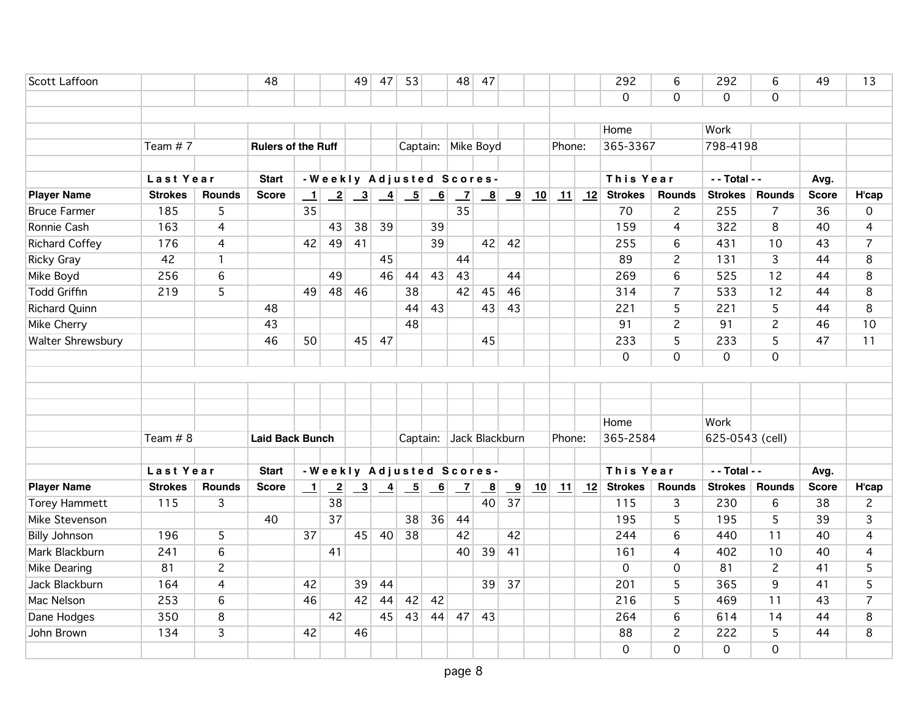| Scott Laffoon         |                |                | 48                        |                 |                 | 49                        | 47              | 53                       |                         | 48                       | 47                        |                         |    |        |    | 292            | 6                   | 292             | 6              | 49           | 13             |
|-----------------------|----------------|----------------|---------------------------|-----------------|-----------------|---------------------------|-----------------|--------------------------|-------------------------|--------------------------|---------------------------|-------------------------|----|--------|----|----------------|---------------------|-----------------|----------------|--------------|----------------|
|                       |                |                |                           |                 |                 |                           |                 |                          |                         |                          |                           |                         |    |        |    | $\Omega$       | $\overline{0}$      | $\Omega$        | $\Omega$       |              |                |
|                       |                |                |                           |                 |                 |                           |                 |                          |                         |                          |                           |                         |    |        |    |                |                     |                 |                |              |                |
|                       |                |                |                           |                 |                 |                           |                 |                          |                         |                          |                           |                         |    |        |    | Home           |                     | Work            |                |              |                |
|                       | Team #7        |                | <b>Rulers of the Ruff</b> |                 |                 |                           |                 |                          |                         | Captain: Mike Boyd       |                           |                         |    | Phone: |    | 365-3367       |                     | 798-4198        |                |              |                |
|                       |                |                |                           |                 |                 |                           |                 |                          |                         |                          |                           |                         |    |        |    |                |                     |                 |                |              |                |
|                       | Last Year      |                | <b>Start</b>              |                 |                 |                           |                 |                          |                         | -Weekly Adjusted Scores- |                           |                         |    |        |    | This Year      |                     | - - Total - -   |                | Avg.         |                |
| <b>Player Name</b>    | <b>Strokes</b> | <b>Rounds</b>  | <b>Score</b>              | $\perp$         | $\overline{-2}$ | $\overline{\phantom{0}3}$ | $\overline{-4}$ | $\overline{\phantom{0}}$ | $\overline{\mathbf{6}}$ | $\overline{z}$           | $\underline{\phantom{a}}$ | $\overline{\mathbf{9}}$ | 10 | 11     | 12 | <b>Strokes</b> | Rounds              | <b>Strokes</b>  | <b>Rounds</b>  | <b>Score</b> | H'cap          |
| <b>Bruce Farmer</b>   | 185            | 5              |                           | 35              |                 |                           |                 |                          |                         | 35                       |                           |                         |    |        |    | 70             | $\overline{c}$      | 255             | $\overline{7}$ | 36           | 0              |
| Ronnie Cash           | 163            | $\overline{4}$ |                           |                 | 43              | 38                        | 39              |                          | 39                      |                          |                           |                         |    |        |    | 159            | $\overline{4}$      | 322             | $\overline{8}$ | 40           | 4              |
| <b>Richard Coffey</b> | 176            | 4              |                           | 42              | 49              | 41                        |                 |                          | 39                      |                          | 42                        | 42                      |    |        |    | 255            | $6\overline{6}$     | 431             | 10             | 43           | $\overline{7}$ |
| <b>Ricky Gray</b>     | 42             | $\mathbf{1}$   |                           |                 |                 |                           | 45              |                          |                         | 44                       |                           |                         |    |        |    | 89             | $\overline{c}$      | 131             | $\overline{3}$ | 44           | 8              |
| Mike Boyd             | 256            | 6              |                           |                 | 49              |                           | 46              | 44                       | 43                      | 43                       |                           | 44                      |    |        |    | 269            | 6                   | 525             | 12             | 44           | 8              |
| <b>Todd Griffin</b>   | 219            | $\overline{5}$ |                           | 49              | 48              | 46                        |                 | 38                       |                         | 42                       | 45                        | 46                      |    |        |    | 314            | $\overline{7}$      | 533             | 12             | 44           | 8              |
| Richard Quinn         |                |                | 48                        |                 |                 |                           |                 | 44                       | 43                      |                          | 43                        | 43                      |    |        |    | 221            | 5                   | 221             | 5              | 44           | 8              |
| Mike Cherry           |                |                | 43                        |                 |                 |                           |                 | 48                       |                         |                          |                           |                         |    |        |    | 91             | $\overline{2}$      | 91              | $\overline{2}$ | 46           | 10             |
| Walter Shrewsbury     |                |                | 46                        | 50              |                 | 45                        | 47              |                          |                         |                          | 45                        |                         |    |        |    | 233            | 5                   | 233             | 5              | 47           | 11             |
|                       |                |                |                           |                 |                 |                           |                 |                          |                         |                          |                           |                         |    |        |    | $\Omega$       | $\mathsf{O}\xspace$ | $\mathbf 0$     | $\mathbf 0$    |              |                |
|                       |                |                |                           |                 |                 |                           |                 |                          |                         |                          |                           |                         |    |        |    |                |                     |                 |                |              |                |
|                       |                |                |                           |                 |                 |                           |                 |                          |                         |                          |                           |                         |    |        |    |                |                     |                 |                |              |                |
|                       |                |                |                           |                 |                 |                           |                 |                          |                         |                          |                           |                         |    |        |    |                |                     |                 |                |              |                |
|                       |                |                |                           |                 |                 |                           |                 |                          |                         |                          |                           |                         |    |        |    | Home           |                     | Work            |                |              |                |
|                       | Team $# 8$     |                | <b>Laid Back Bunch</b>    |                 |                 |                           |                 | Captain:                 |                         | Jack Blackburn           |                           |                         |    | Phone: |    | 365-2584       |                     | 625-0543 (cell) |                |              |                |
|                       |                |                |                           |                 |                 |                           |                 |                          |                         |                          |                           |                         |    |        |    |                |                     |                 |                |              |                |
|                       | Last Year      |                | <b>Start</b>              |                 |                 |                           |                 |                          |                         | -Weekly Adjusted Scores- |                           |                         |    |        |    | This Year      |                     | - - Total - -   |                | Avg.         |                |
| <b>Player Name</b>    | <b>Strokes</b> | <b>Rounds</b>  | <b>Score</b>              | $\perp$         | $\overline{-2}$ | $\overline{\phantom{0}3}$ | $\overline{-4}$ | $\overline{\phantom{0}}$ | $\overline{6}$          | $\overline{z}$           | $\overline{\mathbf{8}}$   | $\overline{9}$          | 10 | 11     | 12 | <b>Strokes</b> | <b>Rounds</b>       | <b>Strokes</b>  | <b>Rounds</b>  | <b>Score</b> | H'cap          |
| <b>Torey Hammett</b>  | 115            | 3              |                           |                 | 38              |                           |                 |                          |                         |                          | 40                        | 37                      |    |        |    | 115            | 3                   | 230             | 6              | 38           | $\overline{c}$ |
| Mike Stevenson        |                |                | 40                        |                 | $\overline{37}$ |                           |                 | 38                       | 36                      | 44                       |                           |                         |    |        |    | 195            | 5                   | 195             | 5              | 39           | 3              |
| <b>Billy Johnson</b>  | 196            | 5              |                           | $\overline{37}$ |                 | 45                        | 40              | 38                       |                         | 42                       |                           | 42                      |    |        |    | 244            | $6\overline{6}$     | 440             | 11             | 40           | $\overline{4}$ |
| Mark Blackburn        | 241            | $\,$ 6         |                           |                 | 41              |                           |                 |                          |                         | 40                       | 39                        | 41                      |    |        |    | 161            | $\overline{4}$      | 402             | 10             | 40           | $\overline{4}$ |
| Mike Dearing          | 81             | $\overline{c}$ |                           |                 |                 |                           |                 |                          |                         |                          |                           |                         |    |        |    | $\mathbf 0$    | $\mathbf 0$         | 81              | $\overline{c}$ | 41           | 5              |
| Jack Blackburn        | 164            | 4              |                           | 42              |                 | 39                        | 44              |                          |                         |                          | 39                        | 37                      |    |        |    | 201            | $\overline{5}$      | 365             | $\overline{9}$ | 41           | $\overline{5}$ |
| Mac Nelson            | 253            | 6              |                           | 46              |                 | 42                        | 44              | 42                       | 42                      |                          |                           |                         |    |        |    | 216            | 5                   | 469             | 11             | 43           | $\overline{7}$ |
| Dane Hodges           | 350            | 8              |                           |                 | 42              |                           | 45              | 43                       | 44                      | 47                       | 43                        |                         |    |        |    | 264            | 6                   | 614             | 14             | 44           | 8              |
| John Brown            | 134            | 3              |                           | 42              |                 | 46                        |                 |                          |                         |                          |                           |                         |    |        |    | 88             | $\overline{2}$      | 222             | $\overline{5}$ | 44           | 8              |
|                       |                |                |                           |                 |                 |                           |                 |                          |                         |                          |                           |                         |    |        |    | $\mathbf 0$    | $\overline{0}$      | $\mathbf 0$     | $\mathbf 0$    |              |                |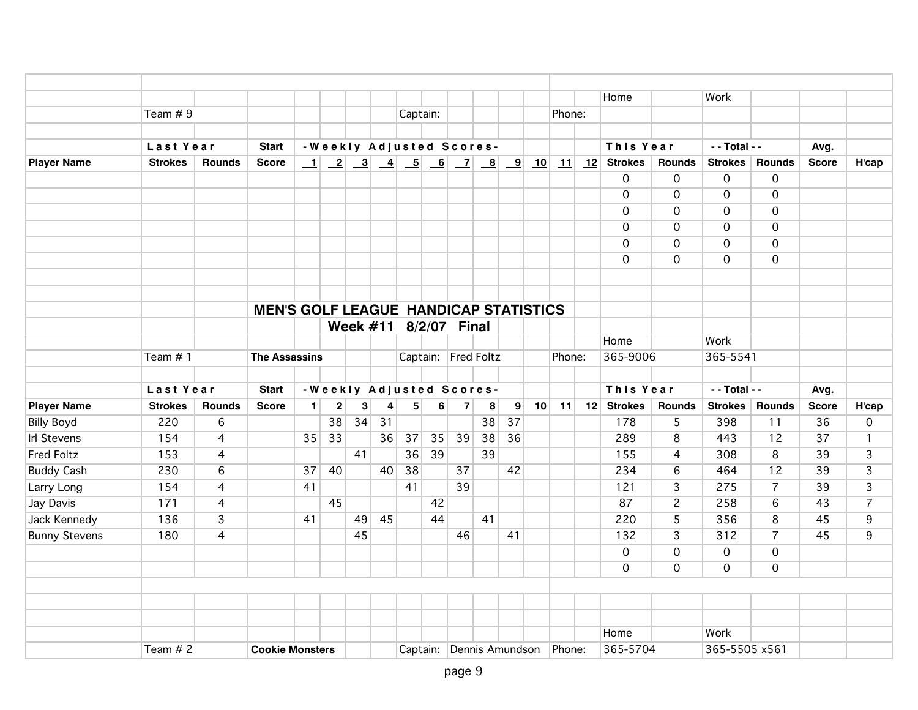|                      |                |                |                                              |                |                         |    |    |          |    |                          |    |    |    |        |    | Home           |                     | Work           |                |              |                |
|----------------------|----------------|----------------|----------------------------------------------|----------------|-------------------------|----|----|----------|----|--------------------------|----|----|----|--------|----|----------------|---------------------|----------------|----------------|--------------|----------------|
|                      | Team # 9       |                |                                              |                |                         |    |    | Captain: |    |                          |    |    |    | Phone: |    |                |                     |                |                |              |                |
|                      |                |                |                                              |                |                         |    |    |          |    |                          |    |    |    |        |    |                |                     |                |                |              |                |
|                      | Last Year      |                | <b>Start</b>                                 |                |                         |    |    |          |    | -Weekly Adjusted Scores- |    |    |    |        |    | This Year      |                     | $-$ Total $-$  |                | Avg.         |                |
| <b>Player Name</b>   | <b>Strokes</b> | <b>Rounds</b>  | <b>Score</b>                                 |                |                         |    |    |          |    |                          |    |    |    | 11     | 12 | <b>Strokes</b> | <b>Rounds</b>       | <b>Strokes</b> | <b>Rounds</b>  | <b>Score</b> | H'cap          |
|                      |                |                |                                              |                |                         |    |    |          |    |                          |    |    |    |        |    | $\mathbf 0$    | $\mathbf 0$         | $\mathbf 0$    | $\mathbf 0$    |              |                |
|                      |                |                |                                              |                |                         |    |    |          |    |                          |    |    |    |        |    | $\mathbf 0$    | $\mathbf 0$         | $\mathbf 0$    | $\mathbf 0$    |              |                |
|                      |                |                |                                              |                |                         |    |    |          |    |                          |    |    |    |        |    | $\Omega$       | $\mathsf{O}\xspace$ | $\mathbf 0$    | $\mathbf 0$    |              |                |
|                      |                |                |                                              |                |                         |    |    |          |    |                          |    |    |    |        |    | $\Omega$       | $\mathbf 0$         | $\mathbf 0$    | $\mathbf 0$    |              |                |
|                      |                |                |                                              |                |                         |    |    |          |    |                          |    |    |    |        |    | $\mathbf 0$    | $\mathbf 0$         | $\mathbf 0$    | $\mathbf 0$    |              |                |
|                      |                |                |                                              |                |                         |    |    |          |    |                          |    |    |    |        |    | $\mathbf 0$    | $\mathsf{O}\xspace$ | $\overline{0}$ | $\mathbf 0$    |              |                |
|                      |                |                |                                              |                |                         |    |    |          |    |                          |    |    |    |        |    |                |                     |                |                |              |                |
|                      |                |                |                                              |                |                         |    |    |          |    |                          |    |    |    |        |    |                |                     |                |                |              |                |
|                      |                |                | <b>MEN'S GOLF LEAGUE HANDICAP STATISTICS</b> |                |                         |    |    |          |    |                          |    |    |    |        |    |                |                     |                |                |              |                |
|                      |                |                |                                              |                |                         |    |    |          |    | Week #11 8/2/07 Final    |    |    |    |        |    |                |                     |                |                |              |                |
|                      |                |                |                                              |                |                         |    |    |          |    |                          |    |    |    |        |    | Home           |                     | Work           |                |              |                |
|                      | Team #1        |                | <b>The Assassins</b>                         |                |                         |    |    |          |    | Captain: Fred Foltz      |    |    |    | Phone: |    | 365-9006       |                     | 365-5541       |                |              |                |
|                      |                |                |                                              |                |                         |    |    |          |    |                          |    |    |    |        |    |                |                     |                |                |              |                |
|                      | Last Year      |                | <b>Start</b>                                 |                |                         |    |    |          |    | -Weekly Adjusted Scores- |    |    |    |        |    | This Year      |                     | $-$ Total $-$  |                | Avg.         |                |
| <b>Player Name</b>   | <b>Strokes</b> | <b>Rounds</b>  | <b>Score</b>                                 | 1 <sup>1</sup> | $\overline{\mathbf{c}}$ | 3  | 4  | 5        | 6  | $\overline{\mathbf{z}}$  | 8  | 9  | 10 | 11     | 12 | <b>Strokes</b> | <b>Rounds</b>       | <b>Strokes</b> | <b>Rounds</b>  | <b>Score</b> | H'cap          |
| <b>Billy Boyd</b>    | 220            | 6              |                                              |                | 38                      | 34 | 31 |          |    |                          | 38 | 37 |    |        |    | 178            | 5                   | 398            | 11             | 36           | $\mathbf 0$    |
| <b>Irl Stevens</b>   | 154            | $\overline{4}$ |                                              | 35             | 33                      |    | 36 | 37       | 35 | 39                       | 38 | 36 |    |        |    | 289            | 8                   | 443            | 12             | 37           | $\mathbf{1}$   |
| <b>Fred Foltz</b>    | 153            | $\overline{4}$ |                                              |                |                         | 41 |    | 36       | 39 |                          | 39 |    |    |        |    | 155            | $\overline{4}$      | 308            | 8              | 39           | 3              |
| <b>Buddy Cash</b>    | 230            | 6              |                                              | 37             | 40                      |    | 40 | 38       |    | 37                       |    | 42 |    |        |    | 234            | $6\phantom{1}$      | 464            | 12             | 39           | $\overline{3}$ |
| Larry Long           | 154            | 4              |                                              | 41             |                         |    |    | 41       |    | 39                       |    |    |    |        |    | 121            | 3                   | 275            | $\overline{7}$ | 39           | 3              |
| Jay Davis            | 171            | $\overline{4}$ |                                              |                | 45                      |    |    |          | 42 |                          |    |    |    |        |    | 87             | $\overline{c}$      | 258            | 6              | 43           | 7              |
| Jack Kennedy         | 136            | $\overline{3}$ |                                              | 41             |                         | 49 | 45 |          | 44 |                          | 41 |    |    |        |    | 220            | 5                   | 356            | 8              | 45           | 9              |
| <b>Bunny Stevens</b> | 180            | $\overline{4}$ |                                              |                |                         | 45 |    |          |    | 46                       |    | 41 |    |        |    | 132            | $\overline{3}$      | 312            | $\overline{7}$ | 45           | 9              |
|                      |                |                |                                              |                |                         |    |    |          |    |                          |    |    |    |        |    | $\mathbf 0$    | $\mathbf 0$         | $\mathbf 0$    | $\mathbf 0$    |              |                |
|                      |                |                |                                              |                |                         |    |    |          |    |                          |    |    |    |        |    | $\Omega$       | $\mathbf 0$         | $\mathbf 0$    | $\Omega$       |              |                |
|                      |                |                |                                              |                |                         |    |    |          |    |                          |    |    |    |        |    |                |                     |                |                |              |                |
|                      |                |                |                                              |                |                         |    |    |          |    |                          |    |    |    |        |    |                |                     |                |                |              |                |
|                      |                |                |                                              |                |                         |    |    |          |    |                          |    |    |    |        |    |                |                     |                |                |              |                |
|                      |                |                |                                              |                |                         |    |    |          |    |                          |    |    |    |        |    | Home           |                     | Work           |                |              |                |
|                      | Team $# 2$     |                | <b>Cookie Monsters</b>                       |                |                         |    |    |          |    | Captain: Dennis Amundson |    |    |    | Phone: |    | 365-5704       |                     | 365-5505 x561  |                |              |                |
|                      |                |                |                                              |                |                         |    |    |          |    |                          |    |    |    |        |    |                |                     |                |                |              |                |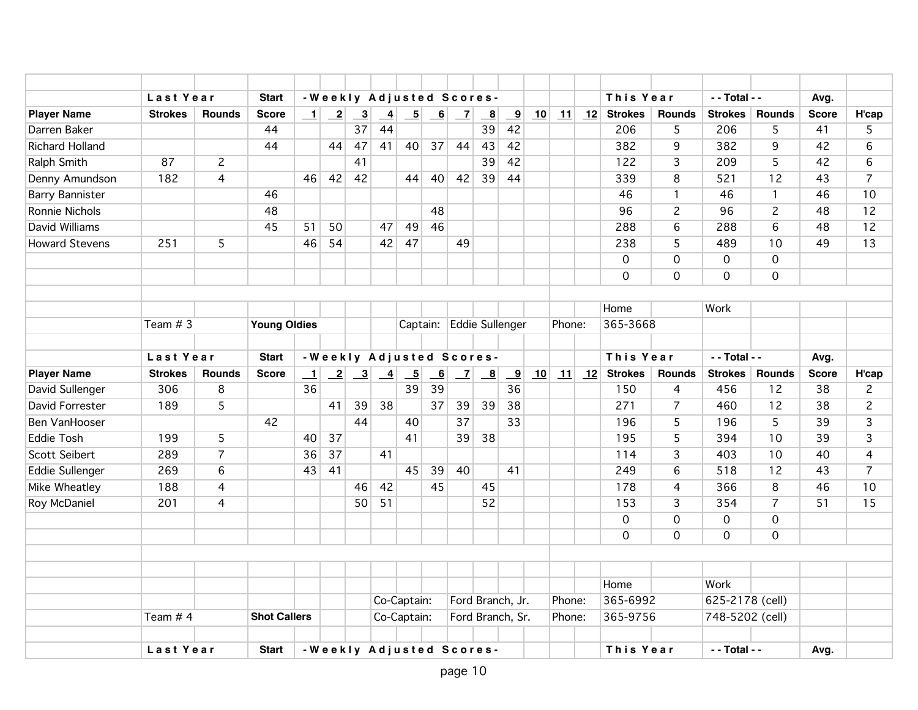|                        | Last Year      |                | <b>Start</b>        |         |                              |                           | -Weekly Adjusted Scores-                               |                          |                           |                          |                           |                         |    |        |    | This Year      |                | - - Total - -       |                     | Avg.         |                |
|------------------------|----------------|----------------|---------------------|---------|------------------------------|---------------------------|--------------------------------------------------------|--------------------------|---------------------------|--------------------------|---------------------------|-------------------------|----|--------|----|----------------|----------------|---------------------|---------------------|--------------|----------------|
| <b>Player Name</b>     | <b>Strokes</b> | <b>Rounds</b>  | <b>Score</b>        | $\perp$ | $\boxed{2}$                  | $\overline{\phantom{0}3}$ | $\frac{4}{1}$                                          | $\overline{\phantom{0}}$ | $-6$                      | $\overline{\phantom{0}}$ | $\overline{\mathbf{8}}$   | $\overline{\mathbf{9}}$ | 10 | 11     | 12 | <b>Strokes</b> | <b>Rounds</b>  | <b>Strokes</b>      | <b>Rounds</b>       | <b>Score</b> | H'cap          |
| Darren Baker           |                |                | 44                  |         |                              | 37                        | 44                                                     |                          |                           |                          | 39                        | 42                      |    |        |    | 206            | 5              | 206                 | 5                   | 41           | 5              |
| <b>Richard Holland</b> |                |                | 44                  |         | 44                           | 47                        | 41                                                     | 40                       | 37                        | 44                       | 43                        | 42                      |    |        |    | 382            | 9              | 382                 | 9                   | 42           | 6              |
| Ralph Smith            | 87             | $\overline{c}$ |                     |         |                              | 41                        |                                                        |                          |                           |                          | 39                        | 42                      |    |        |    | 122            | 3              | 209                 | 5                   | 42           | 6              |
| Denny Amundson         | 182            | $\overline{4}$ |                     | 46      | 42                           | 42                        |                                                        | 44                       | 40 <sup>1</sup>           | 42                       | 39                        | 44                      |    |        |    | 339            | 8              | 521                 | 12                  | 43           | $\overline{7}$ |
| <b>Barry Bannister</b> |                |                | 46                  |         |                              |                           |                                                        |                          |                           |                          |                           |                         |    |        |    | 46             | $\mathbf{1}$   | 46                  | $\overline{1}$      | 46           | 10             |
| Ronnie Nichols         |                |                | 48                  |         |                              |                           |                                                        |                          | 48                        |                          |                           |                         |    |        |    | 96             | $\overline{c}$ | 96                  | $\overline{c}$      | 48           | 12             |
| David Williams         |                |                | 45                  | 51      | 50                           |                           | 47                                                     | 49                       | 46                        |                          |                           |                         |    |        |    | 288            | 6              | 288                 | 6                   | 48           | 12             |
| <b>Howard Stevens</b>  | 251            | 5              |                     | 46      | 54                           |                           | 42                                                     | 47                       |                           | 49                       |                           |                         |    |        |    | 238            | 5              | 489                 | 10                  | 49           | 13             |
|                        |                |                |                     |         |                              |                           |                                                        |                          |                           |                          |                           |                         |    |        |    | $\mathbf 0$    | 0              | $\mathsf{O}\xspace$ | $\mathsf{O}\xspace$ |              |                |
|                        |                |                |                     |         |                              |                           |                                                        |                          |                           |                          |                           |                         |    |        |    | $\mathbf 0$    | 0              | $\mathbf 0$         | $\mathbf 0$         |              |                |
|                        |                |                |                     |         |                              |                           |                                                        |                          |                           |                          |                           |                         |    |        |    |                |                |                     |                     |              |                |
|                        |                |                |                     |         |                              |                           |                                                        |                          |                           |                          |                           |                         |    |        |    | Home           |                | Work                |                     |              |                |
|                        | Team $# 3$     |                | <b>Young Oldies</b> |         |                              |                           |                                                        | Captain:                 |                           |                          | <b>Eddie Sullenger</b>    |                         |    | Phone: |    | 365-3668       |                |                     |                     |              |                |
|                        |                |                |                     |         |                              |                           |                                                        |                          |                           |                          |                           |                         |    |        |    |                |                |                     |                     |              |                |
|                        | Last Year      |                | <b>Start</b>        |         |                              |                           | -Weekly Adjusted Scores-                               |                          |                           |                          |                           |                         |    |        |    | This Year      |                | - - Total - -       |                     | Avg.         |                |
| <b>Player Name</b>     | <b>Strokes</b> | <b>Rounds</b>  | <b>Score</b>        | $\perp$ | $\left  \frac{2}{2} \right $ |                           | $\begin{array}{ c c c c }\n\hline\n3 & 4\n\end{array}$ | $\overline{\phantom{0}}$ | $\underline{\phantom{a}}$ | $\overline{z}$           | $\underline{\phantom{a}}$ | $\overline{\mathbf{9}}$ | 10 | 11     | 12 | <b>Strokes</b> | <b>Rounds</b>  | <b>Strokes</b>      | <b>Rounds</b>       | <b>Score</b> | H'cap          |
| David Sullenger        | 306            | 8              |                     | 36      |                              |                           |                                                        | 39                       | 39                        |                          |                           | 36                      |    |        |    | 150            | $\overline{4}$ | 456                 | 12                  | 38           | $\overline{c}$ |
| David Forrester        | 189            | 5              |                     |         | 41                           | 39                        | 38                                                     |                          | 37                        | 39                       | 39                        | 38                      |    |        |    | 271            | $\overline{7}$ | 460                 | 12                  | 38           | $\overline{c}$ |
| Ben VanHooser          |                |                | 42                  |         |                              | 44                        |                                                        | 40                       |                           | 37                       |                           | 33                      |    |        |    | 196            | 5              | 196                 | 5                   | 39           | 3              |
| <b>Eddie Tosh</b>      | 199            | 5              |                     | 40      | 37                           |                           |                                                        | 41                       |                           | 39                       | 38                        |                         |    |        |    | 195            | 5              | 394                 | 10                  | 39           | 3              |
| Scott Seibert          | 289            | $\overline{7}$ |                     | 36      | 37                           |                           | 41                                                     |                          |                           |                          |                           |                         |    |        |    | 114            | 3              | 403                 | 10                  | 40           | 4              |
| Eddie Sullenger        | 269            | 6              |                     | 43      | 41                           |                           |                                                        | 45                       | 39                        | 40                       |                           | 41                      |    |        |    | 249            | 6              | 518                 | 12                  | 43           | $\overline{7}$ |
| Mike Wheatley          | 188            | 4              |                     |         |                              | 46                        | 42                                                     |                          | 45                        |                          | 45                        |                         |    |        |    | 178            | 4              | 366                 | 8                   | 46           | 10             |
| Roy McDaniel           | 201            | 4              |                     |         |                              | 50                        | 51                                                     |                          |                           |                          | 52                        |                         |    |        |    | 153            | 3              | 354                 | $\overline{7}$      | 51           | 15             |
|                        |                |                |                     |         |                              |                           |                                                        |                          |                           |                          |                           |                         |    |        |    | $\mathbf 0$    | 0              | $\mathsf{O}\xspace$ | $\mathsf{O}\xspace$ |              |                |
|                        |                |                |                     |         |                              |                           |                                                        |                          |                           |                          |                           |                         |    |        |    | $\Omega$       | 0              | $\mathbf 0$         | $\mathbf 0$         |              |                |
|                        |                |                |                     |         |                              |                           |                                                        |                          |                           |                          |                           |                         |    |        |    |                |                |                     |                     |              |                |
|                        |                |                |                     |         |                              |                           |                                                        |                          |                           |                          |                           |                         |    |        |    |                |                |                     |                     |              |                |
|                        |                |                |                     |         |                              |                           |                                                        |                          |                           |                          |                           |                         |    |        |    | Home           |                | Work                |                     |              |                |
|                        |                |                |                     |         |                              |                           |                                                        | Co-Captain:              |                           |                          | Ford Branch, Jr.          |                         |    | Phone: |    | 365-6992       |                | 625-2178 (cell)     |                     |              |                |
|                        | Team # 4       |                | <b>Shot Callers</b> |         |                              |                           |                                                        | Co-Captain:              |                           |                          | Ford Branch, Sr.          |                         |    | Phone: |    | 365-9756       |                | 748-5202 (cell)     |                     |              |                |
|                        |                |                |                     |         |                              |                           |                                                        |                          |                           |                          |                           |                         |    |        |    |                |                |                     |                     |              |                |
|                        | Last Year      |                | <b>Start</b>        |         |                              |                           | -Weekly Adjusted Scores-                               |                          |                           |                          |                           |                         |    |        |    | This Year      |                | - - Total - -       |                     | Avg.         |                |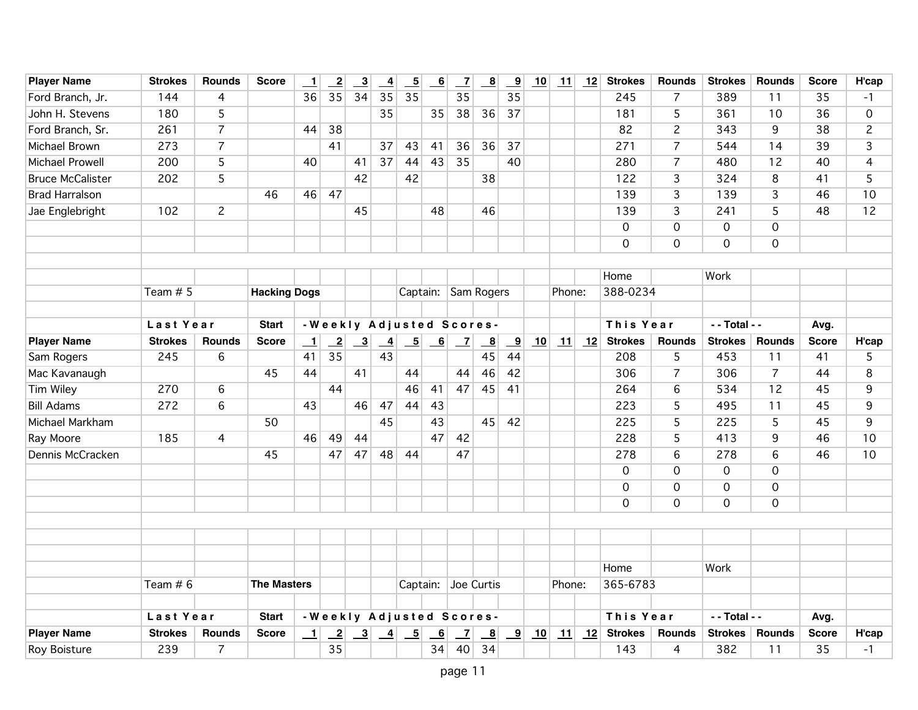| <b>Player Name</b>      | <b>Strokes</b> | <b>Rounds</b>  | <b>Score</b>        | $\overline{\phantom{0}}$ | $\overline{2}$             | $\overline{3}$            | $\overline{4}$  | $\underline{\phantom{a}}$ | $\underline{6}$ | $\overline{z}$            | $\overline{\mathbf{8}}$   | $\overline{9}$          | 10 | 11     | 12 | <b>Strokes</b> | Rounds         | <b>Strokes</b>      | <b>Rounds</b>  | <b>Score</b> | H'cap          |
|-------------------------|----------------|----------------|---------------------|--------------------------|----------------------------|---------------------------|-----------------|---------------------------|-----------------|---------------------------|---------------------------|-------------------------|----|--------|----|----------------|----------------|---------------------|----------------|--------------|----------------|
| Ford Branch, Jr.        | 144            | 4              |                     | 36                       | 35                         | 34                        | 35              | 35                        |                 | 35                        |                           | 35                      |    |        |    | 245            | $\overline{7}$ | 389                 | 11             | 35           | -1             |
| John H. Stevens         | 180            | 5              |                     |                          |                            |                           | 35              |                           | 35              | 38                        | 36                        | 37                      |    |        |    | 181            | 5              | 361                 | 10             | 36           | 0              |
| Ford Branch, Sr.        | 261            | $\overline{7}$ |                     | 44                       | 38                         |                           |                 |                           |                 |                           |                           |                         |    |        |    | 82             | $\overline{c}$ | 343                 | 9              | 38           | $\overline{c}$ |
| Michael Brown           | 273            | $\overline{7}$ |                     |                          | 41                         |                           | 37              | 43                        | 41              | 36                        | 36                        | 37                      |    |        |    | 271            | $\overline{7}$ | 544                 | 14             | 39           | $\overline{3}$ |
| Michael Prowell         | 200            | 5              |                     | 40                       |                            | 41                        | 37              | 44                        | 43              | 35                        |                           | 40                      |    |        |    | 280            | $\overline{7}$ | 480                 | 12             | 40           | 4              |
| <b>Bruce McCalister</b> | 202            | 5              |                     |                          |                            | 42                        |                 | 42                        |                 |                           | 38                        |                         |    |        |    | 122            | 3              | 324                 | 8              | 41           | 5              |
| <b>Brad Harralson</b>   |                |                | 46                  | 46                       | 47                         |                           |                 |                           |                 |                           |                           |                         |    |        |    | 139            | 3              | 139                 | 3              | 46           | 10             |
| Jae Englebright         | 102            | $\overline{c}$ |                     |                          |                            | 45                        |                 |                           | 48              |                           | 46                        |                         |    |        |    | 139            | 3              | 241                 | 5              | 48           | 12             |
|                         |                |                |                     |                          |                            |                           |                 |                           |                 |                           |                           |                         |    |        |    | $\mathbf 0$    | 0              | $\mathsf{O}\xspace$ | $\mathbf 0$    |              |                |
|                         |                |                |                     |                          |                            |                           |                 |                           |                 |                           |                           |                         |    |        |    | $\mathbf 0$    | $\mathsf{O}$   | $\mathbf 0$         | $\mathbf 0$    |              |                |
|                         |                |                |                     |                          |                            |                           |                 |                           |                 |                           |                           |                         |    |        |    |                |                |                     |                |              |                |
|                         |                |                |                     |                          |                            |                           |                 |                           |                 |                           |                           |                         |    |        |    | Home           |                | Work                |                |              |                |
|                         | Team $# 5$     |                | <b>Hacking Dogs</b> |                          |                            |                           |                 | Captain:                  |                 | Sam Rogers                |                           |                         |    | Phone: |    | 388-0234       |                |                     |                |              |                |
|                         |                |                |                     |                          |                            |                           |                 |                           |                 |                           |                           |                         |    |        |    |                |                |                     |                |              |                |
|                         | Last Year      |                | <b>Start</b>        |                          |                            |                           |                 |                           |                 | -Weekly Adjusted Scores-  |                           |                         |    |        |    | This Year      |                | - - Total - -       |                | Avg.         |                |
| <b>Player Name</b>      | <b>Strokes</b> | <b>Rounds</b>  | <b>Score</b>        | $\mathbf{\underline{1}}$ | $\overline{\phantom{2}}^2$ | $\overline{\mathbf{3}}$   | $\overline{-4}$ | $\overline{\phantom{0}}$  | $-6$            | $\overline{z}$            | $\overline{\mathbf{8}}$   | $\overline{\mathbf{9}}$ | 10 | 11     | 12 | <b>Strokes</b> | <b>Rounds</b>  | <b>Strokes</b>      | <b>Rounds</b>  | <b>Score</b> | H'cap          |
| Sam Rogers              | 245            | 6              |                     | 41                       | 35                         |                           | 43              |                           |                 |                           | 45                        | 44                      |    |        |    | 208            | 5              | 453                 | 11             | 41           | 5              |
| Mac Kavanaugh           |                |                | 45                  | 44                       |                            | 41                        |                 | 44                        |                 | 44                        | 46                        | 42                      |    |        |    | 306            | $\overline{7}$ | 306                 | $\overline{7}$ | 44           | 8              |
| <b>Tim Wiley</b>        | 270            | 6              |                     |                          | 44                         |                           |                 | 46                        | 41              | 47                        | 45                        | 41                      |    |        |    | 264            | 6              | 534                 | 12             | 45           | 9              |
| <b>Bill Adams</b>       | 272            | 6              |                     | 43                       |                            | 46                        | 47              | 44                        | 43              |                           |                           |                         |    |        |    | 223            | 5              | 495                 | 11             | 45           | 9              |
| Michael Markham         |                |                | 50                  |                          |                            |                           | 45              |                           | 43              |                           | 45                        | 42                      |    |        |    | 225            | 5              | 225                 | 5              | 45           | 9              |
| Ray Moore               | 185            | 4              |                     | 46                       | 49                         | 44                        |                 |                           | 47              | 42                        |                           |                         |    |        |    | 228            | 5              | 413                 | 9              | 46           | 10             |
| Dennis McCracken        |                |                | 45                  |                          | 47                         | 47                        | 48              | 44                        |                 | 47                        |                           |                         |    |        |    | 278            | 6              | 278                 | 6              | 46           | 10             |
|                         |                |                |                     |                          |                            |                           |                 |                           |                 |                           |                           |                         |    |        |    | $\mathbf 0$    | $\mathsf{O}$   | $\mathbf 0$         | $\overline{0}$ |              |                |
|                         |                |                |                     |                          |                            |                           |                 |                           |                 |                           |                           |                         |    |        |    | $\mathbf 0$    | $\mathsf{O}$   | $\overline{0}$      | $\overline{0}$ |              |                |
|                         |                |                |                     |                          |                            |                           |                 |                           |                 |                           |                           |                         |    |        |    | $\mathbf 0$    | 0              | $\mathbf 0$         | $\mathbf 0$    |              |                |
|                         |                |                |                     |                          |                            |                           |                 |                           |                 |                           |                           |                         |    |        |    |                |                |                     |                |              |                |
|                         |                |                |                     |                          |                            |                           |                 |                           |                 |                           |                           |                         |    |        |    |                |                |                     |                |              |                |
|                         |                |                |                     |                          |                            |                           |                 |                           |                 |                           |                           |                         |    |        |    |                |                |                     |                |              |                |
|                         |                |                |                     |                          |                            |                           |                 |                           |                 |                           |                           |                         |    |        |    | Home           |                | Work                |                |              |                |
|                         | Team $# 6$     |                | <b>The Masters</b>  |                          |                            |                           |                 | Captain:                  |                 | Joe Curtis                |                           |                         |    | Phone: |    | 365-6783       |                |                     |                |              |                |
|                         |                |                |                     |                          |                            |                           |                 |                           |                 |                           |                           |                         |    |        |    |                |                |                     |                |              |                |
|                         | Last Year      |                | <b>Start</b>        |                          |                            |                           |                 |                           |                 | - Weekly Adjusted Scores- |                           |                         |    |        |    | This Year      |                | - - Total - -       |                | Avg.         |                |
| <b>Player Name</b>      | <b>Strokes</b> | <b>Rounds</b>  | <b>Score</b>        | $\overline{\phantom{0}}$ | $\overline{2}$             | $\overline{\phantom{0}3}$ | $\overline{4}$  | $\overline{5}$            | 6               | $\overline{1}$            | $\underline{\phantom{a}}$ | $\overline{\mathbf{9}}$ | 10 | 11     | 12 | <b>Strokes</b> | <b>Rounds</b>  | <b>Strokes</b>      | <b>Rounds</b>  | <b>Score</b> | H'cap          |
| <b>Roy Boisture</b>     | 239            | 7              |                     |                          | 35                         |                           |                 |                           | 34              | 40                        | 34                        |                         |    |        |    | 143            | 4              | 382                 | 11             | 35           | $-1$           |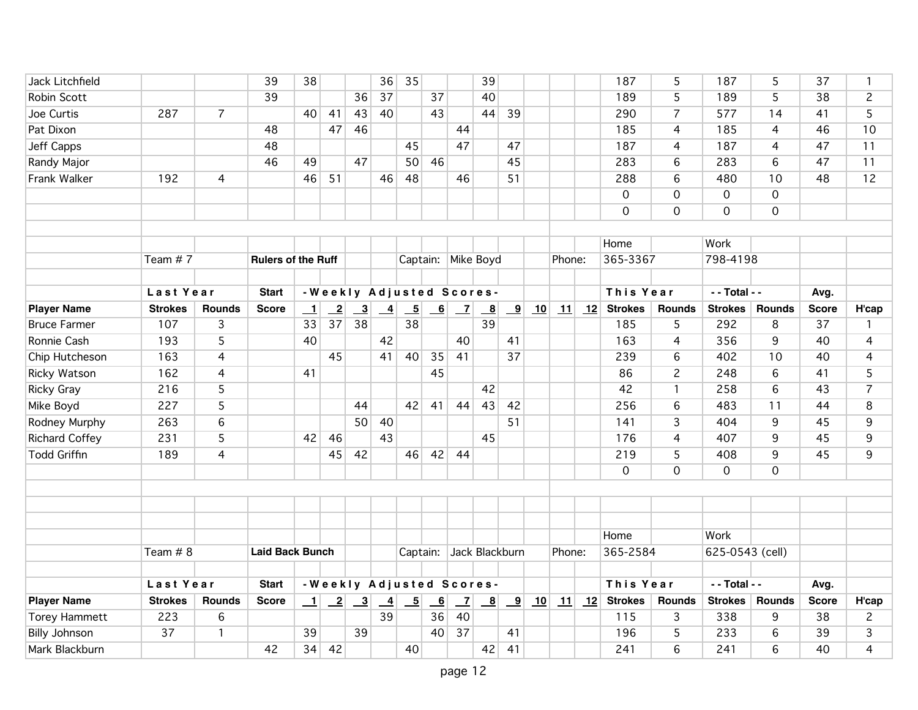| Jack Litchfield       |                |                | 39                        | 38               |                            |                                                             | 36              | 35                       |                |                | 39                      |                         |    |        |    | 187                               | 5               | 187             | 5              | 37           | $\mathbf 1$    |
|-----------------------|----------------|----------------|---------------------------|------------------|----------------------------|-------------------------------------------------------------|-----------------|--------------------------|----------------|----------------|-------------------------|-------------------------|----|--------|----|-----------------------------------|-----------------|-----------------|----------------|--------------|----------------|
| Robin Scott           |                |                | 39                        |                  |                            | 36                                                          | 37              |                          | 37             |                | 40                      |                         |    |        |    | 189                               | 5               | 189             | 5              | 38           | $\overline{c}$ |
| Joe Curtis            | 287            | $\overline{7}$ |                           | 40               | 41                         | 43                                                          | 40              |                          | 43             |                | 44                      | 39                      |    |        |    | 290                               | $\overline{7}$  | 577             | 14             | 41           | 5              |
| Pat Dixon             |                |                | 48                        |                  | 47                         | 46                                                          |                 |                          |                | 44             |                         |                         |    |        |    | 185                               | $\overline{4}$  | 185             | $\overline{4}$ | 46           | 10             |
| <b>Jeff Capps</b>     |                |                | 48                        |                  |                            |                                                             |                 | 45                       |                | 47             |                         | 47                      |    |        |    | 187                               | 4               | 187             | 4              | 47           | 11             |
| Randy Major           |                |                | 46                        | 49               |                            | 47                                                          |                 | 50                       | 46             |                |                         | 45                      |    |        |    | 283                               | 6               | 283             | 6              | 47           | 11             |
| Frank Walker          | 192            | $\overline{4}$ |                           | 46               | 51                         |                                                             | 46              | 48                       |                | 46             |                         | 51                      |    |        |    | 288                               | 6               | 480             | 10             | 48           | 12             |
|                       |                |                |                           |                  |                            |                                                             |                 |                          |                |                |                         |                         |    |        |    | $\mathbf 0$                       | $\overline{0}$  | $\overline{0}$  | $\overline{0}$ |              |                |
|                       |                |                |                           |                  |                            |                                                             |                 |                          |                |                |                         |                         |    |        |    | $\mathbf 0$                       | $\mathsf{O}$    | $\mathbf 0$     | $\mathbf 0$    |              |                |
|                       |                |                |                           |                  |                            |                                                             |                 |                          |                |                |                         |                         |    |        |    |                                   |                 |                 |                |              |                |
|                       |                |                |                           |                  |                            |                                                             |                 |                          |                |                |                         |                         |    |        |    | Home                              |                 | Work            |                |              |                |
|                       | Team #7        |                | <b>Rulers of the Ruff</b> |                  |                            |                                                             |                 |                          |                |                | Captain: Mike Boyd      |                         |    | Phone: |    | 365-3367                          |                 | 798-4198        |                |              |                |
|                       |                |                |                           |                  |                            |                                                             |                 |                          |                |                |                         |                         |    |        |    |                                   |                 |                 |                |              |                |
|                       | Last Year      |                | <b>Start</b>              |                  |                            | - Weekly Adjusted Scores-                                   |                 |                          |                |                |                         |                         |    |        |    | This Year                         |                 | - - Total - -   |                | Avg.         |                |
| <b>Player Name</b>    | <b>Strokes</b> | <b>Rounds</b>  | <b>Score</b>              | $\perp$          | $\overline{\phantom{2}}^2$ | $\overline{3}$                                              | $\overline{-4}$ | $\overline{\phantom{0}}$ | 6              | $\overline{z}$ | $\overline{\mathbf{g}}$ | $\overline{9}$          | 10 | 11     | 12 | <b>Strokes</b>                    | <b>Rounds</b>   | <b>Strokes</b>  | <b>Rounds</b>  | <b>Score</b> | H'cap          |
| <b>Bruce Farmer</b>   | 107            | 3              |                           | 33               | 37                         | $\overline{38}$                                             |                 | 38                       |                |                | 39                      |                         |    |        |    | 185                               | 5               | 292             | $\,8\,$        | 37           | $\mathbf{1}$   |
| Ronnie Cash           | 193            | 5              |                           | 40               |                            |                                                             | 42              |                          |                | 40             |                         | 41                      |    |        |    | 163                               | 4               | 356             | 9              | 40           | 4              |
| Chip Hutcheson        | 163            | 4              |                           |                  | 45                         |                                                             | 41              | 40                       | 35             | 41             |                         | 37                      |    |        |    | 239                               | 6               | 402             | 10             | 40           | $\overline{4}$ |
| Ricky Watson          | 162            | $\overline{4}$ |                           | 41               |                            |                                                             |                 |                          | 45             |                |                         |                         |    |        |    | 86                                | $\overline{c}$  | 248             | 6              | 41           | 5              |
| <b>Ricky Gray</b>     | 216            | 5              |                           |                  |                            |                                                             |                 |                          |                |                | 42                      |                         |    |        |    | 42                                | $\mathbf{1}$    | 258             | $6\phantom{a}$ | 43           | $\overline{7}$ |
| Mike Boyd             | 227            | 5              |                           |                  |                            | 44                                                          |                 | 42                       | 41             | 44             | 43                      | 42                      |    |        |    | 256                               | 6               | 483             | 11             | 44           | 8              |
| Rodney Murphy         | 263            | 6              |                           |                  |                            | 50                                                          | 40              |                          |                |                |                         | 51                      |    |        |    | 141                               | 3               | 404             | 9              | 45           | 9              |
| <b>Richard Coffey</b> | 231            | 5              |                           | 42               | 46                         |                                                             | 43              |                          |                |                | 45                      |                         |    |        |    | 176                               | $\overline{4}$  | 407             | 9              | 45           | 9              |
| <b>Todd Griffin</b>   | 189            | 4              |                           |                  | 45                         | 42                                                          |                 | 46                       | 42             | 44             |                         |                         |    |        |    | 219                               | 5               | 408             | 9              | 45           | 9              |
|                       |                |                |                           |                  |                            |                                                             |                 |                          |                |                |                         |                         |    |        |    | $\mathbf 0$                       | 0               | $\mathbf 0$     | $\Omega$       |              |                |
|                       |                |                |                           |                  |                            |                                                             |                 |                          |                |                |                         |                         |    |        |    |                                   |                 |                 |                |              |                |
|                       |                |                |                           |                  |                            |                                                             |                 |                          |                |                |                         |                         |    |        |    |                                   |                 |                 |                |              |                |
|                       |                |                |                           |                  |                            |                                                             |                 |                          |                |                |                         |                         |    |        |    |                                   |                 |                 |                |              |                |
|                       |                |                |                           |                  |                            |                                                             |                 |                          |                |                |                         |                         |    |        |    | Home                              |                 | Work            |                |              |                |
|                       | Team # 8       |                | <b>Laid Back Bunch</b>    |                  |                            |                                                             |                 | Captain:                 |                |                | Jack Blackburn          |                         |    | Phone: |    | 365-2584                          |                 | 625-0543 (cell) |                |              |                |
|                       |                |                |                           |                  |                            |                                                             |                 |                          |                |                |                         |                         |    |        |    |                                   |                 |                 |                |              |                |
|                       | Last Year      |                | <b>Start</b>              |                  |                            | -Weekly Adjusted Scores-                                    |                 |                          |                |                |                         |                         |    |        |    | This Year                         |                 | - - Total - -   |                | Avg.         |                |
| <b>Player Name</b>    | <b>Strokes</b> | <b>Rounds</b>  | <b>Score</b>              | $\mathbf{\perp}$ |                            | $\begin{array}{ c c c } \hline 2 & 3 \\ \hline \end{array}$ | $\overline{-4}$ | $\overline{\phantom{0}}$ | $\overline{6}$ | $\mathbf{Z}$   | $\overline{\mathbf{8}}$ | $\overline{\mathbf{9}}$ | 10 |        |    | $\boxed{11}$ $\boxed{12}$ Strokes | <b>Rounds</b>   | <b>Strokes</b>  | <b>Rounds</b>  | <b>Score</b> | H'cap          |
| <b>Torey Hammett</b>  | 223            | 6              |                           |                  |                            |                                                             | 39              |                          | 36             | 40             |                         |                         |    |        |    | 115                               | 3               | 338             | 9              | 38           | $\overline{2}$ |
| <b>Billy Johnson</b>  | 37             | $\mathbf{1}$   |                           | 39               |                            | 39                                                          |                 |                          | 40             | 37             |                         | 41                      |    |        |    | 196                               | 5               | 233             | 6              | 39           | 3              |
| Mark Blackburn        |                |                | 42                        | 34               | 42                         |                                                             |                 | 40                       |                |                | 42                      | 41                      |    |        |    | 241                               | $6\overline{6}$ | 241             | 6              | 40           | $\overline{4}$ |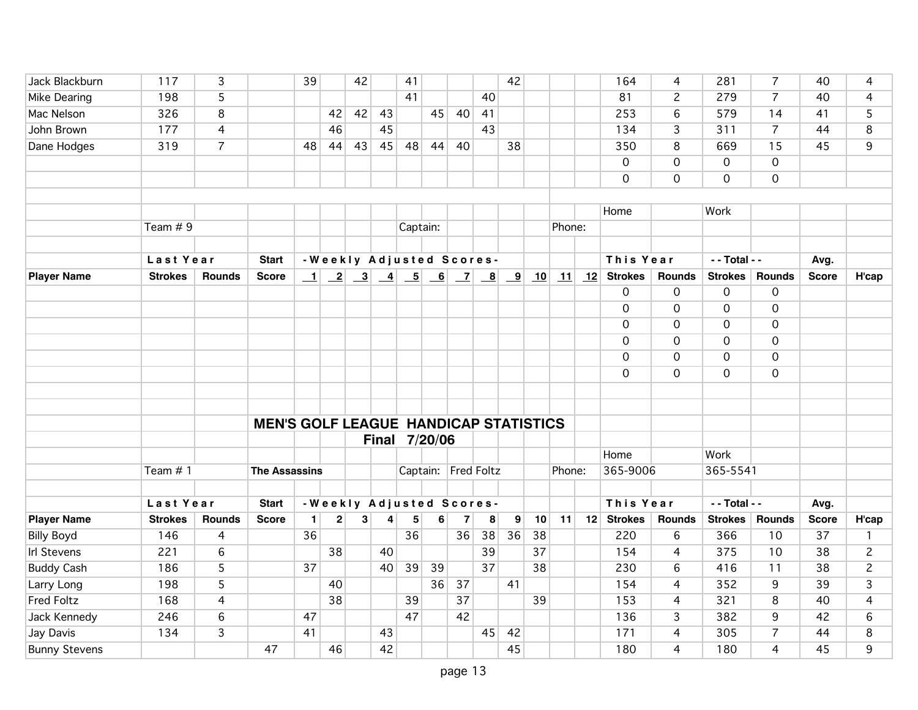| Jack Blackburn       | 117            | 3              |                                              | 39        |                         | 42 |    | 41       |               |                |                          | 42           |    |        |    | 164            | 4                   | 281             | $\overline{7}$      | 40              | 4              |
|----------------------|----------------|----------------|----------------------------------------------|-----------|-------------------------|----|----|----------|---------------|----------------|--------------------------|--------------|----|--------|----|----------------|---------------------|-----------------|---------------------|-----------------|----------------|
| Mike Dearing         | 198            | 5              |                                              |           |                         |    |    | 41       |               |                | 40                       |              |    |        |    | 81             | $\overline{c}$      | 279             | $\overline{7}$      | 40              | 4              |
| Mac Nelson           | 326            | 8              |                                              |           | 42                      | 42 | 43 |          | 45            | 40             | 41                       |              |    |        |    | 253            | 6                   | 579             | 14                  | 41              | 5              |
| John Brown           | 177            | $\overline{4}$ |                                              |           | 46                      |    | 45 |          |               |                | 43                       |              |    |        |    | 134            | 3                   | 311             | $\overline{7}$      | 44              | 8              |
| Dane Hodges          | 319            | $\overline{7}$ |                                              | 48        | 44                      | 43 | 45 | 48       | 44            | 40             |                          | 38           |    |        |    | 350            | 8                   | 669             | 15                  | 45              | 9              |
|                      |                |                |                                              |           |                         |    |    |          |               |                |                          |              |    |        |    | $\mathbf{O}$   | $\mathbf 0$         | $\mathbf 0$     | $\mathbf 0$         |                 |                |
|                      |                |                |                                              |           |                         |    |    |          |               |                |                          |              |    |        |    | $\mathsf{O}$   | $\mathbf 0$         | $\mathsf{O}$    | $\mathbf 0$         |                 |                |
|                      |                |                |                                              |           |                         |    |    |          |               |                |                          |              |    |        |    |                |                     |                 |                     |                 |                |
|                      |                |                |                                              |           |                         |    |    |          |               |                |                          |              |    |        |    | Home           |                     | Work            |                     |                 |                |
|                      | Team $# 9$     |                |                                              |           |                         |    |    | Captain: |               |                |                          |              |    | Phone: |    |                |                     |                 |                     |                 |                |
|                      |                |                |                                              |           |                         |    |    |          |               |                |                          |              |    |        |    |                |                     |                 |                     |                 |                |
|                      | Last Year      |                | <b>Start</b>                                 |           |                         |    |    |          |               |                | -Weekly Adjusted Scores- |              |    |        |    | This Year      |                     | $-$ - Total - - |                     | Avg.            |                |
| <b>Player Name</b>   | <b>Strokes</b> | <b>Rounds</b>  | <b>Score</b>                                 | $\perp$   |                         |    |    |          |               |                |                          | 9            | 10 | 11     | 12 | <b>Strokes</b> | <b>Rounds</b>       | Strokes         | <b>Rounds</b>       | <b>Score</b>    | H'cap          |
|                      |                |                |                                              |           |                         |    |    |          |               |                |                          |              |    |        |    | 0              | 0                   | $\mathbf 0$     | $\mathsf{O}\xspace$ |                 |                |
|                      |                |                |                                              |           |                         |    |    |          |               |                |                          |              |    |        |    | $\mathbf 0$    | $\mathsf{O}\xspace$ | $\mathbf 0$     | $\mathsf{O}\xspace$ |                 |                |
|                      |                |                |                                              |           |                         |    |    |          |               |                |                          |              |    |        |    | $\overline{0}$ | $\mathbf 0$         | $\mathsf{O}$    | $\overline{0}$      |                 |                |
|                      |                |                |                                              |           |                         |    |    |          |               |                |                          |              |    |        |    | $\mathbf 0$    | $\mathbf 0$         | $\mathbf 0$     | $\mathbf 0$         |                 |                |
|                      |                |                |                                              |           |                         |    |    |          |               |                |                          |              |    |        |    | $\mathbf 0$    | $\mathsf{O}\xspace$ | $\mathsf{O}$    | $\mathbf 0$         |                 |                |
|                      |                |                |                                              |           |                         |    |    |          |               |                |                          |              |    |        |    | $\mathbf 0$    | $\mathbf 0$         | $\mathbf 0$     | $\overline{0}$      |                 |                |
|                      |                |                |                                              |           |                         |    |    |          |               |                |                          |              |    |        |    |                |                     |                 |                     |                 |                |
|                      |                |                |                                              |           |                         |    |    |          |               |                |                          |              |    |        |    |                |                     |                 |                     |                 |                |
|                      |                |                | <b>MEN'S GOLF LEAGUE HANDICAP STATISTICS</b> |           |                         |    |    |          |               |                |                          |              |    |        |    |                |                     |                 |                     |                 |                |
|                      |                |                |                                              |           |                         |    |    |          | Final 7/20/06 |                |                          |              |    |        |    |                |                     |                 |                     |                 |                |
|                      |                |                |                                              |           |                         |    |    |          |               |                |                          |              |    |        |    | Home           |                     | Work            |                     |                 |                |
|                      | Team $# 1$     |                | <b>The Assassins</b>                         |           |                         |    |    |          |               |                | Captain: Fred Foltz      |              |    | Phone: |    | 365-9006       |                     | 365-5541        |                     |                 |                |
|                      |                |                |                                              |           |                         |    |    |          |               |                |                          |              |    |        |    |                |                     |                 |                     |                 |                |
|                      | Last Year      |                | <b>Start</b>                                 |           |                         |    |    |          |               |                | -Weekly Adjusted Scores- |              |    |        |    | This Year      |                     | - - Total - -   |                     | Avg.            |                |
| <b>Player Name</b>   | <b>Strokes</b> | Rounds         | <b>Score</b>                                 | $\vert$ 1 | $\overline{\mathbf{c}}$ | 3  | 4  | 5        | 6             | $\overline{7}$ | 8                        | $\mathbf{9}$ | 10 | 11     |    | 12 Strokes     | Rounds              | Strokes         | <b>Rounds</b>       | <b>Score</b>    | H'cap          |
| <b>Billy Boyd</b>    | 146            | 4              |                                              | 36        |                         |    |    | 36       |               | 36             | 38                       | 36           | 38 |        |    | 220            | $6\phantom{a}$      | 366             | 10                  | 37              | $\mathbf{1}$   |
| <b>Irl Stevens</b>   | 221            | 6              |                                              |           | 38                      |    | 40 |          |               |                | 39                       |              | 37 |        |    | 154            | $\overline{4}$      | 375             | 10                  | 38              | $\overline{c}$ |
| <b>Buddy Cash</b>    | 186            | 5              |                                              | 37        |                         |    | 40 | 39       | 39            |                | $\overline{37}$          |              | 38 |        |    | 230            | 6                   | 416             | 11                  | $\overline{38}$ | $\overline{c}$ |
| Larry Long           | 198            | $\overline{5}$ |                                              |           | 40                      |    |    |          | 36            | 37             |                          | 41           |    |        |    | 154            | $\overline{4}$      | 352             | 9                   | 39              | $\overline{3}$ |
| <b>Fred Foltz</b>    | 168            | 4              |                                              |           | 38                      |    |    | 39       |               | 37             |                          |              | 39 |        |    | 153            | $\overline{4}$      | 321             | 8                   | 40              | 4              |
| Jack Kennedy         | 246            | $\,6$          |                                              | 47        |                         |    |    | 47       |               | 42             |                          |              |    |        |    | 136            | 3                   | 382             | 9                   | 42              | $\,6$          |
| Jay Davis            | 134            | $\overline{3}$ |                                              | 41        |                         |    | 43 |          |               |                | 45                       | 42           |    |        |    | 171            | $\overline{4}$      | 305             | $\overline{7}$      | 44              | 8              |
| <b>Bunny Stevens</b> |                |                | 47                                           |           | 46                      |    | 42 |          |               |                |                          | 45           |    |        |    | 180            | $\overline{4}$      | 180             | $\overline{4}$      | 45              | 9              |
|                      |                |                |                                              |           |                         |    |    |          |               |                |                          |              |    |        |    |                |                     |                 |                     |                 |                |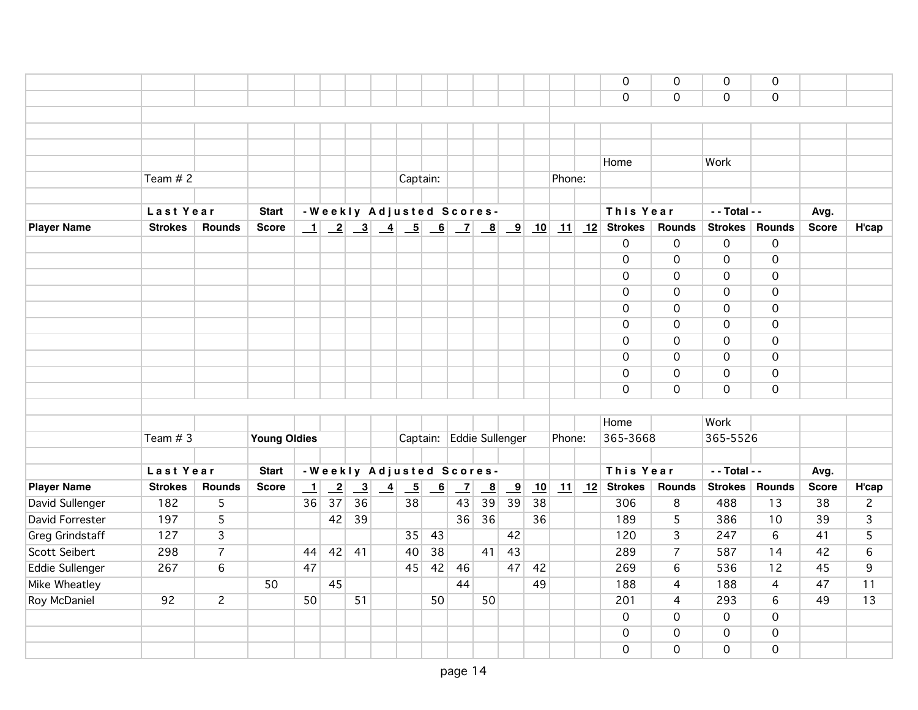|                        |                |                       |                     |         |                 |                         |                 |                           |                           |                          |                         |                         |    |        |    | $\mathbf 0$<br>$\mathbf 0$ | $\mathbf 0$<br>$\mathbf 0$ | $\mathbf 0$<br>$\mathbf 0$ | $\mathbf 0$<br>$\mathsf{O}$ |              |                |
|------------------------|----------------|-----------------------|---------------------|---------|-----------------|-------------------------|-----------------|---------------------------|---------------------------|--------------------------|-------------------------|-------------------------|----|--------|----|----------------------------|----------------------------|----------------------------|-----------------------------|--------------|----------------|
|                        |                |                       |                     |         |                 |                         |                 |                           |                           |                          |                         |                         |    |        |    | $\mathbf 0$                | $\mathbf 0$                | $\mathbf 0$                | $\mathbf 0$                 |              |                |
| Roy McDaniel           | 92             | $\mathbf{2}^{\prime}$ |                     | 50      |                 | 51                      |                 |                           | 50                        |                          | 50                      |                         |    |        |    | 201                        | $\overline{4}$             | 293                        | 6                           | 49           | 13             |
| Mike Wheatley          |                |                       | 50                  |         | 45              |                         |                 |                           |                           | 44                       |                         |                         | 49 |        |    | 188                        | $\overline{4}$             | 188                        | $\overline{4}$              | 47           | 11             |
| <b>Eddie Sullenger</b> | 267            | $\,6$                 |                     | 47      |                 |                         |                 | 45                        | 42                        | 46                       |                         | 47                      | 42 |        |    | 269                        | $\,6$                      | 536                        | 12                          | 45           | 9              |
| Scott Seibert          | 298            | $\overline{7}$        |                     | 44      | 42              | 41                      |                 | 40                        | 38                        |                          | 41                      | 43                      |    |        |    | 289                        | $\overline{7}$             | 587                        | 14                          | 42           | $6\phantom{a}$ |
| <b>Greg Grindstaff</b> | 127            | $\overline{3}$        |                     |         |                 |                         |                 | 35                        | 43                        |                          |                         | 42                      |    |        |    | 120                        | $\overline{3}$             | 247                        | 6                           | 41           | $\overline{5}$ |
| David Forrester        | 197            | $\overline{5}$        |                     |         | 42              | 39                      |                 |                           |                           | 36                       | $\overline{36}$         |                         | 36 |        |    | 189                        | 5                          | 386                        | 10                          | 39           | 3              |
| David Sullenger        | 182            | 5                     |                     | 36      | 37              | 36                      |                 | 38                        |                           | 43                       | 39                      | 39                      | 38 |        |    | 306                        | 8                          | 488                        | 13                          | 38           | $\mathbf{2}$   |
| <b>Player Name</b>     | <b>Strokes</b> | Rounds                | <b>Score</b>        | $\perp$ | $\overline{-2}$ | $\overline{\mathbf{3}}$ | $\overline{-4}$ | $\underline{\phantom{a}}$ | $\underline{\phantom{a}}$ | $\overline{z}$           | $\overline{\mathbf{8}}$ | $\overline{\mathbf{9}}$ | 10 | 11     |    | $12$ Strokes               | Rounds                     | <b>Strokes</b>             | <b>Rounds</b>               | <b>Score</b> | H'cap          |
|                        | Last Year      |                       | <b>Start</b>        |         |                 |                         |                 |                           |                           | -Weekly Adjusted Scores- |                         |                         |    |        |    | This Year                  |                            | - - Total - -              |                             | Avg.         |                |
|                        |                |                       |                     |         |                 |                         |                 |                           |                           |                          |                         |                         |    |        |    |                            |                            |                            |                             |              |                |
|                        | Team $# 3$     |                       | <b>Young Oldies</b> |         |                 |                         |                 |                           |                           | Captain: Eddie Sullenger |                         |                         |    | Phone: |    | 365-3668                   |                            | 365-5526                   |                             |              |                |
|                        |                |                       |                     |         |                 |                         |                 |                           |                           |                          |                         |                         |    |        |    | Home                       |                            | Work                       |                             |              |                |
|                        |                |                       |                     |         |                 |                         |                 |                           |                           |                          |                         |                         |    |        |    |                            |                            |                            |                             |              |                |
|                        |                |                       |                     |         |                 |                         |                 |                           |                           |                          |                         |                         |    |        |    | $\overline{O}$             | $\overline{0}$             | $\overline{O}$             | $\overline{0}$              |              |                |
|                        |                |                       |                     |         |                 |                         |                 |                           |                           |                          |                         |                         |    |        |    | $\mathbf{O}$               | $\mathbf 0$                | $\mathbf 0$                | $\mathbf 0$                 |              |                |
|                        |                |                       |                     |         |                 |                         |                 |                           |                           |                          |                         |                         |    |        |    | $\mathbf 0$                | $\mathbf 0$                | $\mathbf 0$                | $\mathbf 0$                 |              |                |
|                        |                |                       |                     |         |                 |                         |                 |                           |                           |                          |                         |                         |    |        |    | $\mathbf 0$                | $\mathsf{O}\xspace$        | $\overline{0}$             | $\mathbf 0$                 |              |                |
|                        |                |                       |                     |         |                 |                         |                 |                           |                           |                          |                         |                         |    |        |    | $\mathbf 0$                | $\mathbf 0$                | $\overline{O}$             | $\mathbf 0$                 |              |                |
|                        |                |                       |                     |         |                 |                         |                 |                           |                           |                          |                         |                         |    |        |    | $\mathbf 0$                | $\mathbf 0$                | $\overline{0}$             | $\mathbf 0$                 |              |                |
|                        |                |                       |                     |         |                 |                         |                 |                           |                           |                          |                         |                         |    |        |    | $\mathbf 0$                | $\overline{0}$             | $\overline{0}$             | $\overline{O}$              |              |                |
|                        |                |                       |                     |         |                 |                         |                 |                           |                           |                          |                         |                         |    |        |    | $\mathbf 0$                | $\mathbf 0$                | $\mathbf 0$                | $\mathbf 0$                 |              |                |
|                        |                |                       |                     |         |                 |                         |                 |                           |                           |                          |                         |                         |    |        |    | $\mathbf 0$                | $\mathsf{O}\xspace$        | $\mathbf 0$                | $\overline{O}$              |              |                |
|                        |                |                       |                     |         |                 |                         |                 |                           |                           |                          |                         |                         |    |        |    | $\mathbf 0$                | $\mathbf 0$                | $\mathbf 0$                | $\mathbf 0$                 |              |                |
| <b>Player Name</b>     | <b>Strokes</b> | <b>Rounds</b>         | <b>Score</b>        |         |                 |                         |                 |                           |                           |                          |                         |                         | 10 | 11     | 12 | <b>Strokes</b>             | Rounds                     | <b>Strokes</b>             | Rounds                      | <b>Score</b> | H'cap          |
|                        | Last Year      |                       | <b>Start</b>        |         |                 |                         |                 |                           |                           | -Weekly Adjusted Scores- |                         |                         |    |        |    | This Year                  |                            | - - Total - -              |                             | Avg.         |                |
|                        |                |                       |                     |         |                 |                         |                 |                           |                           |                          |                         |                         |    |        |    |                            |                            |                            |                             |              |                |
|                        | Team $# 2$     |                       |                     |         |                 |                         |                 | Captain:                  |                           |                          |                         |                         |    | Phone: |    |                            |                            |                            |                             |              |                |
|                        |                |                       |                     |         |                 |                         |                 |                           |                           |                          |                         |                         |    |        |    | Home                       |                            | Work                       |                             |              |                |
|                        |                |                       |                     |         |                 |                         |                 |                           |                           |                          |                         |                         |    |        |    |                            |                            |                            |                             |              |                |
|                        |                |                       |                     |         |                 |                         |                 |                           |                           |                          |                         |                         |    |        |    |                            |                            |                            |                             |              |                |
|                        |                |                       |                     |         |                 |                         |                 |                           |                           |                          |                         |                         |    |        |    | 0                          | $\overline{0}$             | $\Omega$                   | $\overline{0}$              |              |                |
|                        |                |                       |                     |         |                 |                         |                 |                           |                           |                          |                         |                         |    |        |    | $\mathbf 0$                | $\mathbf 0$                | 0                          | 0                           |              |                |
|                        |                |                       |                     |         |                 |                         |                 |                           |                           |                          |                         |                         |    |        |    |                            |                            |                            |                             |              |                |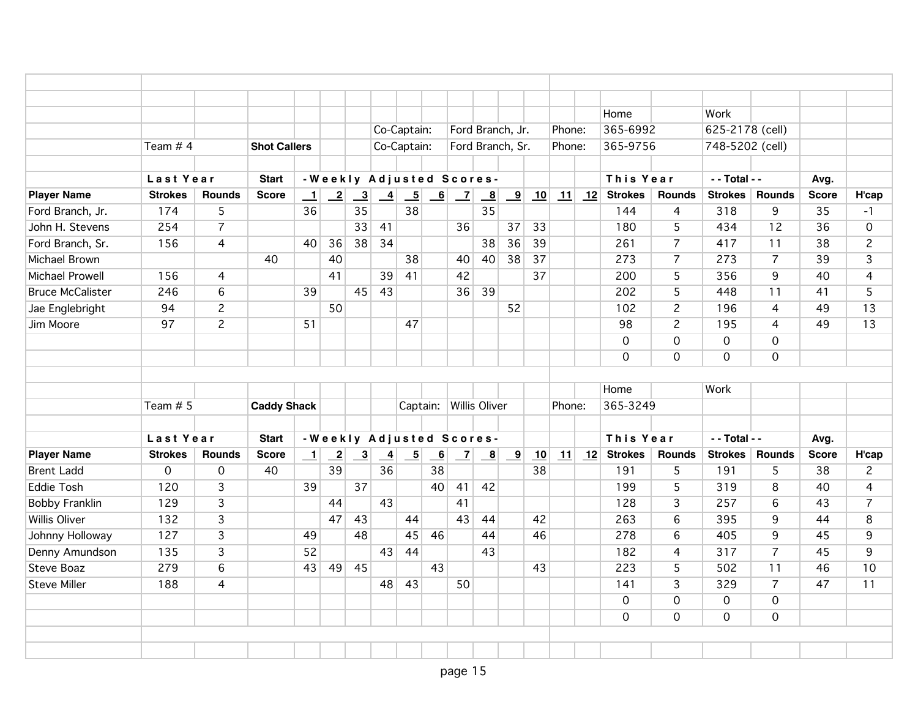|                         |                |                |                     |         |                           |                |                           |                          |                 |                      |                         |                         |    |        | Home                |                | Work                |                |              |                |
|-------------------------|----------------|----------------|---------------------|---------|---------------------------|----------------|---------------------------|--------------------------|-----------------|----------------------|-------------------------|-------------------------|----|--------|---------------------|----------------|---------------------|----------------|--------------|----------------|
|                         |                |                |                     |         |                           |                | Co-Captain:               |                          |                 |                      |                         | Ford Branch, Jr.        |    | Phone: | 365-6992            |                | 625-2178 (cell)     |                |              |                |
|                         | Team $# 4$     |                | <b>Shot Callers</b> |         |                           |                | Co-Captain:               |                          |                 |                      |                         | Ford Branch, Sr.        |    | Phone: | 365-9756            |                | 748-5202 (cell)     |                |              |                |
|                         | Last Year      |                | <b>Start</b>        |         |                           |                | - Weekly Adjusted Scores- |                          |                 |                      |                         |                         |    |        | This Year           |                | - - Total - -       |                | Avg.         |                |
| <b>Player Name</b>      | <b>Strokes</b> | <b>Rounds</b>  | <b>Score</b>        | $\perp$ | $\overline{-2}$           | $\overline{3}$ | $\overline{-4}$           | $\overline{\phantom{0}}$ | 6               | $\overline{z}$       | $\overline{\mathbf{8}}$ | $\overline{\mathbf{9}}$ | 10 | 11     | 12 Strokes          | <b>Rounds</b>  | <b>Strokes</b>      | <b>Rounds</b>  | <b>Score</b> | H'cap          |
| Ford Branch, Jr.        | 174            | 5              |                     | 36      |                           | 35             |                           | 38                       |                 |                      | 35                      |                         |    |        | 144                 | $\overline{4}$ | 318                 | 9              | 35           | $-1$           |
| John H. Stevens         | 254            | $\overline{7}$ |                     |         |                           | 33             | 41                        |                          |                 | 36                   |                         | 37                      | 33 |        | 180                 | 5              | 434                 | 12             | 36           | $\mathbf 0$    |
| Ford Branch, Sr.        | 156            | $\overline{4}$ |                     | 40      | 36                        | 38             | 34                        |                          |                 |                      | 38                      | 36                      | 39 |        | 261                 | $\overline{7}$ | 417                 | 11             | 38           | $\overline{c}$ |
| Michael Brown           |                |                | 40                  |         | 40                        |                |                           | 38                       |                 | 40                   | 40                      | 38                      | 37 |        | 273                 | 7              | 273                 | $\overline{7}$ | 39           | $\overline{3}$ |
| <b>Michael Prowell</b>  | 156            | $\overline{4}$ |                     |         | 41                        |                | 39                        | 41                       |                 | 42                   |                         |                         | 37 |        | 200                 | 5              | 356                 | 9              | 40           | $\overline{4}$ |
| <b>Bruce McCalister</b> | 246            | 6              |                     | 39      |                           | 45             | 43                        |                          |                 | 36                   | 39                      |                         |    |        | 202                 | $\overline{5}$ | 448                 | 11             | 41           | $\overline{5}$ |
| Jae Englebright         | 94             | $\overline{c}$ |                     |         | 50                        |                |                           |                          |                 |                      |                         | 52                      |    |        | 102                 | $\overline{c}$ | 196                 | $\overline{4}$ | 49           | 13             |
| Jim Moore               | 97             | $\overline{c}$ |                     | 51      |                           |                |                           | 47                       |                 |                      |                         |                         |    |        | 98                  | $\overline{c}$ | 195                 | $\overline{4}$ | 49           | 13             |
|                         |                |                |                     |         |                           |                |                           |                          |                 |                      |                         |                         |    |        | $\overline{0}$      | $\mathsf{O}$   | $\mathbf 0$         | $\mathbf 0$    |              |                |
|                         |                |                |                     |         |                           |                |                           |                          |                 |                      |                         |                         |    |        | $\mathbf 0$         | $\mathsf{O}$   | $\mathbf 0$         | $\mathbf 0$    |              |                |
|                         |                |                |                     |         |                           |                |                           |                          |                 |                      |                         |                         |    |        |                     |                |                     |                |              |                |
|                         |                |                |                     |         |                           |                |                           |                          |                 |                      |                         |                         |    |        | Home                |                | Work                |                |              |                |
|                         | Team $# 5$     |                | <b>Caddy Shack</b>  |         |                           |                |                           | Captain:                 |                 | <b>Willis Oliver</b> |                         |                         |    | Phone: | 365-3249            |                |                     |                |              |                |
|                         |                |                |                     |         |                           |                |                           |                          |                 |                      |                         |                         |    |        |                     |                |                     |                |              |                |
|                         | Last Year      |                | <b>Start</b>        |         |                           |                | - Weekly Adjusted Scores- |                          |                 |                      |                         |                         |    |        | This Year           |                | - - Total - -       |                | Ava.         |                |
| <b>Player Name</b>      | <b>Strokes</b> | <b>Rounds</b>  | <b>Score</b>        | $\perp$ | $\overline{\phantom{0}2}$ | $\frac{3}{2}$  | $\overline{-4}$           | $\overline{-5}$          | $\underline{6}$ | $\overline{z}$       | $\frac{8}{1}$           | $\overline{\mathbf{9}}$ | 10 | 11     | $12$ Strokes        | <b>Rounds</b>  | <b>Strokes</b>      | <b>Rounds</b>  | <b>Score</b> | H'cap          |
| <b>Brent Ladd</b>       | 0              | $\overline{O}$ | 40                  |         | 39                        |                | 36                        |                          | 38              |                      |                         |                         | 38 |        | 191                 | 5              | 191                 | 5              | 38           | $\overline{c}$ |
| <b>Eddie Tosh</b>       | 120            | $\overline{3}$ |                     | 39      |                           | 37             |                           |                          | 40              | 41                   | 42                      |                         |    |        | 199                 | 5              | 319                 | 8              | 40           | $\overline{4}$ |
| <b>Bobby Franklin</b>   | 129            | 3              |                     |         | 44                        |                | 43                        |                          |                 | 41                   |                         |                         |    |        | 128                 | 3              | 257                 | 6              | 43           | $\overline{7}$ |
| <b>Willis Oliver</b>    | 132            | 3              |                     |         | 47                        | 43             |                           | 44                       |                 | 43                   | 44                      |                         | 42 |        | 263                 | 6              | 395                 | 9              | 44           | 8              |
| Johnny Holloway         | 127            | 3              |                     | 49      |                           | 48             |                           | 45                       | 46              |                      | 44                      |                         | 46 |        | 278                 | 6              | 405                 | 9              | 45           | 9              |
| Denny Amundson          | 135            | 3              |                     | 52      |                           |                | 43                        | 44                       |                 |                      | 43                      |                         |    |        | 182                 | 4              | 317                 | $\overline{7}$ | 45           | 9              |
| Steve Boaz              | 279            | 6              |                     | 43      | 49                        | 45             |                           |                          | 43              |                      |                         |                         | 43 |        | 223                 | 5              | 502                 | 11             | 46           | 10             |
| <b>Steve Miller</b>     | 188            | 4              |                     |         |                           |                | 48                        | 43                       |                 | 50                   |                         |                         |    |        | 141                 | 3              | 329                 | $\overline{7}$ | 47           | 11             |
|                         |                |                |                     |         |                           |                |                           |                          |                 |                      |                         |                         |    |        | $\mathsf{O}\xspace$ | 0              | $\mathsf{O}\xspace$ | $\mathbf 0$    |              |                |
|                         |                |                |                     |         |                           |                |                           |                          |                 |                      |                         |                         |    |        | $\mathbf 0$         | $\mathsf{O}$   | $\mathbf 0$         | $\mathbf 0$    |              |                |
|                         |                |                |                     |         |                           |                |                           |                          |                 |                      |                         |                         |    |        |                     |                |                     |                |              |                |
|                         |                |                |                     |         |                           |                |                           |                          |                 |                      |                         |                         |    |        |                     |                |                     |                |              |                |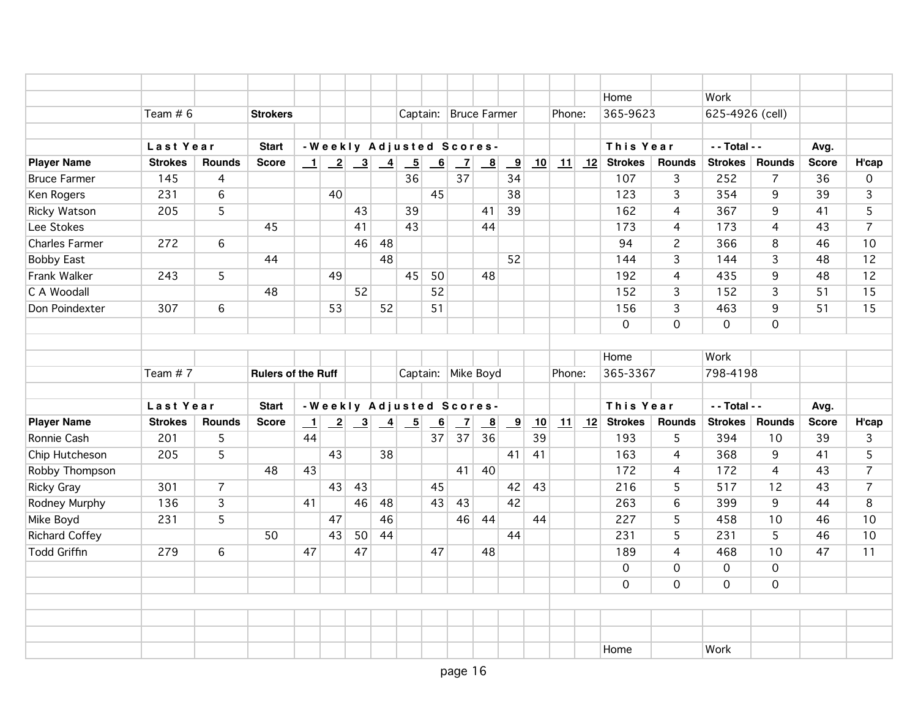|                       |                |                 |                           |         |    |                                                                            |    |                                                                                 |      |                |                         |                         |    |        | Home                |                | Work            |                |              |                |
|-----------------------|----------------|-----------------|---------------------------|---------|----|----------------------------------------------------------------------------|----|---------------------------------------------------------------------------------|------|----------------|-------------------------|-------------------------|----|--------|---------------------|----------------|-----------------|----------------|--------------|----------------|
|                       | Team $# 6$     |                 | <b>Strokers</b>           |         |    |                                                                            |    |                                                                                 |      |                | Captain: Bruce Farmer   |                         |    | Phone: | 365-9623            |                | 625-4926 (cell) |                |              |                |
|                       |                |                 |                           |         |    |                                                                            |    |                                                                                 |      |                |                         |                         |    |        |                     |                |                 |                |              |                |
|                       | Last Year      |                 | <b>Start</b>              |         |    |                                                                            |    | -Weekly Adjusted Scores-                                                        |      |                |                         |                         |    |        | This Year           |                | - - Total - -   |                | Avg.         |                |
| <b>Player Name</b>    | <b>Strokes</b> | <b>Rounds</b>   | <b>Score</b>              |         |    | $\begin{array}{ c c c c c c } \hline -1 & 2 & 3 & 4 \\ \hline \end{array}$ |    | $\boxed{5}$                                                                     | $-6$ | $\mathbf{Z}$   | $\mathbf{B}$            | $\overline{\mathbf{9}}$ | 10 | 11     | $\sqrt{12}$ Strokes | <b>Rounds</b>  | <b>Strokes</b>  | <b>Rounds</b>  | <b>Score</b> | H'cap          |
| <b>Bruce Farmer</b>   | 145            | 4               |                           |         |    |                                                                            |    | 36                                                                              |      | 37             |                         | 34                      |    |        | 107                 | 3              | 252             | $\overline{7}$ | 36           | $\mathbf{0}$   |
| Ken Rogers            | 231            | $6\overline{6}$ |                           |         | 40 |                                                                            |    |                                                                                 | 45   |                |                         | 38                      |    |        | 123                 | $\overline{3}$ | 354             | 9              | 39           | 3              |
| Ricky Watson          | 205            | 5               |                           |         |    | 43                                                                         |    | 39                                                                              |      |                | 41                      | 39                      |    |        | 162                 | $\overline{4}$ | 367             | 9              | 41           | 5              |
| Lee Stokes            |                |                 | 45                        |         |    | 41                                                                         |    | 43                                                                              |      |                | 44                      |                         |    |        | 173                 | 4              | 173             | 4              | 43           | $\overline{7}$ |
| <b>Charles Farmer</b> | 272            | 6               |                           |         |    | 46                                                                         | 48 |                                                                                 |      |                |                         |                         |    |        | 94                  | $\mathbf{2}$   | 366             | 8              | 46           | 10             |
| <b>Bobby East</b>     |                |                 | 44                        |         |    |                                                                            | 48 |                                                                                 |      |                |                         | 52                      |    |        | 144                 | 3              | 144             | 3              | 48           | 12             |
| Frank Walker          | 243            | 5               |                           |         | 49 |                                                                            |    | 45                                                                              | 50   |                | 48                      |                         |    |        | 192                 | $\overline{4}$ | 435             | 9              | 48           | 12             |
| C A Woodall           |                |                 | 48                        |         |    | 52                                                                         |    |                                                                                 | 52   |                |                         |                         |    |        | 152                 | $\overline{3}$ | 152             | $\overline{3}$ | 51           | 15             |
| Don Poindexter        | 307            | 6               |                           |         | 53 |                                                                            | 52 |                                                                                 | 51   |                |                         |                         |    |        | 156                 | 3              | 463             | 9              | 51           | 15             |
|                       |                |                 |                           |         |    |                                                                            |    |                                                                                 |      |                |                         |                         |    |        | 0                   | $\mathbf 0$    | $\mathbf{O}$    | $\mathbf 0$    |              |                |
|                       |                |                 |                           |         |    |                                                                            |    |                                                                                 |      |                |                         |                         |    |        |                     |                |                 |                |              |                |
|                       |                |                 |                           |         |    |                                                                            |    |                                                                                 |      |                |                         |                         |    |        | Home                |                | Work            |                |              |                |
|                       | Team #7        |                 | <b>Rulers of the Ruff</b> |         |    |                                                                            |    |                                                                                 |      |                | Captain: Mike Boyd      |                         |    | Phone: | 365-3367            |                | 798-4198        |                |              |                |
|                       |                |                 |                           |         |    |                                                                            |    |                                                                                 |      |                |                         |                         |    |        |                     |                |                 |                |              |                |
|                       | Last Year      |                 | <b>Start</b>              |         |    |                                                                            |    | -Weekly Adjusted Scores-                                                        |      |                |                         |                         |    |        | This Year           |                | $-$ - Total - - |                | Avg.         |                |
| <b>Player Name</b>    | <b>Strokes</b> | Rounds          | <b>Score</b>              | $\perp$ |    |                                                                            |    | $\begin{array}{ c c c c c c c c c } \hline 2 & 3 & 4 & 5 \\ \hline \end{array}$ | 6    | $\overline{z}$ | $\overline{\mathbf{8}}$ | $\overline{\mathbf{9}}$ | 10 | 11     | 12 Strokes          | <b>Rounds</b>  | <b>Strokes</b>  | <b>Rounds</b>  | <b>Score</b> | H'cap          |
| Ronnie Cash           | 201            | 5               |                           | 44      |    |                                                                            |    |                                                                                 | 37   | 37             | 36                      |                         | 39 |        | 193                 | 5              | 394             | 10             | 39           | $\overline{3}$ |
| Chip Hutcheson        | 205            | 5               |                           |         | 43 |                                                                            | 38 |                                                                                 |      |                |                         | 41                      | 41 |        | 163                 | $\overline{4}$ | 368             | 9              | 41           | 5              |
| Robby Thompson        |                |                 | 48                        | 43      |    |                                                                            |    |                                                                                 |      | 41             | 40                      |                         |    |        | 172                 | 4              | 172             | 4              | 43           | $\overline{7}$ |
| <b>Ricky Gray</b>     | 301            | $\overline{7}$  |                           |         | 43 | 43                                                                         |    |                                                                                 | 45   |                |                         | 42                      | 43 |        | 216                 | 5              | 517             | 12             | 43           | $\overline{7}$ |
| Rodney Murphy         | 136            | 3               |                           | 41      |    | 46                                                                         | 48 |                                                                                 | 43   | 43             |                         | 42                      |    |        | 263                 | 6              | 399             | 9              | 44           | 8              |
| Mike Boyd             | 231            | 5               |                           |         | 47 |                                                                            | 46 |                                                                                 |      | 46             | 44                      |                         | 44 |        | 227                 | 5              | 458             | 10             | 46           | 10             |
| <b>Richard Coffey</b> |                |                 | 50                        |         | 43 | 50                                                                         | 44 |                                                                                 |      |                |                         | 44                      |    |        | 231                 | 5              | 231             | 5              | 46           | 10             |
| <b>Todd Griffin</b>   | 279            | 6               |                           | 47      |    | 47                                                                         |    |                                                                                 | 47   |                | 48                      |                         |    |        | 189                 | $\overline{4}$ | 468             | 10             | 47           | 11             |
|                       |                |                 |                           |         |    |                                                                            |    |                                                                                 |      |                |                         |                         |    |        | 0                   | 0              | $\mathbf 0$     | $\mathbf 0$    |              |                |
|                       |                |                 |                           |         |    |                                                                            |    |                                                                                 |      |                |                         |                         |    |        | $\mathbf 0$         | $\mathbf 0$    | $\mathbf 0$     | $\mathbf 0$    |              |                |
|                       |                |                 |                           |         |    |                                                                            |    |                                                                                 |      |                |                         |                         |    |        |                     |                |                 |                |              |                |
|                       |                |                 |                           |         |    |                                                                            |    |                                                                                 |      |                |                         |                         |    |        |                     |                |                 |                |              |                |
|                       |                |                 |                           |         |    |                                                                            |    |                                                                                 |      |                |                         |                         |    |        |                     |                |                 |                |              |                |
|                       |                |                 |                           |         |    |                                                                            |    |                                                                                 |      |                |                         |                         |    |        | Home                |                | Work            |                |              |                |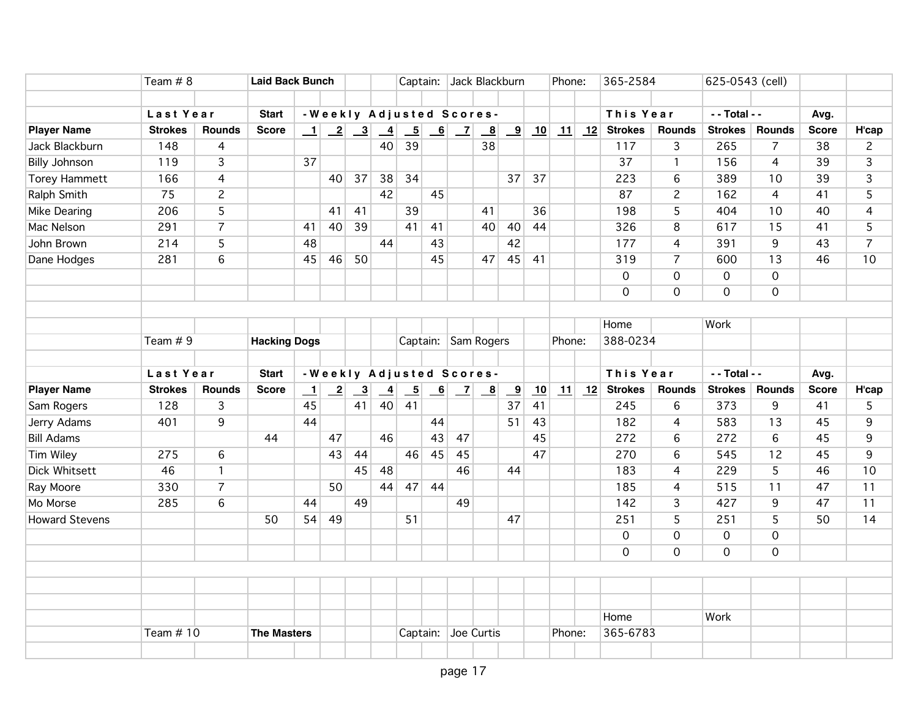|                                      | Team $# 8$     |                | <b>Laid Back Bunch</b> |         |                          |                                                             |                       |                                |                          |                 | Captain: Jack Blackburn   |                         |    | Phone: |         | 365-2584       |                | 625-0543 (cell) |                     |                    |                         |
|--------------------------------------|----------------|----------------|------------------------|---------|--------------------------|-------------------------------------------------------------|-----------------------|--------------------------------|--------------------------|-----------------|---------------------------|-------------------------|----|--------|---------|----------------|----------------|-----------------|---------------------|--------------------|-------------------------|
|                                      | Last Year      |                | <b>Start</b>           |         |                          |                                                             |                       |                                |                          |                 | -Weekly Adjusted Scores-  |                         |    |        |         | This Year      |                | - - Total - -   |                     |                    |                         |
|                                      | <b>Strokes</b> | <b>Rounds</b>  | <b>Score</b>           |         |                          |                                                             |                       |                                |                          |                 |                           |                         |    |        |         | <b>Strokes</b> | <b>Rounds</b>  | <b>Strokes</b>  | <b>Rounds</b>       | Avg.               |                         |
| <b>Player Name</b><br>Jack Blackburn | 148            | 4              |                        | $\perp$ |                          | $\begin{array}{ c c c } \hline 2 & 3 \\ \hline \end{array}$ | $\overline{-4}$<br>40 | $\overline{\phantom{0}}$<br>39 | $\overline{\phantom{0}}$ | $\vert$ $\vert$ | $\mathbf{B}$<br>38        | $\overline{9}$          | 10 |        | $11$ 12 | 117            | 3              | 265             | $\overline{7}$      | <b>Score</b><br>38 | H'cap<br>$\overline{c}$ |
|                                      |                |                |                        |         |                          |                                                             |                       |                                |                          |                 |                           |                         |    |        |         |                |                |                 |                     |                    |                         |
| <b>Billy Johnson</b>                 | 119            | $\overline{3}$ |                        | 37      |                          |                                                             |                       |                                |                          |                 |                           |                         |    |        |         | 37             | $\mathbf{1}$   | 156             | $\overline{4}$      | 39                 | $\overline{3}$          |
| <b>Torey Hammett</b>                 | 166            | 4              |                        |         | 40 <sup>1</sup>          | 37                                                          | 38                    | 34                             |                          |                 |                           | 37                      | 37 |        |         | 223            | 6              | 389             | 10                  | 39                 | $\overline{3}$          |
| Ralph Smith                          | 75             | $\overline{2}$ |                        |         |                          |                                                             | 42                    |                                | 45                       |                 |                           |                         |    |        |         | 87             | $\overline{2}$ | 162             | $\overline{4}$      | 41                 | $\overline{5}$          |
| Mike Dearing                         | 206            | 5              |                        |         | 41                       | 41                                                          |                       | 39                             |                          |                 | 41                        |                         | 36 |        |         | 198            | 5              | 404             | 10                  | 40                 | $\overline{4}$          |
| Mac Nelson                           | 291            | $\overline{7}$ |                        | 41      | 40                       | 39                                                          |                       | $\overline{41}$                | 41                       |                 | 40                        | 40                      | 44 |        |         | 326            | $\bf 8$        | 617             | 15                  | 41                 | $\overline{5}$          |
| John Brown                           | 214            | 5              |                        | 48      |                          |                                                             | 44                    |                                | 43                       |                 |                           | 42                      |    |        |         | 177            | 4              | 391             | 9                   | 43                 | $\overline{7}$          |
| Dane Hodges                          | 281            | 6              |                        | 45      | 46                       | 50                                                          |                       |                                | 45                       |                 | 47                        | 45                      | 41 |        |         | 319            | $\overline{7}$ | 600             | 13                  | 46                 | 10                      |
|                                      |                |                |                        |         |                          |                                                             |                       |                                |                          |                 |                           |                         |    |        |         | $\mathbf 0$    | 0              | $\mathbf 0$     | $\mathsf{O}$        |                    |                         |
|                                      |                |                |                        |         |                          |                                                             |                       |                                |                          |                 |                           |                         |    |        |         | $\mathbf 0$    | $\mathbf 0$    | $\mathbf 0$     | $\overline{0}$      |                    |                         |
|                                      |                |                |                        |         |                          |                                                             |                       |                                |                          |                 |                           |                         |    |        |         |                |                |                 |                     |                    |                         |
|                                      |                |                |                        |         |                          |                                                             |                       |                                |                          |                 |                           |                         |    |        |         | Home           |                | Work            |                     |                    |                         |
|                                      | Team $# 9$     |                | <b>Hacking Dogs</b>    |         |                          |                                                             |                       |                                |                          |                 | Captain: Sam Rogers       |                         |    | Phone: |         | 388-0234       |                |                 |                     |                    |                         |
|                                      |                |                |                        |         |                          |                                                             |                       |                                |                          |                 |                           |                         |    |        |         |                |                |                 |                     |                    |                         |
|                                      |                |                |                        |         |                          |                                                             |                       |                                |                          |                 |                           |                         |    |        |         |                |                |                 |                     |                    |                         |
|                                      | Last Year      |                | <b>Start</b>           |         | -Weekly Adjusted Scores- |                                                             |                       |                                |                          |                 |                           |                         |    |        |         | This Year      |                | - - Total - -   |                     | Avg.               |                         |
| <b>Player Name</b>                   | <b>Strokes</b> | <b>Rounds</b>  | <b>Score</b>           | $\perp$ | $\overline{-2}$          | $\overline{\phantom{a}3}$                                   | $\overline{-4}$       | $\overline{-5}$                | $\overline{-6}$          | $\mathbf{Z}$    | $\underline{\phantom{a}}$ | $\overline{\mathbf{9}}$ | 10 | 11     | 12      | <b>Strokes</b> | <b>Rounds</b>  | <b>Strokes</b>  | <b>Rounds</b>       | <b>Score</b>       | H'cap                   |
| Sam Rogers                           | 128            | 3              |                        | 45      |                          | 41                                                          | 40                    | 41                             |                          |                 |                           | 37                      | 41 |        |         | 245            | 6              | 373             | 9                   | 41                 | 5                       |
| Jerry Adams                          | 401            | 9              |                        | 44      |                          |                                                             |                       |                                | 44                       |                 |                           | 51                      | 43 |        |         | 182            | $\overline{4}$ | 583             | 13                  | 45                 | 9                       |
| <b>Bill Adams</b>                    |                |                | 44                     |         | 47                       |                                                             | 46                    |                                | 43                       | 47              |                           |                         | 45 |        |         | 272            | 6              | 272             | 6                   | 45                 | 9                       |
| Tim Wiley                            | 275            | 6              |                        |         | 43                       | 44                                                          |                       | 46                             | 45                       | 45              |                           |                         | 47 |        |         | 270            | 6              | 545             | 12                  | 45                 | 9                       |
| <b>Dick Whitsett</b>                 | 46             | $\mathbf{1}$   |                        |         |                          | 45                                                          | 48                    |                                |                          | 46              |                           | 44                      |    |        |         | 183            | $\overline{4}$ | 229             | 5                   | 46                 | 10                      |
| Ray Moore                            | 330            | $\overline{7}$ |                        |         | 50                       |                                                             | 44                    | 47                             | 44                       |                 |                           |                         |    |        |         | 185            | $\overline{4}$ | 515             | 11                  | 47                 | 11                      |
| Mo Morse                             | 285            | $\,6$          |                        | 44      |                          | 49                                                          |                       |                                |                          | 49              |                           |                         |    |        |         | 142            | 3              | 427             | 9                   | 47                 | 11                      |
| <b>Howard Stevens</b>                |                |                | 50                     | 54      | 49                       |                                                             |                       | 51                             |                          |                 |                           | 47                      |    |        |         | 251            | $\overline{5}$ | 251             | 5                   | 50                 | 14                      |
|                                      |                |                |                        |         |                          |                                                             |                       |                                |                          |                 |                           |                         |    |        |         | 0              | $\overline{0}$ | $\mathsf 0$     | $\mathsf{O}\xspace$ |                    |                         |
|                                      |                |                |                        |         |                          |                                                             |                       |                                |                          |                 |                           |                         |    |        |         | $\mathbf 0$    | $\mathbf 0$    | $\mathbf 0$     | $\mathbf 0$         |                    |                         |
|                                      |                |                |                        |         |                          |                                                             |                       |                                |                          |                 |                           |                         |    |        |         |                |                |                 |                     |                    |                         |
|                                      |                |                |                        |         |                          |                                                             |                       |                                |                          |                 |                           |                         |    |        |         |                |                |                 |                     |                    |                         |
|                                      |                |                |                        |         |                          |                                                             |                       |                                |                          |                 |                           |                         |    |        |         |                |                |                 |                     |                    |                         |
|                                      |                |                |                        |         |                          |                                                             |                       |                                |                          |                 |                           |                         |    |        |         | Home           |                | Work            |                     |                    |                         |
|                                      | Team $# 10$    |                | <b>The Masters</b>     |         |                          |                                                             |                       |                                |                          |                 | Captain: Joe Curtis       |                         |    | Phone: |         | 365-6783       |                |                 |                     |                    |                         |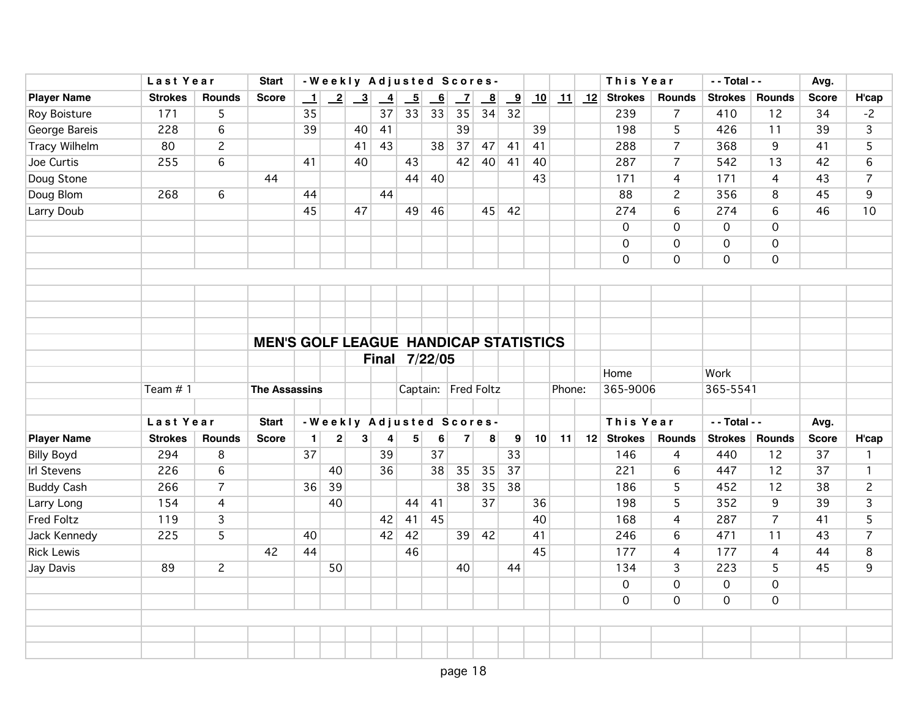|                      | Last Year      | <b>Start</b>    |                                              |         |                         |                                                             |               |                 | -Weekly Adjusted Scores- |                          |                         |               |    |        | This Year |                | - - Total - -  |                | Avg.           |              |                |
|----------------------|----------------|-----------------|----------------------------------------------|---------|-------------------------|-------------------------------------------------------------|---------------|-----------------|--------------------------|--------------------------|-------------------------|---------------|----|--------|-----------|----------------|----------------|----------------|----------------|--------------|----------------|
| <b>Player Name</b>   | <b>Strokes</b> | <b>Rounds</b>   | <b>Score</b>                                 | $\perp$ |                         | $\begin{array}{ c c c } \hline 2 & 3 \\ \hline \end{array}$ | $\frac{4}{1}$ | $\overline{-5}$ | $\overline{\phantom{0}}$ | $\overline{\phantom{0}}$ | $\overline{\mathbf{8}}$ | $\frac{9}{2}$ | 10 |        | $11$ 12   | <b>Strokes</b> | <b>Rounds</b>  | <b>Strokes</b> | <b>Rounds</b>  | <b>Score</b> | H'cap          |
| Roy Boisture         | 171            | 5               |                                              | 35      |                         |                                                             | 37            | 33              | 33                       | 35                       | 34                      | 32            |    |        |           | 239            | $\overline{7}$ | 410            | 12             | 34           | $-2$           |
| George Bareis        | 228            | 6               |                                              | 39      |                         | 40                                                          | 41            |                 |                          | 39                       |                         |               | 39 |        |           | 198            | 5              | 426            | 11             | 39           | 3              |
| <b>Tracy Wilhelm</b> | 80             | $\overline{2}$  |                                              |         |                         | 41                                                          | 43            |                 | 38                       | 37                       | 47                      | 41            | 41 |        |           | 288            | $\overline{7}$ | 368            | 9              | 41           | 5              |
| Joe Curtis           | 255            | 6               |                                              | 41      |                         | 40                                                          |               | 43              |                          | 42                       | 40 <sup>1</sup>         | 41            | 40 |        |           | 287            | $\overline{7}$ | 542            | 13             | 42           | 6              |
| Doug Stone           |                |                 | 44                                           |         |                         |                                                             |               | 44              | 40                       |                          |                         |               | 43 |        |           | 171            | $\overline{4}$ | 171            | 4              | 43           | $\overline{7}$ |
| Doug Blom            | 268            | $6\overline{6}$ |                                              | 44      |                         |                                                             | 44            |                 |                          |                          |                         |               |    |        |           | 88             | $\overline{2}$ | 356            | 8              | 45           | 9              |
| <b>Larry Doub</b>    |                |                 |                                              | 45      |                         | 47                                                          |               | 49              | 46                       |                          | 45                      | 42            |    |        |           | 274            | 6              | 274            | 6              | 46           | 10             |
|                      |                |                 |                                              |         |                         |                                                             |               |                 |                          |                          |                         |               |    |        |           | $\mathbf 0$    | 0              | $\mathbf 0$    | $\mathbf 0$    |              |                |
|                      |                |                 |                                              |         |                         |                                                             |               |                 |                          |                          |                         |               |    |        |           | $\mathbf 0$    | $\mathsf{O}$   | $\mathbf 0$    | $\mathbf 0$    |              |                |
|                      |                |                 |                                              |         |                         |                                                             |               |                 |                          |                          |                         |               |    |        |           | $\mathbf 0$    | $\overline{O}$ | $\mathbf 0$    | $\mathbf{O}$   |              |                |
|                      |                |                 |                                              |         |                         |                                                             |               |                 |                          |                          |                         |               |    |        |           |                |                |                |                |              |                |
|                      |                |                 |                                              |         |                         |                                                             |               |                 |                          |                          |                         |               |    |        |           |                |                |                |                |              |                |
|                      |                |                 |                                              |         |                         |                                                             |               |                 |                          |                          |                         |               |    |        |           |                |                |                |                |              |                |
|                      |                |                 |                                              |         |                         |                                                             |               |                 |                          |                          |                         |               |    |        |           |                |                |                |                |              |                |
|                      |                |                 | <b>MEN'S GOLF LEAGUE HANDICAP STATISTICS</b> |         |                         |                                                             |               |                 |                          |                          |                         |               |    |        |           |                |                |                |                |              |                |
|                      |                |                 |                                              |         |                         |                                                             | Final 7/22/05 |                 |                          |                          |                         |               |    |        |           |                |                |                |                |              |                |
|                      |                |                 |                                              |         |                         |                                                             |               |                 |                          |                          |                         |               |    |        |           | Home           |                | Work           |                |              |                |
|                      | Team #1        |                 | <b>The Assassins</b>                         |         |                         |                                                             |               |                 |                          | Captain: Fred Foltz      |                         |               |    | Phone: |           | 365-9006       |                | 365-5541       |                |              |                |
|                      |                |                 |                                              |         |                         |                                                             |               |                 |                          |                          |                         |               |    |        |           |                |                |                |                |              |                |
|                      | Last Year      |                 | <b>Start</b>                                 |         |                         |                                                             |               |                 |                          | -Weekly Adjusted Scores- |                         |               |    |        |           | This Year      |                | - - Total - -  |                | Avg.         |                |
| <b>Player Name</b>   | <b>Strokes</b> | <b>Rounds</b>   | <b>Score</b>                                 | $\vert$ | $\overline{\mathbf{c}}$ | 3                                                           | 4             | $5\overline{)}$ | 6                        | $\overline{7}$           | 8                       | 9             | 10 | 11     |           | 12 Strokes     | <b>Rounds</b>  | <b>Strokes</b> | <b>Rounds</b>  | <b>Score</b> | H'cap          |
| <b>Billy Boyd</b>    | 294            | 8               |                                              | 37      |                         |                                                             | 39            |                 | 37                       |                          |                         | 33            |    |        |           | 146            | $\overline{4}$ | 440            | 12             | 37           | $\mathbf{1}$   |
| <b>Irl Stevens</b>   | 226            | 6               |                                              |         | 40                      |                                                             | 36            |                 | 38                       | 35                       | 35                      | 37            |    |        |           | 221            | 6              | 447            | 12             | 37           | $\mathbf{1}$   |
| <b>Buddy Cash</b>    | 266            | $\overline{7}$  |                                              | 36      | 39                      |                                                             |               |                 |                          | 38                       | 35                      | 38            |    |        |           | 186            | 5              | 452            | 12             | 38           | $\overline{c}$ |
| Larry Long           | 154            | $\overline{4}$  |                                              |         | 40                      |                                                             |               | 44              | 41                       |                          | 37                      |               | 36 |        |           | 198            | 5              | 352            | 9              | 39           | $\overline{3}$ |
| <b>Fred Foltz</b>    | 119            | 3               |                                              |         |                         |                                                             | 42            | 41              | 45                       |                          |                         |               | 40 |        |           | 168            | 4              | 287            | $\overline{7}$ | 41           | 5              |
| Jack Kennedy         | 225            | 5               |                                              | 40      |                         |                                                             | 42            | 42              |                          | 39                       | 42                      |               | 41 |        |           | 246            | 6              | 471            | 11             | 43           | $\overline{7}$ |
| <b>Rick Lewis</b>    |                |                 | 42                                           | 44      |                         |                                                             |               | 46              |                          |                          |                         |               | 45 |        |           | 177            | $\overline{4}$ | 177            | $\overline{4}$ | 44           | 8              |
| Jay Davis            | 89             | $\mathbf{2}$    |                                              |         | 50                      |                                                             |               |                 |                          | 40                       |                         | 44            |    |        |           | 134            | $\mathbf{3}$   | 223            | 5              | 45           | 9              |
|                      |                |                 |                                              |         |                         |                                                             |               |                 |                          |                          |                         |               |    |        |           | $\overline{0}$ | $\overline{0}$ | $\overline{O}$ | $\overline{0}$ |              |                |
|                      |                |                 |                                              |         |                         |                                                             |               |                 |                          |                          |                         |               |    |        |           | $\mathbf 0$    | $\mathsf{O}$   | $\mathbf 0$    | $\mathbf 0$    |              |                |
|                      |                |                 |                                              |         |                         |                                                             |               |                 |                          |                          |                         |               |    |        |           |                |                |                |                |              |                |
|                      |                |                 |                                              |         |                         |                                                             |               |                 |                          |                          |                         |               |    |        |           |                |                |                |                |              |                |
|                      |                |                 |                                              |         |                         |                                                             |               |                 |                          |                          |                         |               |    |        |           |                |                |                |                |              |                |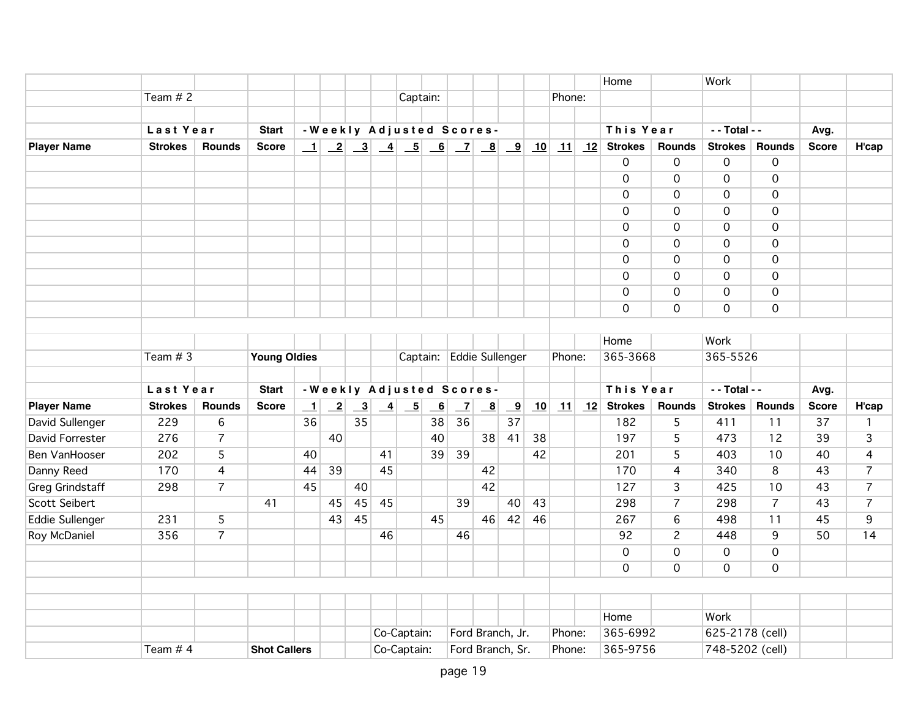|                        |                |                |                     |              |                 |                         |    |                                                           |                 |                          |                          |                         |    |            |    | Home           |                     | Work            |                     |              |                |
|------------------------|----------------|----------------|---------------------|--------------|-----------------|-------------------------|----|-----------------------------------------------------------|-----------------|--------------------------|--------------------------|-------------------------|----|------------|----|----------------|---------------------|-----------------|---------------------|--------------|----------------|
|                        | Team $# 2$     |                |                     |              |                 |                         |    | Captain:                                                  |                 |                          |                          |                         |    | Phone:     |    |                |                     |                 |                     |              |                |
|                        |                |                |                     |              |                 |                         |    |                                                           |                 |                          |                          |                         |    |            |    |                |                     |                 |                     |              |                |
|                        | Last Year      |                | <b>Start</b>        |              |                 |                         |    | -Weekly Adjusted Scores-                                  |                 |                          |                          |                         |    |            |    | This Year      |                     | - - Total - -   |                     | Avg.         |                |
| <b>Player Name</b>     | <b>Strokes</b> | Rounds         | <b>Score</b>        | $\perp$      |                 |                         |    |                                                           |                 |                          |                          |                         | 10 | 11         |    | 12 Strokes     | <b>Rounds</b>       | <b>Strokes</b>  | Rounds              | <b>Score</b> | H'cap          |
|                        |                |                |                     |              |                 |                         |    |                                                           |                 |                          |                          |                         |    |            |    | 0              | $\mathbf 0$         | $\mathbf 0$     | $\mathbf 0$         |              |                |
|                        |                |                |                     |              |                 |                         |    |                                                           |                 |                          |                          |                         |    |            |    | $\mathbf 0$    | $\mathbf 0$         | $\mathbf 0$     | $\mathbf 0$         |              |                |
|                        |                |                |                     |              |                 |                         |    |                                                           |                 |                          |                          |                         |    |            |    | $\mathbf 0$    | $\overline{0}$      | $\mathbf 0$     | $\overline{0}$      |              |                |
|                        |                |                |                     |              |                 |                         |    |                                                           |                 |                          |                          |                         |    |            |    | $\mathbf 0$    | $\mathsf{O}\xspace$ | $\mathbf 0$     | $\mathbf 0$         |              |                |
|                        |                |                |                     |              |                 |                         |    |                                                           |                 |                          |                          |                         |    |            |    | $\overline{0}$ | $\mathbf 0$         | $\mathbf 0$     | $\mathbf 0$         |              |                |
|                        |                |                |                     |              |                 |                         |    |                                                           |                 |                          |                          |                         |    |            |    | $\mathbf 0$    | $\mathbf 0$         | $\mathbf 0$     | $\overline{0}$      |              |                |
|                        |                |                |                     |              |                 |                         |    |                                                           |                 |                          |                          |                         |    |            |    | $\mathbf 0$    | $\mathbf 0$         | $\mathbf 0$     | $\mathbf 0$         |              |                |
|                        |                |                |                     |              |                 |                         |    |                                                           |                 |                          |                          |                         |    |            |    | 0              | $\mathbf 0$         | $\mathbf 0$     | $\mathbf 0$         |              |                |
|                        |                |                |                     |              |                 |                         |    |                                                           |                 |                          |                          |                         |    |            |    | $\overline{0}$ | $\mathsf{O}\xspace$ | $\overline{0}$  | $\mathsf{O}\xspace$ |              |                |
|                        |                |                |                     |              |                 |                         |    |                                                           |                 |                          |                          |                         |    |            |    | $\mathbf 0$    | $\mathsf{O}\xspace$ | $\mathbf 0$     | $\overline{0}$      |              |                |
|                        |                |                |                     |              |                 |                         |    |                                                           |                 |                          |                          |                         |    |            |    |                |                     |                 |                     |              |                |
|                        |                |                |                     |              |                 |                         |    |                                                           |                 |                          |                          |                         |    |            |    | Home           |                     | Work            |                     |              |                |
|                        | Team $# 3$     |                | <b>Young Oldies</b> |              |                 |                         |    |                                                           |                 | Captain: Eddie Sullenger |                          |                         |    | Phone:     |    | 365-3668       |                     | 365-5526        |                     |              |                |
|                        |                |                |                     |              |                 |                         |    |                                                           |                 |                          |                          |                         |    |            |    |                |                     |                 |                     |              |                |
|                        | Last Year      |                | <b>Start</b>        |              |                 |                         |    | -Weekly Adjusted Scores-                                  |                 |                          |                          |                         |    |            |    | This Year      |                     | - - Total - -   |                     | Avg.         |                |
| <b>Player Name</b>     | <b>Strokes</b> | <b>Rounds</b>  | <b>Score</b>        | $\mathbf{1}$ | $\overline{-2}$ | $\overline{\mathbf{3}}$ |    | $\begin{array}{ c c } \hline 4 & 5 \\ \hline \end{array}$ | $\underline{6}$ | $\vert$ $\vert$          | $\underline{\mathbf{8}}$ | $\overline{\mathbf{9}}$ | 10 | $\vert$ 11 | 12 | <b>Strokes</b> | <b>Rounds</b>       | <b>Strokes</b>  | <b>Rounds</b>       | <b>Score</b> | H'cap          |
| David Sullenger        | 229            | $\overline{6}$ |                     | 36           |                 | $\overline{35}$         |    |                                                           | 38              | 36                       |                          | $\overline{37}$         |    |            |    | 182            | 5                   | 411             | 11                  | 37           | $\mathbf{1}$   |
| David Forrester        | 276            | $\overline{7}$ |                     |              | 40              |                         |    |                                                           | 40              |                          | 38                       | 41                      | 38 |            |    | 197            | 5                   | 473             | 12                  | 39           | $\overline{3}$ |
| Ben VanHooser          | 202            | 5              |                     | 40           |                 |                         | 41 |                                                           | 39              | 39                       |                          |                         | 42 |            |    | 201            | 5                   | 403             | 10                  | 40           | 4              |
| Danny Reed             | 170            | 4              |                     | 44           | 39              |                         | 45 |                                                           |                 |                          | 42                       |                         |    |            |    | 170            | $\overline{4}$      | 340             | $\overline{8}$      | 43           | $\overline{7}$ |
| <b>Greg Grindstaff</b> | 298            | $\overline{7}$ |                     | 45           |                 | 40                      |    |                                                           |                 |                          | 42                       |                         |    |            |    | 127            | $\overline{3}$      | 425             | 10                  | 43           | $\overline{7}$ |
| <b>Scott Seibert</b>   |                |                | 41                  |              | 45              | 45                      | 45 |                                                           |                 | 39                       |                          | 40                      | 43 |            |    | 298            | $\overline{7}$      | 298             | $\overline{7}$      | 43           | $\overline{7}$ |
| <b>Eddie Sullenger</b> | 231            | 5              |                     |              | 43              | 45                      |    |                                                           | 45              |                          | 46                       | 42                      | 46 |            |    | 267            | $6\,$               | 498             | 11                  | 45           | 9              |
| Roy McDaniel           | 356            | $\overline{7}$ |                     |              |                 |                         | 46 |                                                           |                 | 46                       |                          |                         |    |            |    | 92             | $\overline{c}$      | 448             | 9                   | 50           | 14             |
|                        |                |                |                     |              |                 |                         |    |                                                           |                 |                          |                          |                         |    |            |    | $\mathbf 0$    | $\mathsf{O}\xspace$ | $\mathbf 0$     | $\mathbf 0$         |              |                |
|                        |                |                |                     |              |                 |                         |    |                                                           |                 |                          |                          |                         |    |            |    | $\mathbf 0$    | $\mathbf 0$         | $\mathbf 0$     | $\mathbf 0$         |              |                |
|                        |                |                |                     |              |                 |                         |    |                                                           |                 |                          |                          |                         |    |            |    |                |                     |                 |                     |              |                |
|                        |                |                |                     |              |                 |                         |    |                                                           |                 |                          |                          |                         |    |            |    |                |                     |                 |                     |              |                |
|                        |                |                |                     |              |                 |                         |    |                                                           |                 |                          |                          |                         |    |            |    | Home           |                     | Work            |                     |              |                |
|                        |                |                |                     |              |                 |                         |    | Co-Captain:                                               |                 |                          | Ford Branch, Jr.         |                         |    | Phone:     |    | 365-6992       |                     | 625-2178 (cell) |                     |              |                |
|                        | Team # 4       |                | <b>Shot Callers</b> |              |                 |                         |    | Co-Captain:                                               |                 |                          | Ford Branch, Sr.         |                         |    | Phone:     |    | 365-9756       |                     | 748-5202 (cell) |                     |              |                |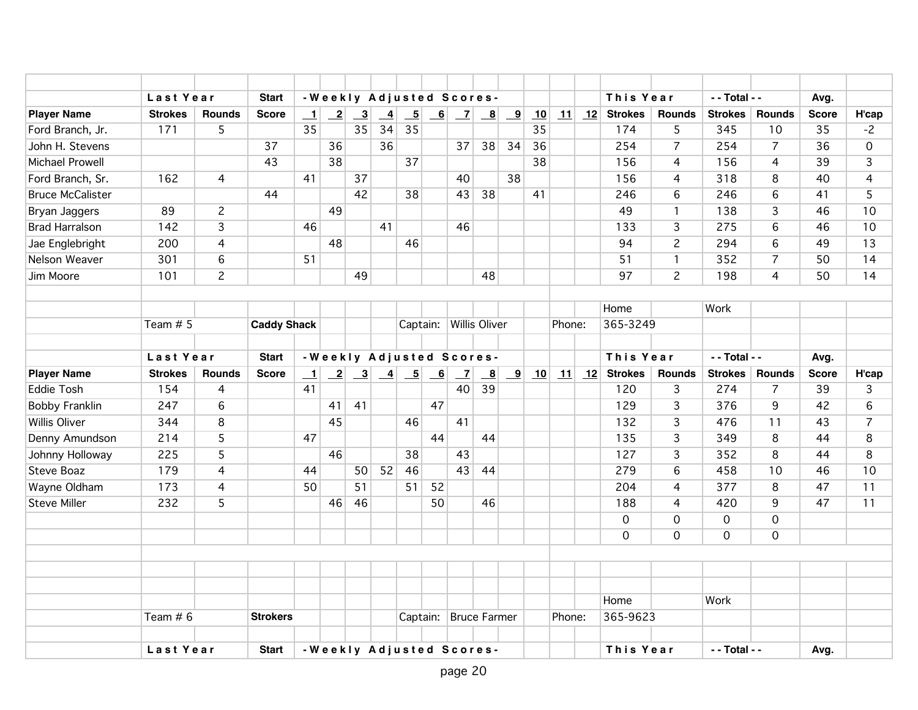|                         | Last Year      |                 | <b>Start</b>       |                          |              |                                                                                 |                 |                          |    |                | -Weekly Adjusted Scores- |                         |    |        |    | This Year      |                | - - Total - -       |                | Avg.         |                 |
|-------------------------|----------------|-----------------|--------------------|--------------------------|--------------|---------------------------------------------------------------------------------|-----------------|--------------------------|----|----------------|--------------------------|-------------------------|----|--------|----|----------------|----------------|---------------------|----------------|--------------|-----------------|
| <b>Player Name</b>      | <b>Strokes</b> | <b>Rounds</b>   | <b>Score</b>       | $\mathbf{\underline{1}}$ | $\mathbf{2}$ | $\overline{\mathbf{3}}$                                                         | $\overline{-4}$ | $\overline{\phantom{0}}$ | 6  | $\mathbf{Z}$   | $\mathbf{B}$             | $\overline{\mathbf{9}}$ | 10 | 11     | 12 | <b>Strokes</b> | <b>Rounds</b>  | <b>Strokes</b>      | <b>Rounds</b>  | <b>Score</b> | H'cap           |
| Ford Branch, Jr.        | 171            | 5               |                    | 35                       |              | 35                                                                              | 34              | 35                       |    |                |                          |                         | 35 |        |    | 174            | 5              | 345                 | 10             | 35           | $-2$            |
| John H. Stevens         |                |                 | 37                 |                          | 36           |                                                                                 | 36              |                          |    | 37             | 38                       | 34                      | 36 |        |    | 254            | $\overline{7}$ | 254                 | $\overline{7}$ | 36           | $\mathbf 0$     |
| Michael Prowell         |                |                 | 43                 |                          | 38           |                                                                                 |                 | 37                       |    |                |                          |                         | 38 |        |    | 156            | 4              | 156                 | $\overline{4}$ | 39           | 3               |
| Ford Branch, Sr.        | 162            | $\overline{4}$  |                    | 41                       |              | 37                                                                              |                 |                          |    | 40             |                          | 38                      |    |        |    | 156            | 4              | 318                 | 8              | 40           | 4               |
| <b>Bruce McCalister</b> |                |                 | 44                 |                          |              | 42                                                                              |                 | 38                       |    | 43             | 38                       |                         | 41 |        |    | 246            | 6              | 246                 | 6              | 41           | 5               |
| Bryan Jaggers           | 89             | $\overline{c}$  |                    |                          | 49           |                                                                                 |                 |                          |    |                |                          |                         |    |        |    | 49             | $\mathbf{1}$   | 138                 | 3              | 46           | 10              |
| <b>Brad Harralson</b>   | 142            | 3               |                    | 46                       |              |                                                                                 | 41              |                          |    | 46             |                          |                         |    |        |    | 133            | 3              | 275                 | 6              | 46           | 10              |
| Jae Englebright         | 200            | $\overline{4}$  |                    |                          | 48           |                                                                                 |                 | 46                       |    |                |                          |                         |    |        |    | 94             | $\overline{2}$ | 294                 | 6              | 49           | 13              |
| Nelson Weaver           | 301            | 6               |                    | 51                       |              |                                                                                 |                 |                          |    |                |                          |                         |    |        |    | 51             | 1              | 352                 | $\overline{7}$ | 50           | 14              |
| Jim Moore               | 101            | $\overline{c}$  |                    |                          |              | 49                                                                              |                 |                          |    |                | 48                       |                         |    |        |    | 97             | $\overline{c}$ | 198                 | 4              | 50           | 14              |
|                         |                |                 |                    |                          |              |                                                                                 |                 |                          |    |                |                          |                         |    |        |    |                |                |                     |                |              |                 |
|                         |                |                 |                    |                          |              |                                                                                 |                 |                          |    |                |                          |                         |    |        |    | Home           |                | Work                |                |              |                 |
|                         | Team $# 5$     |                 | <b>Caddy Shack</b> |                          |              |                                                                                 |                 |                          |    |                | Captain: Willis Oliver   |                         |    | Phone: |    | 365-3249       |                |                     |                |              |                 |
|                         |                |                 |                    |                          |              |                                                                                 |                 |                          |    |                |                          |                         |    |        |    |                |                |                     |                |              |                 |
|                         | Last Year      |                 | <b>Start</b>       |                          |              |                                                                                 |                 |                          |    |                | -Weekly Adjusted Scores- |                         |    |        |    | This Year      |                | - - Total - -       |                | Avg.         |                 |
| <b>Player Name</b>      | <b>Strokes</b> | <b>Rounds</b>   | <b>Score</b>       | $\perp$                  |              | $\begin{array}{ c c c c c c c c c } \hline 2 & 3 & 4 & 5 \\ \hline \end{array}$ |                 |                          |    | $\overline{z}$ | $\overline{\mathbf{8}}$  | $\overline{\mathbf{9}}$ | 10 | 11     | 12 | <b>Strokes</b> | Rounds         | <b>Strokes</b>      | <b>Rounds</b>  | <b>Score</b> | H'cap           |
| <b>Eddie Tosh</b>       | 154            | $\overline{4}$  |                    | 41                       |              |                                                                                 |                 |                          |    | 40             | 39                       |                         |    |        |    | 120            | $\overline{3}$ | 274                 | $\overline{7}$ | 39           | $\overline{3}$  |
| <b>Bobby Franklin</b>   | 247            | $6\overline{6}$ |                    |                          | 41           | 41                                                                              |                 |                          | 47 |                |                          |                         |    |        |    | 129            | $\overline{3}$ | 376                 | $\overline{9}$ | 42           | $6\overline{6}$ |
| <b>Willis Oliver</b>    | 344            | 8               |                    |                          | 45           |                                                                                 |                 | 46                       |    | 41             |                          |                         |    |        |    | 132            | 3              | 476                 | 11             | 43           | $\overline{7}$  |
| Denny Amundson          | 214            | 5               |                    | 47                       |              |                                                                                 |                 |                          | 44 |                | 44                       |                         |    |        |    | 135            | 3              | 349                 | 8              | 44           | 8               |
| Johnny Holloway         | 225            | 5               |                    |                          | 46           |                                                                                 |                 | 38                       |    | 43             |                          |                         |    |        |    | 127            | 3              | 352                 | 8              | 44           | 8               |
| Steve Boaz              | 179            | 4               |                    | 44                       |              | 50 <sup>1</sup>                                                                 | 52              | 46                       |    | 43             | 44                       |                         |    |        |    | 279            | 6              | 458                 | 10             | 46           | 10              |
| Wayne Oldham            | 173            | 4               |                    | 50                       |              | 51                                                                              |                 | 51                       | 52 |                |                          |                         |    |        |    | 204            | 4              | 377                 | 8              | 47           | 11              |
| <b>Steve Miller</b>     | 232            | 5               |                    |                          | 46           | 46                                                                              |                 |                          | 50 |                | 46                       |                         |    |        |    | 188            | 4              | 420                 | 9              | 47           | 11              |
|                         |                |                 |                    |                          |              |                                                                                 |                 |                          |    |                |                          |                         |    |        |    | $\mathbf 0$    | 0              | $\mathsf{O}\xspace$ | $\mathbf{O}$   |              |                 |
|                         |                |                 |                    |                          |              |                                                                                 |                 |                          |    |                |                          |                         |    |        |    | $\mathbf 0$    | 0              | $\mathbf 0$         | $\overline{0}$ |              |                 |
|                         |                |                 |                    |                          |              |                                                                                 |                 |                          |    |                |                          |                         |    |        |    |                |                |                     |                |              |                 |
|                         |                |                 |                    |                          |              |                                                                                 |                 |                          |    |                |                          |                         |    |        |    |                |                |                     |                |              |                 |
|                         |                |                 |                    |                          |              |                                                                                 |                 |                          |    |                |                          |                         |    |        |    |                |                |                     |                |              |                 |
|                         |                |                 |                    |                          |              |                                                                                 |                 |                          |    |                |                          |                         |    |        |    | Home           |                | Work                |                |              |                 |
|                         | Team $# 6$     |                 | <b>Strokers</b>    |                          |              |                                                                                 |                 |                          |    |                | Captain: Bruce Farmer    |                         |    | Phone: |    | 365-9623       |                |                     |                |              |                 |
|                         |                |                 |                    |                          |              |                                                                                 |                 |                          |    |                |                          |                         |    |        |    |                |                |                     |                |              |                 |
|                         | Last Year      |                 | <b>Start</b>       |                          |              |                                                                                 |                 |                          |    |                | -Weekly Adjusted Scores- |                         |    |        |    | This Year      |                | - - Total - -       |                | Avg.         |                 |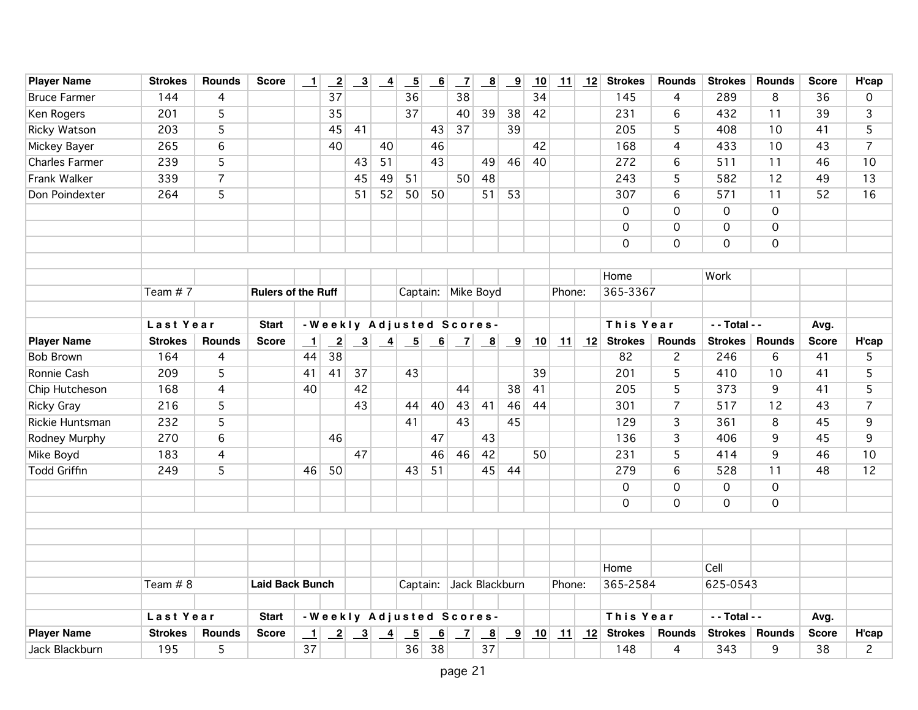| <b>Player Name</b>    | <b>Strokes</b> | <b>Rounds</b>  | <b>Score</b>              | $\overline{\phantom{0}}$ | $\overline{2}$  | $\frac{3}{2}$           | $\overline{-4}$ | $\underline{\phantom{0}}$ | $\overline{\phantom{a}}$ | $\overline{z}$            | $\overline{\mathbf{8}}$    | $\overline{\mathbf{9}}$ | 10 | 11     | 12 | <b>Strokes</b> | <b>Rounds</b>  | <b>Strokes</b>      | <b>Rounds</b>  | <b>Score</b> | H'cap          |
|-----------------------|----------------|----------------|---------------------------|--------------------------|-----------------|-------------------------|-----------------|---------------------------|--------------------------|---------------------------|----------------------------|-------------------------|----|--------|----|----------------|----------------|---------------------|----------------|--------------|----------------|
| <b>Bruce Farmer</b>   | 144            | 4              |                           |                          | 37              |                         |                 | 36                        |                          | 38                        |                            |                         | 34 |        |    | 145            | 4              | 289                 | 8              | 36           | 0              |
| Ken Rogers            | 201            | 5              |                           |                          | 35              |                         |                 | 37                        |                          | 40                        | 39                         | 38                      | 42 |        |    | 231            | 6              | 432                 | 11             | 39           | 3              |
| <b>Ricky Watson</b>   | 203            | 5              |                           |                          | 45              | 41                      |                 |                           | 43                       | 37                        |                            | 39                      |    |        |    | 205            | 5              | 408                 | 10             | 41           | 5              |
| Mickey Bayer          | 265            | 6              |                           |                          | 40              |                         | 40              |                           | 46                       |                           |                            |                         | 42 |        |    | 168            | 4              | 433                 | 10             | 43           | $\overline{7}$ |
| <b>Charles Farmer</b> | 239            | 5              |                           |                          |                 | 43                      | 51              |                           | 43                       |                           | 49                         | 46                      | 40 |        |    | 272            | 6              | 511                 | 11             | 46           | 10             |
| Frank Walker          | 339            | $\overline{7}$ |                           |                          |                 | 45                      | 49              | 51                        |                          | 50                        | 48                         |                         |    |        |    | 243            | 5              | 582                 | 12             | 49           | 13             |
| Don Poindexter        | 264            | 5              |                           |                          |                 | 51                      | 52              | 50                        | 50                       |                           | 51                         | 53                      |    |        |    | 307            | 6              | 571                 | 11             | 52           | 16             |
|                       |                |                |                           |                          |                 |                         |                 |                           |                          |                           |                            |                         |    |        |    | $\mathbf 0$    | 0              | $\mathbf 0$         | $\mathbf 0$    |              |                |
|                       |                |                |                           |                          |                 |                         |                 |                           |                          |                           |                            |                         |    |        |    | $\mathbf 0$    | 0              | $\mathsf{O}\xspace$ | $\mathbf 0$    |              |                |
|                       |                |                |                           |                          |                 |                         |                 |                           |                          |                           |                            |                         |    |        |    | $\mathbf 0$    | $\mathsf{O}$   | $\overline{O}$      | $\overline{0}$ |              |                |
|                       |                |                |                           |                          |                 |                         |                 |                           |                          |                           |                            |                         |    |        |    |                |                |                     |                |              |                |
|                       |                |                |                           |                          |                 |                         |                 |                           |                          |                           |                            |                         |    |        |    | Home           |                | Work                |                |              |                |
|                       | Team #7        |                | <b>Rulers of the Ruff</b> |                          |                 |                         |                 | Captain:                  |                          | Mike Boyd                 |                            |                         |    | Phone: |    | 365-3367       |                |                     |                |              |                |
|                       |                |                |                           |                          |                 |                         |                 |                           |                          |                           |                            |                         |    |        |    |                |                |                     |                |              |                |
|                       | Last Year      |                | <b>Start</b>              |                          |                 |                         |                 |                           |                          | -Weekly Adjusted Scores-  |                            |                         |    |        |    | This Year      |                | - - Total - -       |                | Avg.         |                |
| <b>Player Name</b>    | <b>Strokes</b> | <b>Rounds</b>  | <b>Score</b>              | $\overline{\phantom{0}}$ | $\overline{2}$  |                         |                 |                           |                          |                           |                            | $\boxed{9}$             | 10 | 11     | 12 | <b>Strokes</b> | <b>Rounds</b>  | <b>Strokes</b>      | <b>Rounds</b>  | <b>Score</b> | H'cap          |
| <b>Bob Brown</b>      | 164            | $\overline{4}$ |                           | 44                       | 38              |                         |                 |                           |                          |                           |                            |                         |    |        |    | 82             | $\overline{c}$ | 246                 | 6              | 41           | 5              |
| Ronnie Cash           | 209            | 5              |                           | 41                       | 41              | 37                      |                 | 43                        |                          |                           |                            |                         | 39 |        |    | 201            | 5              | 410                 | 10             | 41           | 5              |
| Chip Hutcheson        | 168            | 4              |                           | 40                       |                 | 42                      |                 |                           |                          | 44                        |                            | 38                      | 41 |        |    | 205            | 5              | 373                 | 9              | 41           | 5              |
| <b>Ricky Gray</b>     | 216            | 5              |                           |                          |                 | 43                      |                 | 44                        | 40                       | 43                        | 41                         | 46                      | 44 |        |    | 301            | $\overline{7}$ | 517                 | 12             | 43           | $\overline{7}$ |
| Rickie Huntsman       | 232            | 5              |                           |                          |                 |                         |                 | 41                        |                          | 43                        |                            | 45                      |    |        |    | 129            | 3              | 361                 | 8              | 45           | 9              |
| Rodney Murphy         | 270            | 6              |                           |                          | 46              |                         |                 |                           | 47                       |                           | 43                         |                         |    |        |    | 136            | 3              | 406                 | 9              | 45           | 9              |
| Mike Boyd             | 183            | $\overline{4}$ |                           |                          |                 | 47                      |                 |                           | 46                       | 46                        | 42                         |                         | 50 |        |    | 231            | 5              | 414                 | 9              | 46           | 10             |
| <b>Todd Griffin</b>   | 249            | 5              |                           | 46                       | 50              |                         |                 | 43                        | 51                       |                           | 45                         | 44                      |    |        |    | 279            | 6              | 528                 | 11             | 48           | 12             |
|                       |                |                |                           |                          |                 |                         |                 |                           |                          |                           |                            |                         |    |        |    | $\mathbf 0$    | $\overline{0}$ | $\overline{0}$      | $\mathbf 0$    |              |                |
|                       |                |                |                           |                          |                 |                         |                 |                           |                          |                           |                            |                         |    |        |    | $\mathbf 0$    | 0              | $\mathbf 0$         | $\mathbf 0$    |              |                |
|                       |                |                |                           |                          |                 |                         |                 |                           |                          |                           |                            |                         |    |        |    |                |                |                     |                |              |                |
|                       |                |                |                           |                          |                 |                         |                 |                           |                          |                           |                            |                         |    |        |    |                |                |                     |                |              |                |
|                       |                |                |                           |                          |                 |                         |                 |                           |                          |                           |                            |                         |    |        |    |                |                |                     |                |              |                |
|                       |                |                |                           |                          |                 |                         |                 |                           |                          |                           |                            |                         |    |        |    | Home           |                | Cell                |                |              |                |
|                       | Team # 8       |                | <b>Laid Back Bunch</b>    |                          |                 |                         |                 | Captain:                  |                          | Jack Blackburn            |                            |                         |    | Phone: |    | 365-2584       |                | 625-0543            |                |              |                |
|                       |                |                |                           |                          |                 |                         |                 |                           |                          |                           |                            |                         |    |        |    |                |                |                     |                |              |                |
|                       | Last Year      |                | <b>Start</b>              |                          |                 |                         |                 |                           |                          | - Weekly Adjusted Scores- |                            |                         |    |        |    | This Year      |                | - - Total - -       |                | Avg.         |                |
| <b>Player Name</b>    | <b>Strokes</b> | <b>Rounds</b>  | <b>Score</b>              | $\perp$                  | $\overline{-2}$ | $\overline{\mathbf{3}}$ | $\overline{4}$  | $\overline{5}$            | 6                        | $\overline{z}$            | $\underline{\phantom{a}8}$ | $\overline{\mathbf{9}}$ | 10 | 11     | 12 | <b>Strokes</b> | Rounds         | <b>Strokes</b>      | Rounds         | <b>Score</b> | H'cap          |
| Jack Blackburn        | 195            | 5              |                           | 37                       |                 |                         |                 | 36                        | 38                       |                           | 37                         |                         |    |        |    | 148            | 4              | 343                 | 9              | 38           | $\overline{c}$ |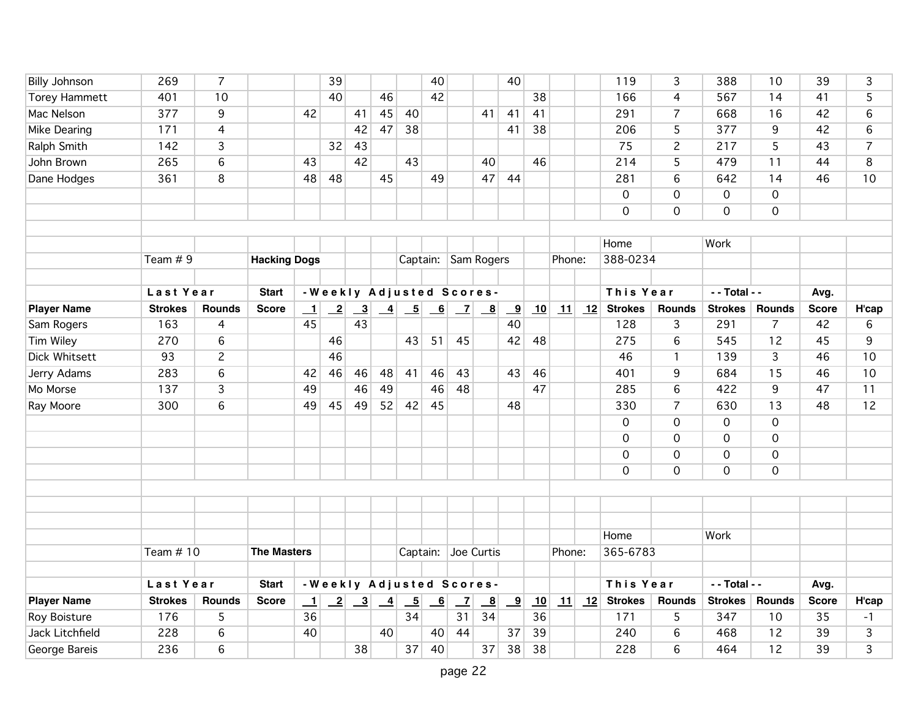| <b>Billy Johnson</b>           | 269                   | $\overline{7}$                    |                     |                          | 39              |                                                              |               |                          | 40                       |                          |              | 40                            |    |                           |    | 119                   | 3                   | 388                 | 10                   | 39                 | 3              |
|--------------------------------|-----------------------|-----------------------------------|---------------------|--------------------------|-----------------|--------------------------------------------------------------|---------------|--------------------------|--------------------------|--------------------------|--------------|-------------------------------|----|---------------------------|----|-----------------------|---------------------|---------------------|----------------------|--------------------|----------------|
| <b>Torey Hammett</b>           | 401                   | 10                                |                     |                          | 40              |                                                              | 46            |                          | 42                       |                          |              |                               | 38 |                           |    | 166                   | $\overline{4}$      | 567                 | 14                   | 41                 | 5              |
| Mac Nelson                     | 377                   | 9                                 |                     | 42                       |                 | 41                                                           | 45            | 40                       |                          |                          | 41           | 41                            | 41 |                           |    | 291                   | $\overline{7}$      | 668                 | 16                   | 42                 | $6\phantom{1}$ |
| Mike Dearing                   | 171                   | $\overline{4}$                    |                     |                          |                 | 42                                                           | 47            | 38                       |                          |                          |              | 41                            | 38 |                           |    | 206                   | $\overline{5}$      | 377                 | 9                    | 42                 | $6\phantom{1}$ |
| <b>Ralph Smith</b>             | 142                   | $\overline{3}$                    |                     |                          | 32              | 43                                                           |               |                          |                          |                          |              |                               |    |                           |    | 75                    | $\overline{2}$      | 217                 | $\overline{5}$       | 43                 | $\overline{7}$ |
| John Brown                     | 265                   | 6                                 |                     | 43                       |                 | 42                                                           |               | 43                       |                          |                          | 40           |                               | 46 |                           |    | 214                   | 5                   | 479                 | 11                   | 44                 | 8              |
| Dane Hodges                    | 361                   | 8                                 |                     | 48                       | 48              |                                                              | 45            |                          | 49                       |                          | 47           | 44                            |    |                           |    | 281                   | 6                   | 642                 | 14                   | 46                 | 10             |
|                                |                       |                                   |                     |                          |                 |                                                              |               |                          |                          |                          |              |                               |    |                           |    | $\overline{0}$        | $\overline{0}$      | $\overline{O}$      | $\overline{0}$       |                    |                |
|                                |                       |                                   |                     |                          |                 |                                                              |               |                          |                          |                          |              |                               |    |                           |    | $\mathbf 0$           | $\mathsf{O}$        | $\mathbf 0$         | $\mathbf 0$          |                    |                |
|                                |                       |                                   |                     |                          |                 |                                                              |               |                          |                          |                          |              |                               |    |                           |    |                       |                     |                     |                      |                    |                |
|                                |                       |                                   |                     |                          |                 |                                                              |               |                          |                          |                          |              |                               |    |                           |    | Home                  |                     | Work                |                      |                    |                |
|                                | Team $# 9$            |                                   | <b>Hacking Dogs</b> |                          |                 |                                                              |               |                          |                          | Captain: Sam Rogers      |              |                               |    | Phone:                    |    | 388-0234              |                     |                     |                      |                    |                |
|                                |                       |                                   |                     |                          |                 |                                                              |               |                          |                          |                          |              |                               |    |                           |    |                       |                     |                     |                      |                    |                |
|                                | Last Year             |                                   | <b>Start</b>        |                          |                 |                                                              |               |                          |                          | -Weekly Adjusted Scores- |              |                               |    |                           |    | This Year             |                     | - - Total - -       |                      | Avg.               |                |
| <b>Player Name</b>             | <b>Strokes</b><br>163 | <b>Rounds</b>                     | <b>Score</b>        | $\perp$<br>45            | $\overline{-2}$ | $\overline{\mathbf{3}}$<br>43                                | $\frac{4}{1}$ | $\overline{-5}$          | $\overline{\phantom{0}}$ | $\mathbf{Z}$             | $\mathbf{B}$ | $\overline{\mathbf{9}}$<br>40 | 10 | 11                        | 12 | <b>Strokes</b><br>128 | Rounds              | <b>Strokes</b>      | <b>Rounds</b>        | <b>Score</b><br>42 | H'cap          |
| Sam Rogers<br><b>Tim Wiley</b> | 270                   | $\overline{4}$<br>$6\overline{6}$ |                     |                          | 46              |                                                              |               | 43                       | 51                       | 45                       |              | 42                            | 48 |                           |    | 275                   | 3<br>$\overline{6}$ | 291<br>545          | $\overline{7}$<br>12 | 45                 | 6<br>9         |
| <b>Dick Whitsett</b>           | 93                    | $\overline{c}$                    |                     |                          | 46              |                                                              |               |                          |                          |                          |              |                               |    |                           |    | 46                    |                     | 139                 | 3                    | 46                 | 10             |
| Jerry Adams                    | 283                   | $6\phantom{1}6$                   |                     | 42                       | 46              | 46                                                           | 48            | 41                       | 46                       | 43                       |              | 43                            | 46 |                           |    | 401                   | $\mathbf{1}$<br>9   | 684                 | 15                   | 46                 | 10             |
| Mo Morse                       | 137                   | $\overline{3}$                    |                     | 49                       |                 | 46                                                           | 49            |                          | 46                       | 48                       |              |                               | 47 |                           |    | 285                   | $\overline{6}$      | 422                 | 9                    | 47                 | 11             |
| Ray Moore                      | 300                   | 6                                 |                     | 49                       | 45              | 49                                                           | 52            | 42                       | 45                       |                          |              | 48                            |    |                           |    | 330                   | $\overline{7}$      | 630                 | 13                   | 48                 | 12             |
|                                |                       |                                   |                     |                          |                 |                                                              |               |                          |                          |                          |              |                               |    |                           |    | $\mathbf 0$           | $\mathsf{O}$        | $\mathbf 0$         | $\mathbf 0$          |                    |                |
|                                |                       |                                   |                     |                          |                 |                                                              |               |                          |                          |                          |              |                               |    |                           |    | $\overline{O}$        | $\overline{0}$      | $\mathsf{O}\xspace$ | $\overline{0}$       |                    |                |
|                                |                       |                                   |                     |                          |                 |                                                              |               |                          |                          |                          |              |                               |    |                           |    | $\mathbf 0$           | 0                   | $\mathsf{O}\xspace$ | $\mathsf{O}\xspace$  |                    |                |
|                                |                       |                                   |                     |                          |                 |                                                              |               |                          |                          |                          |              |                               |    |                           |    | $\mathbf 0$           | $\mathsf{O}$        | $\mathbf 0$         | $\mathbf 0$          |                    |                |
|                                |                       |                                   |                     |                          |                 |                                                              |               |                          |                          |                          |              |                               |    |                           |    |                       |                     |                     |                      |                    |                |
|                                |                       |                                   |                     |                          |                 |                                                              |               |                          |                          |                          |              |                               |    |                           |    |                       |                     |                     |                      |                    |                |
|                                |                       |                                   |                     |                          |                 |                                                              |               |                          |                          |                          |              |                               |    |                           |    |                       |                     |                     |                      |                    |                |
|                                |                       |                                   |                     |                          |                 |                                                              |               |                          |                          |                          |              |                               |    |                           |    | Home                  |                     | Work                |                      |                    |                |
|                                | Team $#10$            |                                   | <b>The Masters</b>  |                          |                 |                                                              |               | Captain:                 |                          | Joe Curtis               |              |                               |    | Phone:                    |    | 365-6783              |                     |                     |                      |                    |                |
|                                |                       |                                   |                     |                          |                 |                                                              |               |                          |                          |                          |              |                               |    |                           |    |                       |                     |                     |                      |                    |                |
|                                | Last Year             |                                   | <b>Start</b>        |                          |                 |                                                              |               |                          |                          | -Weekly Adjusted Scores- |              |                               |    |                           |    | This Year             |                     | - - Total - -       |                      | Avg.               |                |
| <b>Player Name</b>             | <b>Strokes</b>        | <b>Rounds</b>                     | <b>Score</b>        | $\mathbf{\underline{1}}$ |                 | $\begin{array}{ c c c c c }\n\hline\n2 & 3 & 4\n\end{array}$ |               | $\overline{\phantom{0}}$ | $\overline{6}$           | $\overline{z}$           | $\mathbf{B}$ | $\overline{\mathbf{9}}$       | 10 | $\mathbf{\underline{11}}$ |    | $\sqrt{12}$ Strokes   | <b>Rounds</b>       | <b>Strokes</b>      | <b>Rounds</b>        | <b>Score</b>       | H'cap          |
| Roy Boisture                   | 176                   | 5                                 |                     | 36                       |                 |                                                              |               | 34                       |                          | 31                       | 34           |                               | 36 |                           |    | 171                   | 5                   | 347                 | 10                   | 35                 | $-1$           |
| Jack Litchfield                | 228                   | $6\phantom{a}$                    |                     | 40                       |                 |                                                              | 40            |                          | 40                       | 44                       |              | 37                            | 39 |                           |    | 240                   | $6\phantom{a}$      | 468                 | 12                   | 39                 | $\overline{3}$ |
| George Bareis                  | 236                   | 6                                 |                     |                          |                 | 38                                                           |               | 37                       | 40                       |                          | 37           | 38                            | 38 |                           |    | 228                   | $6\overline{6}$     | 464                 | 12                   | 39                 | 3              |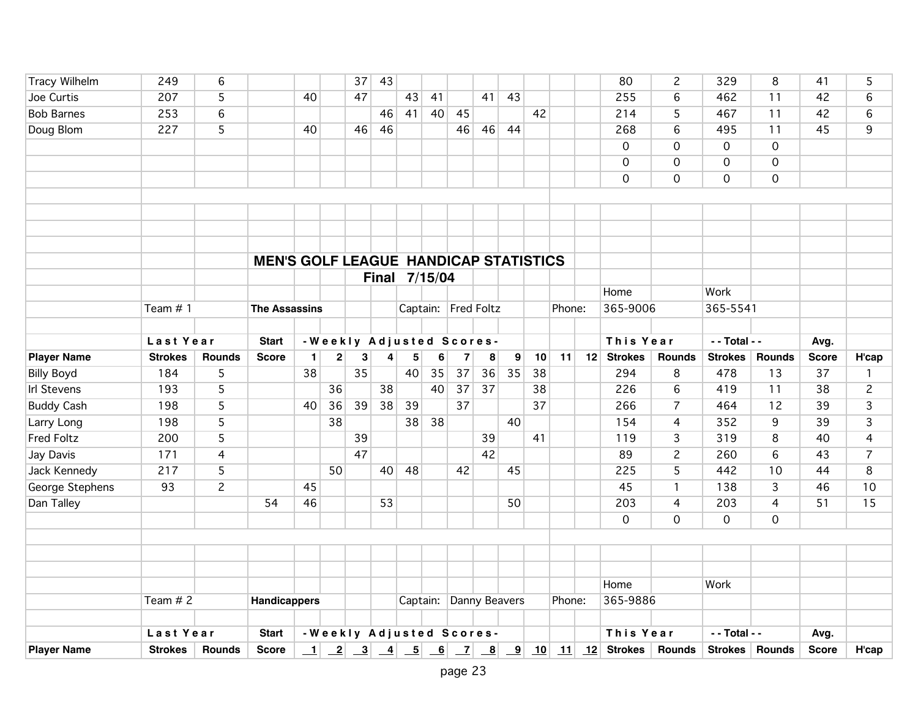| <b>Player Name</b> | <b>Strokes</b> | <b>Rounds</b>  | <b>Score</b>                                 | $\vert$ 1    | $\overline{-2}$ | $\mathbf{r}$             | $\overline{-4}$ |               | $\begin{array}{ c c c } \hline 5 & 6 \end{array}$ | $\mathbf{Z}$            | $\boxed{8}$ | $\overline{\mathbf{9}}$ | 10 | 11     | 12 Strokes Rounds |                | Strokes Rounds      |                 | <b>Score</b> | H'cap          |
|--------------------|----------------|----------------|----------------------------------------------|--------------|-----------------|--------------------------|-----------------|---------------|---------------------------------------------------|-------------------------|-------------|-------------------------|----|--------|-------------------|----------------|---------------------|-----------------|--------------|----------------|
|                    | Last Year      |                | <b>Start</b>                                 |              |                 | -Weekly Adjusted Scores- |                 |               |                                                   |                         |             |                         |    |        | This Year         |                | - - Total - -       |                 | Avg.         |                |
|                    |                |                |                                              |              |                 |                          |                 |               |                                                   |                         |             |                         |    |        |                   |                |                     |                 |              |                |
|                    | Team $# 2$     |                | <b>Handicappers</b>                          |              |                 |                          |                 |               |                                                   | Captain: Danny Beavers  |             |                         |    | Phone: | 365-9886          |                |                     |                 |              |                |
|                    |                |                |                                              |              |                 |                          |                 |               |                                                   |                         |             |                         |    |        | Home              |                | Work                |                 |              |                |
|                    |                |                |                                              |              |                 |                          |                 |               |                                                   |                         |             |                         |    |        |                   |                |                     |                 |              |                |
|                    |                |                |                                              |              |                 |                          |                 |               |                                                   |                         |             |                         |    |        |                   |                |                     |                 |              |                |
|                    |                |                |                                              |              |                 |                          |                 |               |                                                   |                         |             |                         |    |        |                   |                |                     |                 |              |                |
|                    |                |                |                                              |              |                 |                          |                 |               |                                                   |                         |             |                         |    |        | $\mathbf 0$       | 0              | $\mathsf{O}\xspace$ | $\overline{0}$  |              |                |
| Dan Talley         |                |                | 54                                           | 46           |                 |                          | 53              |               |                                                   |                         |             | 50                      |    |        | 203               | $\overline{4}$ | 203                 | $\overline{4}$  | 51           | 15             |
| George Stephens    | 93             | $\overline{c}$ |                                              | 45           |                 |                          |                 |               |                                                   |                         |             |                         |    |        | 45                | 1              | 138                 | 3               | 46           | 10             |
| Jack Kennedy       | 217            | 5              |                                              |              | 50              |                          | 40 <sup>1</sup> | 48            |                                                   | 42                      |             | 45                      |    |        | 225               | 5              | 442                 | 10              | 44           | 8              |
| Jay Davis          | 171            | $\overline{4}$ |                                              |              |                 | 47                       |                 |               |                                                   |                         | 42          |                         |    |        | 89                | $\overline{c}$ | 260                 | $6\overline{6}$ | 43           | $\overline{7}$ |
| <b>Fred Foltz</b>  | 200            | 5              |                                              |              |                 | 39                       |                 |               |                                                   |                         | 39          |                         | 41 |        | 119               | $\overline{3}$ | 319                 | 8               | 40           | $\overline{4}$ |
| Larry Long         | 198            | 5              |                                              |              | 38              |                          |                 | 38            | 38                                                |                         |             | 40                      |    |        | 154               | $\overline{4}$ | 352                 | 9               | 39           | $\overline{3}$ |
| <b>Buddy Cash</b>  | 198            | 5              |                                              | 40           | 36              | 39                       | 38              | 39            |                                                   | 37                      |             |                         | 37 |        | 266               | $\overline{7}$ | 464                 | 12              | 39           | 3              |
| <b>Irl Stevens</b> | 193            | 5              |                                              |              | 36              |                          | 38              |               | 40                                                | 37                      | 37          |                         | 38 |        | 226               | 6              | 419                 | 11              | 38           | $\overline{c}$ |
| <b>Billy Boyd</b>  | 184            | 5              |                                              | 38           |                 | 35                       |                 | 40            | 35                                                | 37                      | 36          | 35                      | 38 |        | 294               | 8              | 478                 | 13              | 37           | $\mathbf{1}$   |
| <b>Player Name</b> | <b>Strokes</b> | <b>Rounds</b>  | <b>Score</b>                                 | $\mathbf{1}$ | $\mathbf{2}$    | 3                        |                 | 5             | 6                                                 | $\overline{\mathbf{z}}$ | 8           | 9                       | 10 | 11     | 12 Strokes        | <b>Rounds</b>  | <b>Strokes</b>      | <b>Rounds</b>   | <b>Score</b> | H'cap          |
|                    | Last Year      |                | <b>Start</b>                                 |              |                 | -Weekly Adjusted Scores- |                 |               |                                                   |                         |             |                         |    |        | This Year         |                | - - Total - -       |                 | Avg.         |                |
|                    |                |                |                                              |              |                 |                          |                 |               |                                                   |                         |             |                         |    |        |                   |                |                     |                 |              |                |
|                    | Team # 1       |                | <b>The Assassins</b>                         |              |                 |                          |                 |               |                                                   | Captain: Fred Foltz     |             |                         |    | Phone: | 365-9006          |                | 365-5541            |                 |              |                |
|                    |                |                |                                              |              |                 |                          |                 |               |                                                   |                         |             |                         |    |        | Home              |                | Work                |                 |              |                |
|                    |                |                |                                              |              |                 |                          |                 | Final 7/15/04 |                                                   |                         |             |                         |    |        |                   |                |                     |                 |              |                |
|                    |                |                | <b>MEN'S GOLF LEAGUE HANDICAP STATISTICS</b> |              |                 |                          |                 |               |                                                   |                         |             |                         |    |        |                   |                |                     |                 |              |                |
|                    |                |                |                                              |              |                 |                          |                 |               |                                                   |                         |             |                         |    |        |                   |                |                     |                 |              |                |
|                    |                |                |                                              |              |                 |                          |                 |               |                                                   |                         |             |                         |    |        |                   |                |                     |                 |              |                |
|                    |                |                |                                              |              |                 |                          |                 |               |                                                   |                         |             |                         |    |        |                   |                |                     |                 |              |                |
|                    |                |                |                                              |              |                 |                          |                 |               |                                                   |                         |             |                         |    |        |                   |                |                     |                 |              |                |
|                    |                |                |                                              |              |                 |                          |                 |               |                                                   |                         |             |                         |    |        | $\overline{0}$    | $\mathsf{O}$   | $\mathbf 0$         | $\overline{0}$  |              |                |
|                    |                |                |                                              |              |                 |                          |                 |               |                                                   |                         |             |                         |    |        | $\mathbf 0$       | 0<br>0         | $\mathsf{O}\xspace$ | $\mathbf 0$     |              |                |
| Doug Blom          |                |                |                                              | 40           |                 | 46                       |                 |               |                                                   |                         |             | 44                      |    |        | $\mathbf 0$       | 6              | $\mathsf{O}\xspace$ | $\overline{0}$  |              | 9              |
| <b>Bob Barnes</b>  | 253<br>227     | $\,$ 6<br>5    |                                              |              |                 |                          | 46<br>46        | 41            | 40                                                | 45<br>46                | 46          |                         | 42 |        | 214<br>268        | 5              | 467<br>495          | 11<br>11        | 42<br>45     | $\,6$          |
| Joe Curtis         | 207            | 5              |                                              | 40           |                 | 47                       |                 | 43            | 41                                                |                         | 41          | 43                      |    |        | 255               | 6              | 462                 | 11              | 42           | 6              |
| Tracy Wilhelm      | 249            | 6              |                                              |              |                 | 37                       | 43              |               |                                                   |                         |             |                         |    |        | 80                | $\overline{c}$ | 329                 | 8               | 41           | 5              |
|                    |                |                |                                              |              |                 |                          |                 |               |                                                   |                         |             |                         |    |        |                   |                |                     |                 |              |                |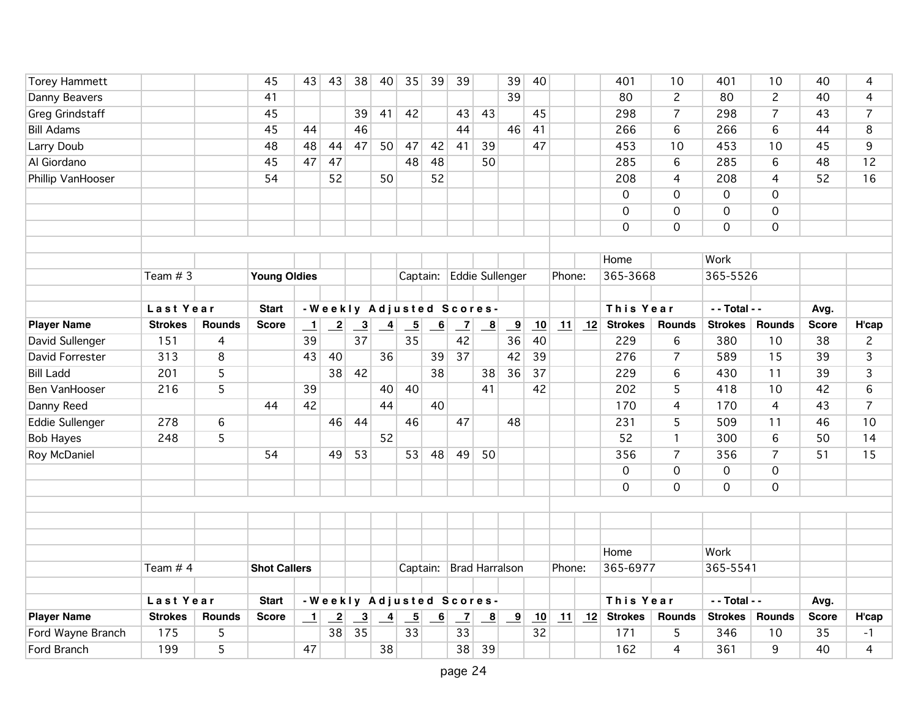| <b>Torey Hammett</b>   |                |               | 45                  | 43              | 43                         | 38                        | 40              | 35                        | 39             | 39                      |                         | 39                      | 40 |        |    | 401                 | 10             | 401                 | 10                  | 40           | 4              |
|------------------------|----------------|---------------|---------------------|-----------------|----------------------------|---------------------------|-----------------|---------------------------|----------------|-------------------------|-------------------------|-------------------------|----|--------|----|---------------------|----------------|---------------------|---------------------|--------------|----------------|
| Danny Beavers          |                |               | 41                  |                 |                            |                           |                 |                           |                |                         |                         | 39                      |    |        |    | 80                  | $\overline{2}$ | 80                  | $\overline{c}$      | 40           | 4              |
| <b>Greg Grindstaff</b> |                |               | 45                  |                 |                            | 39                        | 41              | 42                        |                | 43                      | 43                      |                         | 45 |        |    | 298                 | $\overline{7}$ | 298                 | $\overline{7}$      | 43           | $\overline{7}$ |
| <b>Bill Adams</b>      |                |               | 45                  | 44              |                            | 46                        |                 |                           |                | 44                      |                         | 46                      | 41 |        |    | 266                 | 6              | 266                 | 6                   | 44           | 8              |
| Larry Doub             |                |               | 48                  | 48              | 44                         | 47                        | 50              | 47                        | 42             | 41                      | 39                      |                         | 47 |        |    | 453                 | 10             | 453                 | 10                  | 45           | 9              |
| Al Giordano            |                |               | 45                  | 47              | 47                         |                           |                 | 48                        | 48             |                         | 50                      |                         |    |        |    | 285                 | 6              | 285                 | 6                   | 48           | 12             |
| Phillip VanHooser      |                |               | 54                  |                 | 52                         |                           | 50              |                           | 52             |                         |                         |                         |    |        |    | 208                 | 4              | 208                 | $\overline{4}$      | 52           | 16             |
|                        |                |               |                     |                 |                            |                           |                 |                           |                |                         |                         |                         |    |        |    | $\overline{0}$      | 0              | $\overline{0}$      | $\overline{0}$      |              |                |
|                        |                |               |                     |                 |                            |                           |                 |                           |                |                         |                         |                         |    |        |    | $\mathbf 0$         | 0              | $\mathsf{O}\xspace$ | $\mathbf 0$         |              |                |
|                        |                |               |                     |                 |                            |                           |                 |                           |                |                         |                         |                         |    |        |    | $\mathbf 0$         | 0              | $\overline{0}$      | $\overline{0}$      |              |                |
|                        |                |               |                     |                 |                            |                           |                 |                           |                |                         |                         |                         |    |        |    |                     |                |                     |                     |              |                |
|                        |                |               |                     |                 |                            |                           |                 |                           |                |                         |                         |                         |    |        |    | Home                |                | Work                |                     |              |                |
|                        | Team $# 3$     |               | <b>Young Oldies</b> |                 |                            |                           |                 | Captain:                  |                |                         |                         | <b>Eddie Sullenger</b>  |    | Phone: |    | 365-3668            |                | 365-5526            |                     |              |                |
|                        |                |               |                     |                 |                            |                           |                 |                           |                |                         |                         |                         |    |        |    |                     |                |                     |                     |              |                |
|                        | Last Year      |               | <b>Start</b>        |                 |                            | -Weekly Adjusted Scores-  |                 |                           |                |                         |                         |                         |    |        |    | This Year           |                | - - Total - -       |                     | Avg.         |                |
| <b>Player Name</b>     | <b>Strokes</b> | <b>Rounds</b> | <b>Score</b>        | $\perp$         | $\overline{\phantom{2}}$   | $\overline{\phantom{0}3}$ | $\overline{-4}$ | $\overline{\phantom{0}5}$ | 6              | $\overline{z}$          | $\overline{\mathbf{8}}$ | $\overline{\mathbf{9}}$ | 10 | 11     | 12 | <b>Strokes</b>      | <b>Rounds</b>  | <b>Strokes</b>      | <b>Rounds</b>       | <b>Score</b> | H'cap          |
| David Sullenger        | 151            | 4             |                     | 39              |                            | 37                        |                 | 35                        |                | 42                      |                         | 36                      | 40 |        |    | 229                 | 6              | 380                 | 10                  | 38           | $\overline{c}$ |
| David Forrester        | 313            | 8             |                     | 43              | 40                         |                           | 36              |                           | 39             | 37                      |                         | 42                      | 39 |        |    | 276                 | $\overline{7}$ | 589                 | 15                  | 39           | 3              |
| <b>Bill Ladd</b>       | 201            | 5             |                     |                 | 38                         | 42                        |                 |                           | 38             |                         | 38                      | 36                      | 37 |        |    | 229                 | 6              | 430                 | 11                  | 39           | 3              |
| <b>Ben VanHooser</b>   | 216            | 5             |                     | 39              |                            |                           | 40              | 40                        |                |                         | 41                      |                         | 42 |        |    | 202                 | 5              | 418                 | 10                  | 42           | 6              |
| Danny Reed             |                |               | 44                  | 42              |                            |                           | 44              |                           | 40             |                         |                         |                         |    |        |    | 170                 | $\overline{4}$ | 170                 | $\overline{4}$      | 43           | $\overline{7}$ |
| <b>Eddie Sullenger</b> | 278            | 6             |                     |                 | 46                         | 44                        |                 | 46                        |                | 47                      |                         | 48                      |    |        |    | 231                 | 5              | 509                 | 11                  | 46           | 10             |
| <b>Bob Hayes</b>       | 248            | 5             |                     |                 |                            |                           | 52              |                           |                |                         |                         |                         |    |        |    | 52                  | $\mathbf{1}$   | 300                 | $6\phantom{a}$      | 50           | 14             |
| Roy McDaniel           |                |               | 54                  |                 | 49                         | 53                        |                 | 53                        | 48             | 49                      | 50                      |                         |    |        |    | 356                 | $\overline{7}$ | 356                 | $\overline{7}$      | 51           | 15             |
|                        |                |               |                     |                 |                            |                           |                 |                           |                |                         |                         |                         |    |        |    | $\mathsf{O}\xspace$ | 0              | $\mathsf{O}\xspace$ | $\mathsf{O}\xspace$ |              |                |
|                        |                |               |                     |                 |                            |                           |                 |                           |                |                         |                         |                         |    |        |    | $\mathbf 0$         | 0              | $\mathbf 0$         | $\overline{0}$      |              |                |
|                        |                |               |                     |                 |                            |                           |                 |                           |                |                         |                         |                         |    |        |    |                     |                |                     |                     |              |                |
|                        |                |               |                     |                 |                            |                           |                 |                           |                |                         |                         |                         |    |        |    |                     |                |                     |                     |              |                |
|                        |                |               |                     |                 |                            |                           |                 |                           |                |                         |                         |                         |    |        |    |                     |                |                     |                     |              |                |
|                        |                |               |                     |                 |                            |                           |                 |                           |                |                         |                         |                         |    |        |    | Home                |                | Work                |                     |              |                |
|                        | Team $# 4$     |               | <b>Shot Callers</b> |                 |                            |                           |                 |                           |                | Captain: Brad Harralson |                         |                         |    | Phone: |    | 365-6977            |                | 365-5541            |                     |              |                |
|                        |                |               |                     |                 |                            |                           |                 |                           |                |                         |                         |                         |    |        |    |                     |                |                     |                     |              |                |
|                        | Last Year      |               | <b>Start</b>        |                 |                            | - Weekly Adjusted Scores- |                 |                           |                |                         |                         |                         |    |        |    | This Year           |                | - - Total - -       |                     | Avg.         |                |
| <b>Player Name</b>     | <b>Strokes</b> | <b>Rounds</b> | <b>Score</b>        | $\vert$ $\vert$ | $\overline{\phantom{0}}^2$ | $\frac{3}{2}$             | $\overline{-4}$ | $\overline{\phantom{0}}$  | $\overline{6}$ | $\overline{z}$          | $\overline{\mathbf{8}}$ | $\overline{\mathbf{9}}$ | 10 | 11     | 12 | <b>Strokes</b>      | <b>Rounds</b>  | <b>Strokes</b>      | <b>Rounds</b>       | <b>Score</b> | H'cap          |
| Ford Wayne Branch      | 175            | 5             |                     |                 | 38                         | 35                        |                 | 33                        |                | 33                      |                         |                         | 32 |        |    | 171                 | 5              | 346                 | 10                  | 35           | $-1$           |
| Ford Branch            | 199            | 5             |                     | 47              |                            |                           | 38              |                           |                | 38                      | 39                      |                         |    |        |    | 162                 | 4              | 361                 | 9                   | 40           | 4              |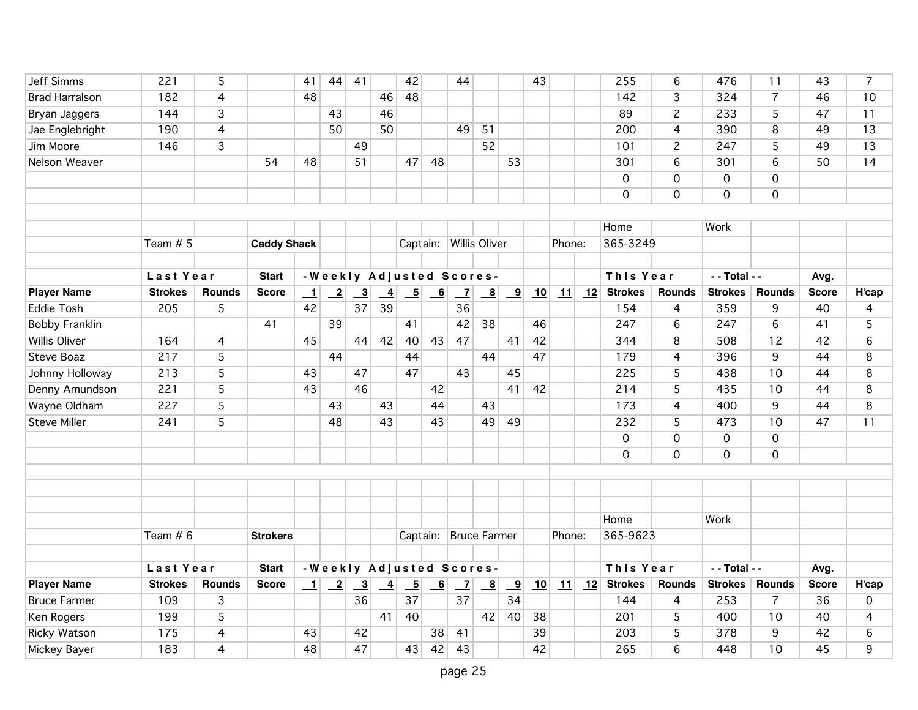| Jeff Simms            | 221            | 5              |                    | 41      | 44                         | 41                        |                 | 42                       |                          | 44                        |                         |                         | 43 |        |    | 255                               | 6               | 476                 | 11             | 43           | 7           |
|-----------------------|----------------|----------------|--------------------|---------|----------------------------|---------------------------|-----------------|--------------------------|--------------------------|---------------------------|-------------------------|-------------------------|----|--------|----|-----------------------------------|-----------------|---------------------|----------------|--------------|-------------|
| <b>Brad Harralson</b> | 182            | 4              |                    | 48      |                            |                           | 46              | 48                       |                          |                           |                         |                         |    |        |    | 142                               | 3               | 324                 | $\overline{7}$ | 46           | 10          |
| Bryan Jaggers         | 144            | $\overline{3}$ |                    |         | 43                         |                           | 46              |                          |                          |                           |                         |                         |    |        |    | 89                                | $\overline{c}$  | 233                 | 5              | 47           | 11          |
| Jae Englebright       | 190            | 4              |                    |         | 50                         |                           | 50              |                          |                          | 49                        | 51                      |                         |    |        |    | 200                               | 4               | 390                 | $\overline{8}$ | 49           | 13          |
| Jim Moore             | 146            | 3              |                    |         |                            | 49                        |                 |                          |                          |                           | 52                      |                         |    |        |    | 101                               | $\overline{2}$  | 247                 | 5              | 49           | 13          |
| Nelson Weaver         |                |                | 54                 | 48      |                            | 51                        |                 | 47                       | 48                       |                           |                         | 53                      |    |        |    | 301                               | 6               | 301                 | 6              | 50           | 14          |
|                       |                |                |                    |         |                            |                           |                 |                          |                          |                           |                         |                         |    |        |    | $\mathbf 0$                       | 0               | $\mathsf{O}\xspace$ | $\mathbf 0$    |              |             |
|                       |                |                |                    |         |                            |                           |                 |                          |                          |                           |                         |                         |    |        |    | $\mathbf 0$                       | $\overline{0}$  | $\mathbf 0$         | $\overline{0}$ |              |             |
|                       |                |                |                    |         |                            |                           |                 |                          |                          |                           |                         |                         |    |        |    |                                   |                 |                     |                |              |             |
|                       |                |                |                    |         |                            |                           |                 |                          |                          |                           |                         |                         |    |        |    | Home                              |                 | Work                |                |              |             |
|                       | Team $# 5$     |                | <b>Caddy Shack</b> |         |                            |                           |                 |                          |                          | Captain: Willis Oliver    |                         |                         |    | Phone: |    | 365-3249                          |                 |                     |                |              |             |
|                       | Last Year      |                | <b>Start</b>       |         |                            |                           |                 |                          |                          | - Weekly Adjusted Scores- |                         |                         |    |        |    | This Year                         |                 | - - Total - -       |                | Avg.         |             |
| <b>Player Name</b>    | <b>Strokes</b> | Rounds         | <b>Score</b>       | $\perp$ | $\overline{\phantom{0}}^2$ | $\overline{\phantom{0}3}$ | $\overline{4}$  | $\overline{\phantom{0}}$ | $\overline{\phantom{0}}$ | $\overline{1}$            | $\overline{\mathbf{8}}$ | $\overline{\mathbf{e}}$ | 10 | 11     | 12 | <b>Strokes</b>                    | <b>Rounds</b>   | <b>Strokes</b>      | <b>Rounds</b>  | <b>Score</b> | H'cap       |
| <b>Eddie Tosh</b>     | 205            | 5              |                    | 42      |                            | 37                        | 39              |                          |                          | 36                        |                         |                         |    |        |    | 154                               | 4               | 359                 | 9              | 40           | 4           |
| <b>Bobby Franklin</b> |                |                | 41                 |         | 39                         |                           |                 | 41                       |                          | 42                        | 38                      |                         | 46 |        |    | 247                               | 6               | 247                 | 6              | 41           | 5           |
| <b>Willis Oliver</b>  | 164            | $\overline{4}$ |                    | 45      |                            | 44                        | 42              | 40                       | 43                       | 47                        |                         | 41                      | 42 |        |    | 344                               | 8               | 508                 | 12             | 42           | 6           |
| <b>Steve Boaz</b>     | 217            | 5              |                    |         | 44                         |                           |                 | 44                       |                          |                           | 44                      |                         | 47 |        |    | 179                               | $\overline{4}$  | 396                 | 9              | 44           | 8           |
| Johnny Holloway       | 213            | 5              |                    | 43      |                            | 47                        |                 | 47                       |                          | 43                        |                         | 45                      |    |        |    | 225                               | 5               | 438                 | 10             | 44           | 8           |
| Denny Amundson        | 221            | 5              |                    | 43      |                            | 46                        |                 |                          | 42                       |                           |                         | 41                      | 42 |        |    | 214                               | 5               | 435                 | 10             | 44           | 8           |
| Wayne Oldham          | 227            | 5              |                    |         | 43                         |                           | 43              |                          | 44                       |                           | 43                      |                         |    |        |    | 173                               | $\overline{4}$  | 400                 | 9              | 44           | 8           |
| <b>Steve Miller</b>   | 241            | 5              |                    |         | 48                         |                           | 43              |                          | 43                       |                           | 49                      | 49                      |    |        |    | 232                               | 5               | 473                 | 10             | 47           | 11          |
|                       |                |                |                    |         |                            |                           |                 |                          |                          |                           |                         |                         |    |        |    | $\overline{0}$                    | $\overline{0}$  | $\mathsf{O}\xspace$ | $\overline{0}$ |              |             |
|                       |                |                |                    |         |                            |                           |                 |                          |                          |                           |                         |                         |    |        |    | $\mathbf 0$                       | 0               | $\mathbf 0$         | $\mathbf 0$    |              |             |
|                       |                |                |                    |         |                            |                           |                 |                          |                          |                           |                         |                         |    |        |    |                                   |                 |                     |                |              |             |
|                       |                |                |                    |         |                            |                           |                 |                          |                          |                           |                         |                         |    |        |    |                                   |                 |                     |                |              |             |
|                       |                |                |                    |         |                            |                           |                 |                          |                          |                           |                         |                         |    |        |    |                                   |                 |                     |                |              |             |
|                       |                |                |                    |         |                            |                           |                 |                          |                          |                           |                         |                         |    |        |    | Home                              |                 | Work                |                |              |             |
|                       | Team $# 6$     |                | <b>Strokers</b>    |         |                            |                           |                 |                          |                          | Captain: Bruce Farmer     |                         |                         |    | Phone: |    | 365-9623                          |                 |                     |                |              |             |
|                       |                |                |                    |         |                            |                           |                 |                          |                          |                           |                         |                         |    |        |    |                                   |                 |                     |                |              |             |
|                       | Last Year      |                | <b>Start</b>       |         |                            |                           |                 |                          |                          | - Weekly Adjusted Scores- |                         |                         |    |        |    | This Year                         |                 | - - Total - -       |                | Avg.         |             |
| <b>Player Name</b>    | <b>Strokes</b> | Rounds         | <b>Score</b>       | $\perp$ | $\overline{-2}$            | $\overline{\mathbf{3}}$   | $\overline{-4}$ | $\overline{\phantom{0}}$ | $\overline{-6}$          | $\overline{\phantom{0}}$  | $\overline{\mathbf{8}}$ | $\overline{\mathbf{e}}$ | 10 |        |    | $\boxed{11}$ $\boxed{12}$ Strokes | <b>Rounds</b>   | <b>Strokes</b>      | <b>Rounds</b>  | <b>Score</b> | H'cap       |
| <b>Bruce Farmer</b>   | 109            | 3              |                    |         |                            | 36                        |                 | 37                       |                          | 37                        |                         | 34                      |    |        |    | 144                               | 4               | 253                 | 7              | 36           | $\mathbf 0$ |
| Ken Rogers            | 199            | 5              |                    |         |                            |                           | 41              | 40                       |                          |                           | 42                      | 40                      | 38 |        |    | 201                               | 5               | 400                 | 10             | 40           | 4           |
| Ricky Watson          | 175            | 4              |                    | 43      |                            | 42                        |                 |                          | 38                       | 41                        |                         |                         | 39 |        |    | 203                               | 5               | 378                 | 9              | 42           | 6           |
| Mickey Bayer          | 183            | $\overline{4}$ |                    | 48      |                            | 47                        |                 | 43                       | 42                       | 43                        |                         |                         | 42 |        |    | 265                               | $6\overline{6}$ | 448                 | 10             | 45           | 9           |
|                       |                |                |                    |         |                            |                           |                 |                          |                          |                           |                         |                         |    |        |    |                                   |                 |                     |                |              |             |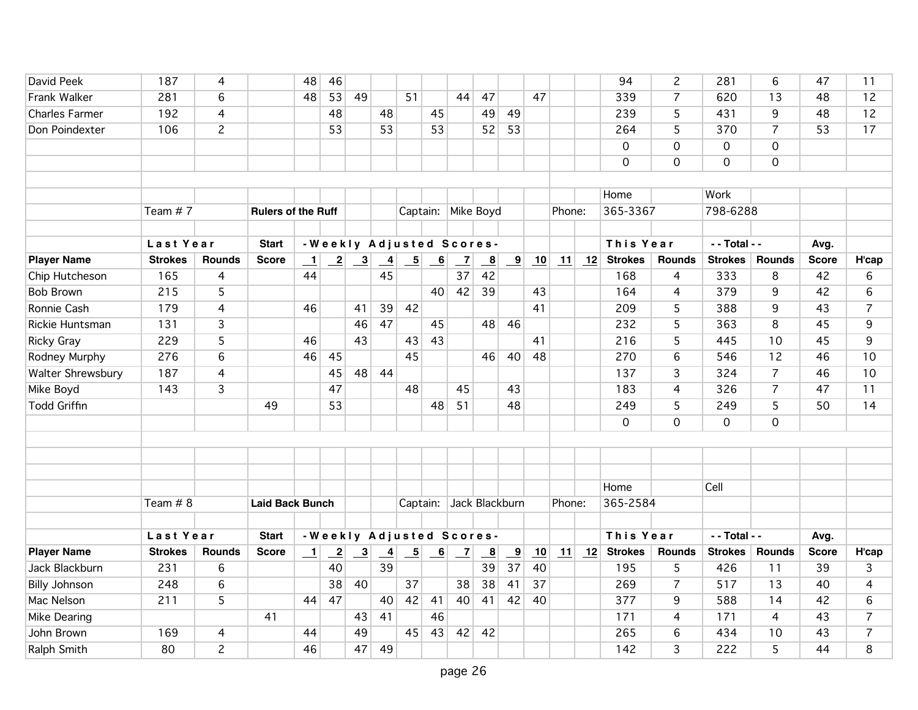| David Peek            | 187            | 4              |                           | 48      | 46              |               |                            |                          |                           |                          |                         |                         |    |        |    | 94             | $\overline{c}$ | 281            | 6              | 47           | 11             |
|-----------------------|----------------|----------------|---------------------------|---------|-----------------|---------------|----------------------------|--------------------------|---------------------------|--------------------------|-------------------------|-------------------------|----|--------|----|----------------|----------------|----------------|----------------|--------------|----------------|
| Frank Walker          | 281            | 6              |                           | 48      | 53              | 49            |                            | 51                       |                           | 44                       | 47                      |                         | 47 |        |    | 339            | $\overline{7}$ | 620            | 13             | 48           | 12             |
| <b>Charles Farmer</b> | 192            | $\overline{4}$ |                           |         | 48              |               | 48                         |                          | 45                        |                          | 49                      | 49                      |    |        |    | 239            | 5              | 431            | 9              | 48           | 12             |
| Don Poindexter        | 106            | $\overline{2}$ |                           |         | 53              |               | 53                         |                          | 53                        |                          | 52                      | 53                      |    |        |    | 264            | $\overline{5}$ | 370            | $\overline{7}$ | 53           | 17             |
|                       |                |                |                           |         |                 |               |                            |                          |                           |                          |                         |                         |    |        |    | $\mathbf 0$    | $\mathbf 0$    | $\mathbf 0$    | $\mathbf 0$    |              |                |
|                       |                |                |                           |         |                 |               |                            |                          |                           |                          |                         |                         |    |        |    | $\Omega$       | $\mathbf{O}$   | $\Omega$       | $\mathbf 0$    |              |                |
|                       |                |                |                           |         |                 |               |                            |                          |                           |                          |                         |                         |    |        |    |                |                |                |                |              |                |
|                       |                |                |                           |         |                 |               |                            |                          |                           |                          |                         |                         |    |        |    | Home           |                | Work           |                |              |                |
|                       | Team #7        |                | <b>Rulers of the Ruff</b> |         |                 |               |                            |                          |                           | Captain: Mike Boyd       |                         |                         |    | Phone: |    | 365-3367       |                | 798-6288       |                |              |                |
|                       |                |                |                           |         |                 |               |                            |                          |                           |                          |                         |                         |    |        |    |                |                |                |                |              |                |
|                       | Last Year      |                | <b>Start</b>              |         |                 |               |                            |                          |                           | -Weekly Adjusted Scores- |                         |                         |    |        |    | This Year      |                | - - Total - -  |                | Avg.         |                |
| <b>Player Name</b>    | <b>Strokes</b> | <b>Rounds</b>  | <b>Score</b>              | $\perp$ | $\overline{-2}$ | $\frac{3}{2}$ | $\overline{\phantom{0}}^4$ | $\overline{\phantom{0}}$ | $\underline{\phantom{0}}$ | $\overline{z}$           | $\overline{\mathbf{8}}$ | $\overline{\mathbf{e}}$ | 10 | 11     | 12 | <b>Strokes</b> | <b>Rounds</b>  | <b>Strokes</b> | <b>Rounds</b>  | <b>Score</b> | H'cap          |
| Chip Hutcheson        | 165            | 4              |                           | 44      |                 |               | 45                         |                          |                           | 37                       | 42                      |                         |    |        |    | 168            | $\overline{4}$ | 333            | 8              | 42           | 6              |
| <b>Bob Brown</b>      | 215            | 5              |                           |         |                 |               |                            |                          | 40                        | 42                       | 39                      |                         | 43 |        |    | 164            | $\overline{4}$ | 379            | 9              | 42           | 6              |
| Ronnie Cash           | 179            | $\overline{4}$ |                           | 46      |                 | 41            | 39                         | 42                       |                           |                          |                         |                         | 41 |        |    | 209            | 5              | 388            | $\overline{9}$ | 43           | $\overline{7}$ |
| Rickie Huntsman       | 131            | 3              |                           |         |                 | 46            | $\overline{47}$            |                          | 45                        |                          | 48                      | 46                      |    |        |    | 232            | $\overline{5}$ | 363            | $\overline{8}$ | 45           | 9              |
| <b>Ricky Gray</b>     | 229            | $\overline{5}$ |                           | 46      |                 | 43            |                            | 43                       | 43                        |                          |                         |                         | 41 |        |    | 216            | 5              | 445            | 10             | 45           | 9              |
| Rodney Murphy         | 276            | 6              |                           | 46      | 45              |               |                            | 45                       |                           |                          | 46                      | 40                      | 48 |        |    | 270            | $6\,$          | 546            | 12             | 46           | 10             |
| Walter Shrewsbury     | 187            | $\overline{4}$ |                           |         | 45              | 48            | 44                         |                          |                           |                          |                         |                         |    |        |    | 137            | $\overline{3}$ | 324            | $\overline{7}$ | 46           | 10             |
| Mike Boyd             | 143            | $\overline{3}$ |                           |         | 47              |               |                            | 48                       |                           | 45                       |                         | 43                      |    |        |    | 183            | $\overline{4}$ | 326            | $\overline{7}$ | 47           | 11             |
| <b>Todd Griffin</b>   |                |                | 49                        |         | 53              |               |                            |                          | 48                        | 51                       |                         | 48                      |    |        |    | 249            | 5              | 249            | 5              | 50           | 14             |
|                       |                |                |                           |         |                 |               |                            |                          |                           |                          |                         |                         |    |        |    | $\overline{O}$ | $\mathbf 0$    | $\mathbf{O}$   | $\mathbf{O}$   |              |                |
|                       |                |                |                           |         |                 |               |                            |                          |                           |                          |                         |                         |    |        |    |                |                |                |                |              |                |
|                       |                |                |                           |         |                 |               |                            |                          |                           |                          |                         |                         |    |        |    |                |                |                |                |              |                |
|                       |                |                |                           |         |                 |               |                            |                          |                           |                          |                         |                         |    |        |    |                |                |                |                |              |                |
|                       |                |                |                           |         |                 |               |                            |                          |                           |                          |                         |                         |    |        |    | Home           |                | Cell           |                |              |                |
|                       | Team # 8       |                | <b>Laid Back Bunch</b>    |         |                 |               |                            |                          |                           | Captain: Jack Blackburn  |                         |                         |    | Phone: |    | 365-2584       |                |                |                |              |                |
|                       |                |                |                           |         |                 |               |                            |                          |                           |                          |                         |                         |    |        |    |                |                |                |                |              |                |
|                       | Last Year      |                | <b>Start</b>              |         |                 |               |                            |                          |                           | -Weekly Adjusted Scores- |                         |                         |    |        |    | This Year      |                | - - Total - -  |                | Avg.         |                |
| <b>Player Name</b>    | <b>Strokes</b> | <b>Rounds</b>  | <b>Score</b>              | $\perp$ | $\mathbf{2}$    | $\boxed{3}$   | $\frac{4}{1}$              | $\overline{\phantom{0}}$ | 6                         | $\mathbf{Z}$             | $\overline{\mathbf{g}}$ | $\overline{9}$          | 10 | 11     | 12 | <b>Strokes</b> | <b>Rounds</b>  | <b>Strokes</b> | <b>Rounds</b>  | <b>Score</b> | H'cap          |
| Jack Blackburn        | 231            | 6              |                           |         | 40              |               | 39                         |                          |                           |                          | 39                      | $\overline{37}$         | 40 |        |    | 195            | 5              | 426            | 11             | 39           | 3              |
| <b>Billy Johnson</b>  | 248            | $\overline{6}$ |                           |         | 38              | 40            |                            | 37                       |                           | 38                       | 38                      | 41                      | 37 |        |    | 269            | $\overline{7}$ | 517            | 13             | 40           | 4              |
| Mac Nelson            | 211            | 5              |                           | 44      | 47              |               | 40                         | 42                       | 41                        | 40                       | 41                      | 42                      | 40 |        |    | 377            | 9              | 588            | 14             | 42           | 6              |
| <b>Mike Dearing</b>   |                |                | 41                        |         |                 | 43            | 41                         |                          | 46                        |                          |                         |                         |    |        |    | 171            | $\overline{4}$ | 171            | $\overline{4}$ | 43           | $\overline{7}$ |
| John Brown            | 169            | 4              |                           | 44      |                 | 49            |                            | 45                       | 43                        |                          | 42 42                   |                         |    |        |    | 265            | $6\phantom{a}$ | 434            | 10             | 43           | $\overline{7}$ |
| Ralph Smith           | 80             | $\overline{c}$ |                           | 46      |                 | 47            | 49                         |                          |                           |                          |                         |                         |    |        |    | 142            | $\overline{3}$ | 222            | 5              | 44           | 8              |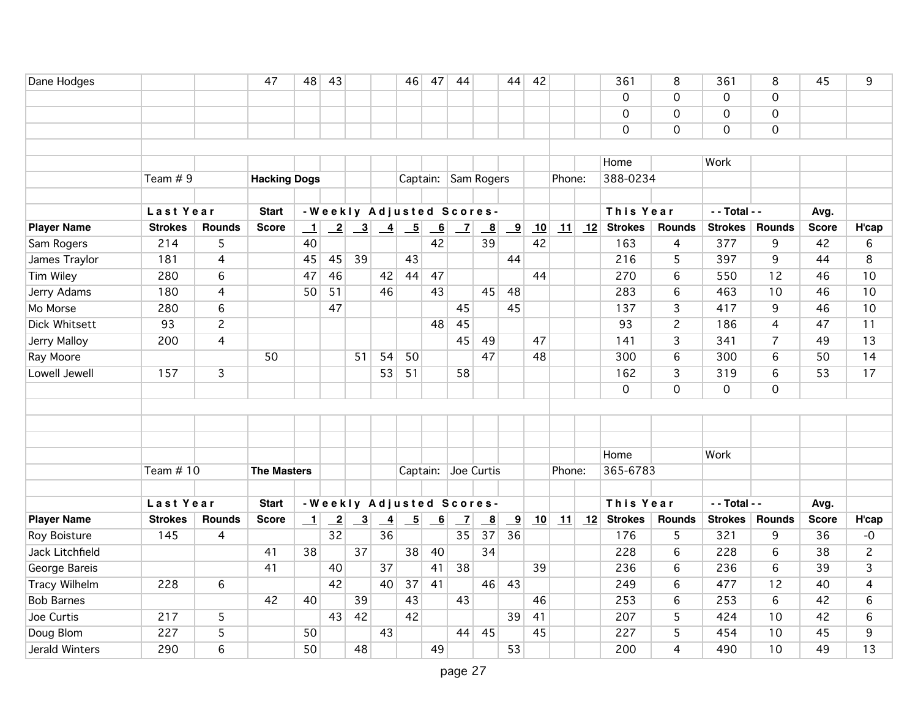| Dane Hodges          |                |                | 47                  | 48                       | 43                       |                           |                            | 46                        | 47                        | 44             |                          | 44                      | 42 |            |    | 361            | 8                   | 361            | 8              | 45           | 9              |
|----------------------|----------------|----------------|---------------------|--------------------------|--------------------------|---------------------------|----------------------------|---------------------------|---------------------------|----------------|--------------------------|-------------------------|----|------------|----|----------------|---------------------|----------------|----------------|--------------|----------------|
|                      |                |                |                     |                          |                          |                           |                            |                           |                           |                |                          |                         |    |            |    | $\Omega$       | $\mathbf 0$         | $\mathbf 0$    | $\mathbf 0$    |              |                |
|                      |                |                |                     |                          |                          |                           |                            |                           |                           |                |                          |                         |    |            |    | $\Omega$       | $\mathsf{O}\xspace$ | $\mathbf 0$    | $\mathbf 0$    |              |                |
|                      |                |                |                     |                          |                          |                           |                            |                           |                           |                |                          |                         |    |            |    | $\mathbf 0$    | 0                   | $\mathbf 0$    | $\mathbf 0$    |              |                |
|                      |                |                |                     |                          |                          |                           |                            |                           |                           |                |                          |                         |    |            |    |                |                     |                |                |              |                |
|                      |                |                |                     |                          |                          |                           |                            |                           |                           |                |                          |                         |    |            |    | Home           |                     | Work           |                |              |                |
|                      | Team $# 9$     |                | <b>Hacking Dogs</b> |                          |                          |                           |                            |                           |                           |                | Captain: Sam Rogers      |                         |    | Phone:     |    | 388-0234       |                     |                |                |              |                |
|                      |                |                |                     |                          |                          |                           |                            |                           |                           |                |                          |                         |    |            |    |                |                     |                |                |              |                |
|                      | Last Year      |                | <b>Start</b>        |                          |                          |                           |                            |                           |                           |                | -Weekly Adjusted Scores- |                         |    |            |    | This Year      |                     | - - Total - -  |                | Avg.         |                |
| <b>Player Name</b>   | <b>Strokes</b> | <b>Rounds</b>  | <b>Score</b>        | $\perp$                  | $\overline{\phantom{2}}$ | $\overline{\phantom{0}3}$ | $\frac{4}{1}$              | $\overline{\phantom{0}}$  | $\overline{6}$            | $\mathbf{Z}$   | $\overline{\mathbf{8}}$  | $\frac{9}{2}$           | 10 | 11         | 12 | <b>Strokes</b> | <b>Rounds</b>       | <b>Strokes</b> | <b>Rounds</b>  | <b>Score</b> | H'cap          |
| Sam Rogers           | 214            | 5              |                     | 40                       |                          |                           |                            |                           | 42                        |                | 39                       |                         | 42 |            |    | 163            | 4                   | 377            | 9              | 42           | 6              |
| James Traylor        | 181            | $\overline{4}$ |                     | 45                       | 45                       | 39                        |                            | 43                        |                           |                |                          | 44                      |    |            |    | 216            | 5                   | 397            | 9              | 44           | 8              |
| <b>Tim Wiley</b>     | 280            | 6              |                     | 47                       | 46                       |                           | 42                         | 44                        | 47                        |                |                          |                         | 44 |            |    | 270            | 6                   | 550            | 12             | 46           | 10             |
| Jerry Adams          | 180            | $\overline{4}$ |                     | 50                       | 51                       |                           | 46                         |                           | 43                        |                | 45                       | 48                      |    |            |    | 283            | 6                   | 463            | 10             | 46           | 10             |
| Mo Morse             | 280            | 6              |                     |                          | 47                       |                           |                            |                           |                           | 45             |                          | 45                      |    |            |    | 137            | $\mathbf{3}$        | 417            | 9              | 46           | 10             |
| Dick Whitsett        | 93             | $\overline{c}$ |                     |                          |                          |                           |                            |                           | 48                        | 45             |                          |                         |    |            |    | 93             | $\overline{c}$      | 186            | $\overline{4}$ | 47           | 11             |
| Jerry Malloy         | 200            | 4              |                     |                          |                          |                           |                            |                           |                           | 45             | 49                       |                         | 47 |            |    | 141            | $\overline{3}$      | 341            | $\overline{7}$ | 49           | 13             |
| Ray Moore            |                |                | 50                  |                          |                          | 51                        | 54                         | 50                        |                           |                | 47                       |                         | 48 |            |    | 300            | 6                   | 300            | 6              | 50           | 14             |
| Lowell Jewell        | 157            | 3              |                     |                          |                          |                           | 53                         | 51                        |                           | 58             |                          |                         |    |            |    | 162            | $\overline{3}$      | 319            | 6              | 53           | 17             |
|                      |                |                |                     |                          |                          |                           |                            |                           |                           |                |                          |                         |    |            |    | $\mathbf 0$    | $\mathsf{O}\xspace$ | $\overline{0}$ | $\mathbf 0$    |              |                |
|                      |                |                |                     |                          |                          |                           |                            |                           |                           |                |                          |                         |    |            |    |                |                     |                |                |              |                |
|                      |                |                |                     |                          |                          |                           |                            |                           |                           |                |                          |                         |    |            |    |                |                     |                |                |              |                |
|                      |                |                |                     |                          |                          |                           |                            |                           |                           |                |                          |                         |    |            |    |                |                     |                |                |              |                |
|                      |                |                |                     |                          |                          |                           |                            |                           |                           |                |                          |                         |    |            |    | Home           |                     | Work           |                |              |                |
|                      | Team $# 10$    |                | <b>The Masters</b>  |                          |                          |                           |                            |                           |                           |                | Captain: Joe Curtis      |                         |    | Phone:     |    | 365-6783       |                     |                |                |              |                |
|                      |                |                |                     |                          |                          |                           |                            |                           |                           |                |                          |                         |    |            |    |                |                     |                |                |              |                |
|                      | Last Year      |                | <b>Start</b>        |                          |                          |                           |                            |                           |                           |                | -Weekly Adjusted Scores- |                         |    |            |    | This Year      |                     | - - Total - -  |                | Avg.         |                |
| <b>Player Name</b>   | <b>Strokes</b> | <b>Rounds</b>  | <b>Score</b>        | $\overline{\phantom{0}}$ | $\overline{\phantom{2}}$ | $\overline{\phantom{0}3}$ | $\overline{\phantom{0}}^4$ | $\underline{\phantom{a}}$ | $\underline{\phantom{a}}$ | $\overline{z}$ | $\overline{\mathbf{8}}$  | $\overline{\mathbf{9}}$ | 10 | $\vert$ 11 | 12 | <b>Strokes</b> | <b>Rounds</b>       | <b>Strokes</b> | <b>Rounds</b>  | <b>Score</b> | H'cap          |
| Roy Boisture         | 145            | $\overline{4}$ |                     |                          | 32                       |                           | 36                         |                           |                           | 35             | 37                       | 36                      |    |            |    | 176            | 5                   | 321            | 9              | 36           | $-0$           |
| Jack Litchfield      |                |                | 41                  | 38                       |                          | 37                        |                            | 38                        | 40                        |                | 34                       |                         |    |            |    | 228            | 6                   | 228            | 6              | 38           | $\overline{c}$ |
| George Bareis        |                |                | 41                  |                          | 40                       |                           | $\overline{37}$            |                           | 41                        | 38             |                          |                         | 39 |            |    | 236            | 6                   | 236            | 6              | 39           | 3              |
| <b>Tracy Wilhelm</b> | 228            | 6              |                     |                          | 42                       |                           | 40                         | 37                        | 41                        |                | 46                       | 43                      |    |            |    | 249            | $6\phantom{a}$      | 477            | 12             | 40           | 4              |
| <b>Bob Barnes</b>    |                |                | 42                  | 40                       |                          | 39                        |                            | 43                        |                           | 43             |                          |                         | 46 |            |    | 253            | 6                   | 253            | $6\,$          | 42           | 6              |
| Joe Curtis           | 217            | 5              |                     |                          | 43                       | 42                        |                            | 42                        |                           |                |                          | 39                      | 41 |            |    | 207            | 5                   | 424            | 10             | 42           | 6              |
| Doug Blom            | 227            | 5              |                     | 50                       |                          |                           | 43                         |                           |                           | 44             | 45                       |                         | 45 |            |    | 227            | 5                   | 454            | 10             | 45           | 9              |
| Jerald Winters       | 290            | 6              |                     | 50                       |                          | 48                        |                            |                           | 49                        |                |                          | 53                      |    |            |    | 200            | $\overline{4}$      | 490            | 10             | 49           | 13             |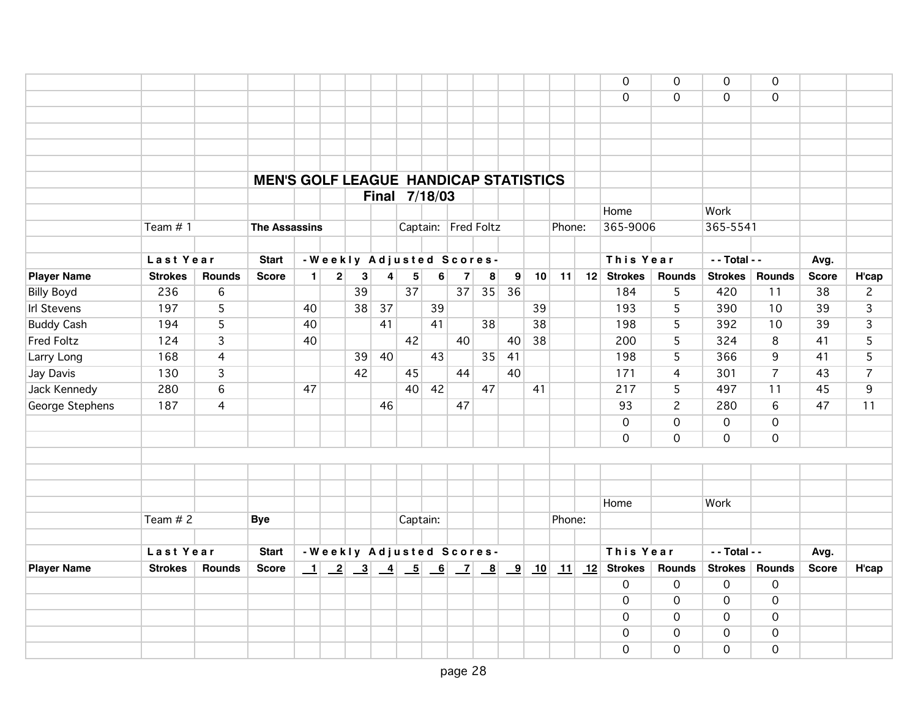|                    |                |                |                                              |                |   |                          |    |          |               |                         |                     |    |                 |        |    | $\mathbf 0$    | $\mathbf 0$         | $\Omega$            | $\Omega$            |              |                |
|--------------------|----------------|----------------|----------------------------------------------|----------------|---|--------------------------|----|----------|---------------|-------------------------|---------------------|----|-----------------|--------|----|----------------|---------------------|---------------------|---------------------|--------------|----------------|
|                    |                |                |                                              |                |   |                          |    |          |               |                         |                     |    |                 |        |    | $\Omega$       | $\mathbf 0$         | $\Omega$            | $\Omega$            |              |                |
|                    |                |                |                                              |                |   |                          |    |          |               |                         |                     |    |                 |        |    |                |                     |                     |                     |              |                |
|                    |                |                |                                              |                |   |                          |    |          |               |                         |                     |    |                 |        |    |                |                     |                     |                     |              |                |
|                    |                |                |                                              |                |   |                          |    |          |               |                         |                     |    |                 |        |    |                |                     |                     |                     |              |                |
|                    |                |                |                                              |                |   |                          |    |          |               |                         |                     |    |                 |        |    |                |                     |                     |                     |              |                |
|                    |                |                | <b>MEN'S GOLF LEAGUE HANDICAP STATISTICS</b> |                |   |                          |    |          |               |                         |                     |    |                 |        |    |                |                     |                     |                     |              |                |
|                    |                |                |                                              |                |   |                          |    |          | Final 7/18/03 |                         |                     |    |                 |        |    |                |                     |                     |                     |              |                |
|                    |                |                |                                              |                |   |                          |    |          |               |                         |                     |    |                 |        |    | Home           |                     | Work                |                     |              |                |
|                    | Team $# 1$     |                | <b>The Assassins</b>                         |                |   |                          |    |          |               |                         | Captain: Fred Foltz |    |                 | Phone: |    | 365-9006       |                     | 365-5541            |                     |              |                |
|                    |                |                |                                              |                |   |                          |    |          |               |                         |                     |    |                 |        |    |                |                     |                     |                     |              |                |
|                    | Last Year      |                | <b>Start</b>                                 |                |   | -Weekly Adjusted Scores- |    |          |               |                         |                     |    |                 |        |    | This Year      |                     | $-$ Total $-$       |                     | Avg.         |                |
| <b>Player Name</b> | <b>Strokes</b> | <b>Rounds</b>  | <b>Score</b>                                 | 1 <sup>1</sup> | 2 | 3                        | 4  | 5        | 6             | $\overline{\mathbf{z}}$ | 8                   | 9  | 10              | 11     | 12 | <b>Strokes</b> | <b>Rounds</b>       | <b>Strokes</b>      | <b>Rounds</b>       | <b>Score</b> | H'cap          |
| <b>Billy Boyd</b>  | 236            | 6              |                                              |                |   | 39                       |    | 37       |               | 37                      | 35                  | 36 |                 |        |    | 184            | 5                   | 420                 | 11                  | 38           | $\mathbf{2}$   |
| <b>Irl Stevens</b> | 197            | 5              |                                              | 40             |   | 38                       | 37 |          | 39            |                         |                     |    | 39              |        |    | 193            | 5                   | 390                 | 10                  | 39           | 3              |
| <b>Buddy Cash</b>  | 194            | $\overline{5}$ |                                              | 40             |   |                          | 41 |          | 41            |                         | 38                  |    | $\overline{38}$ |        |    | 198            | 5                   | 392                 | 10                  | 39           | 3              |
| <b>Fred Foltz</b>  | 124            | $\overline{3}$ |                                              | 40             |   |                          |    | 42       |               | 40                      |                     | 40 | 38              |        |    | 200            | $\overline{5}$      | 324                 | 8                   | 41           | $\overline{5}$ |
| Larry Long         | 168            | $\overline{4}$ |                                              |                |   | 39                       | 40 |          | 43            |                         | 35                  | 41 |                 |        |    | 198            | 5                   | 366                 | 9                   | 41           | 5              |
| Jay Davis          | 130            | $\overline{3}$ |                                              |                |   | 42                       |    | 45       |               | 44                      |                     | 40 |                 |        |    | 171            | $\overline{4}$      | 301                 | $\overline{7}$      | 43           | $\overline{7}$ |
| Jack Kennedy       | 280            | 6              |                                              | 47             |   |                          |    | 40       | 42            |                         | 47                  |    | 41              |        |    | 217            | 5                   | 497                 | 11                  | 45           | 9              |
| George Stephens    | 187            | $\overline{4}$ |                                              |                |   |                          | 46 |          |               | 47                      |                     |    |                 |        |    | 93             | $\overline{c}$      | 280                 | 6                   | 47           | 11             |
|                    |                |                |                                              |                |   |                          |    |          |               |                         |                     |    |                 |        |    | $\overline{0}$ | $\mathsf{O}\xspace$ | $\overline{0}$      | $\mathbf 0$         |              |                |
|                    |                |                |                                              |                |   |                          |    |          |               |                         |                     |    |                 |        |    | 0              | $\overline{0}$      | $\overline{0}$      | $\mathbf 0$         |              |                |
|                    |                |                |                                              |                |   |                          |    |          |               |                         |                     |    |                 |        |    |                |                     |                     |                     |              |                |
|                    |                |                |                                              |                |   |                          |    |          |               |                         |                     |    |                 |        |    |                |                     |                     |                     |              |                |
|                    |                |                |                                              |                |   |                          |    |          |               |                         |                     |    |                 |        |    |                |                     |                     |                     |              |                |
|                    |                |                |                                              |                |   |                          |    |          |               |                         |                     |    |                 |        |    | Home           |                     | Work                |                     |              |                |
|                    | Team $# 2$     |                | <b>Bye</b>                                   |                |   |                          |    | Captain: |               |                         |                     |    |                 | Phone: |    |                |                     |                     |                     |              |                |
|                    |                |                |                                              |                |   |                          |    |          |               |                         |                     |    |                 |        |    |                |                     |                     |                     |              |                |
|                    | Last Year      |                | <b>Start</b>                                 |                |   | -Weekly Adjusted Scores- |    |          |               |                         |                     |    |                 |        |    | This Year      |                     | - - Total - -       |                     | Avg.         |                |
| <b>Player Name</b> | <b>Strokes</b> | <b>Rounds</b>  | <b>Score</b>                                 |                |   |                          |    |          |               |                         |                     |    |                 |        |    |                | <b>Rounds</b>       | <b>Strokes</b>      | <b>Rounds</b>       | <b>Score</b> | H'cap          |
|                    |                |                |                                              |                |   |                          |    |          |               |                         |                     |    |                 |        |    | $\mathbf 0$    | $\mathsf{O}\xspace$ | $\mathsf{O}\xspace$ | $\mathsf{O}\xspace$ |              |                |
|                    |                |                |                                              |                |   |                          |    |          |               |                         |                     |    |                 |        |    | $\mathbf{O}$   | $\mathbf 0$         | $\mathbf 0$         | $\mathbf 0$         |              |                |
|                    |                |                |                                              |                |   |                          |    |          |               |                         |                     |    |                 |        |    | $\mathbf 0$    | $\mathbf 0$         | $\mathbf 0$         | $\mathbf 0$         |              |                |
|                    |                |                |                                              |                |   |                          |    |          |               |                         |                     |    |                 |        |    | 0              | $\mathbf 0$         | $\mathbf 0$         | $\mathbf 0$         |              |                |
|                    |                |                |                                              |                |   |                          |    |          |               |                         |                     |    |                 |        |    | $\Omega$       | $\overline{0}$      | 0                   | $\mathbf 0$         |              |                |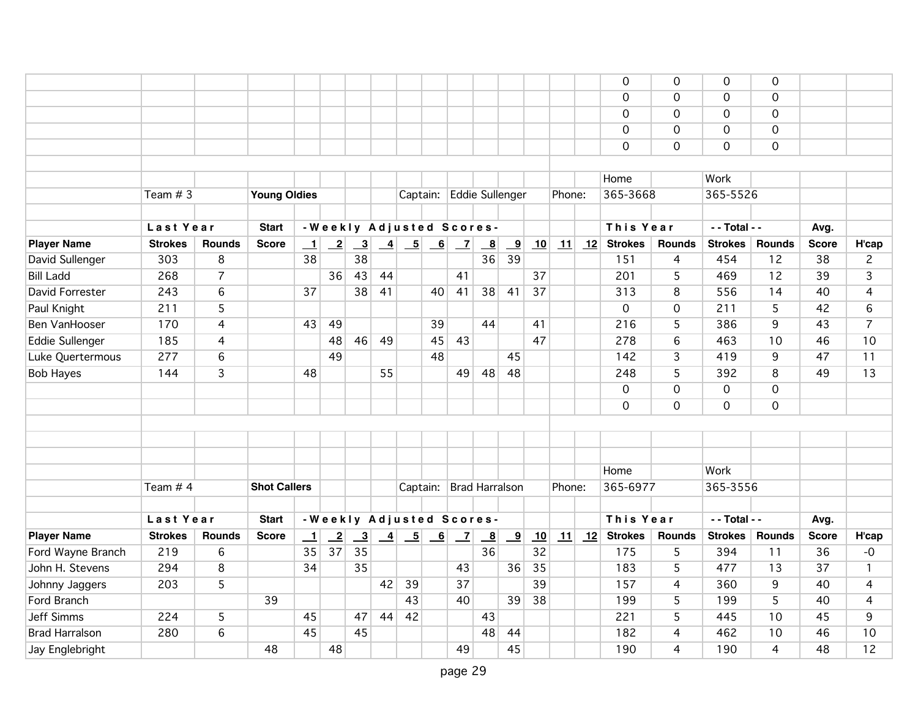|                        |                |                |                     |         |                 |                         |                 |                          |                |                          |                         |                         |    |        |    | $\mathbf 0$    | $\mathbf 0$      | $\Omega$       | $\mathbf 0$    |              |                |
|------------------------|----------------|----------------|---------------------|---------|-----------------|-------------------------|-----------------|--------------------------|----------------|--------------------------|-------------------------|-------------------------|----|--------|----|----------------|------------------|----------------|----------------|--------------|----------------|
|                        |                |                |                     |         |                 |                         |                 |                          |                |                          |                         |                         |    |        |    | $\mathbf 0$    | $\mathbf 0$      | $\overline{0}$ | $\overline{0}$ |              |                |
|                        |                |                |                     |         |                 |                         |                 |                          |                |                          |                         |                         |    |        |    | $\mathbf 0$    | $\mathbf 0$      | $\mathbf 0$    | $\mathbf 0$    |              |                |
|                        |                |                |                     |         |                 |                         |                 |                          |                |                          |                         |                         |    |        |    | $\mathbf 0$    | $\mathbf 0$      | $\mathbf 0$    | $\mathbf 0$    |              |                |
|                        |                |                |                     |         |                 |                         |                 |                          |                |                          |                         |                         |    |        |    | $\mathbf 0$    | $\overline{0}$   | $\mathbf 0$    | $\mathbf 0$    |              |                |
|                        |                |                |                     |         |                 |                         |                 |                          |                |                          |                         |                         |    |        |    |                |                  |                |                |              |                |
|                        |                |                |                     |         |                 |                         |                 |                          |                |                          |                         |                         |    |        |    | Home           |                  | Work           |                |              |                |
|                        | Team $# 3$     |                | <b>Young Oldies</b> |         |                 |                         |                 | Captain:                 |                | Eddie Sullenger          |                         |                         |    | Phone: |    | 365-3668       |                  | 365-5526       |                |              |                |
|                        |                |                |                     |         |                 |                         |                 |                          |                |                          |                         |                         |    |        |    |                |                  |                |                |              |                |
|                        | Last Year      |                | <b>Start</b>        |         |                 |                         |                 |                          |                | -Weekly Adjusted Scores- |                         |                         |    |        |    | This Year      |                  | - - Total - -  |                | Avg.         |                |
| <b>Player Name</b>     | <b>Strokes</b> | <b>Rounds</b>  | <b>Score</b>        | $\perp$ | $\overline{-2}$ | $\overline{\mathbf{3}}$ | $\overline{-4}$ | $-5$                     | $\overline{6}$ | $\overline{Z}$           | $\overline{\mathbf{8}}$ | <u>_9</u>               | 10 | 11     | 12 | <b>Strokes</b> | <b>Rounds</b>    | <b>Strokes</b> | <b>Rounds</b>  | <b>Score</b> | H'cap          |
| David Sullenger        | 303            | 8              |                     | 38      |                 | 38                      |                 |                          |                |                          | 36                      | 39                      |    |        |    | 151            | 4                | 454            | 12             | 38           | $\overline{c}$ |
| <b>Bill Ladd</b>       | 268            | $\overline{7}$ |                     |         | 36              | 43                      | 44              |                          |                | 41                       |                         |                         | 37 |        |    | 201            | 5                | 469            | 12             | 39           | 3              |
| David Forrester        | 243            | 6              |                     | 37      |                 | 38                      | 41              |                          | 40             | 41                       | 38                      | 41                      | 37 |        |    | 313            | 8                | 556            | 14             | 40           | 4              |
| Paul Knight            | 211            | 5              |                     |         |                 |                         |                 |                          |                |                          |                         |                         |    |        |    | $\mathbf 0$    | $\mathbf 0$      | 211            | 5              | 42           | 6              |
| Ben VanHooser          | 170            | 4              |                     | 43      | 49              |                         |                 |                          | 39             |                          | 44                      |                         | 41 |        |    | 216            | 5                | 386            | 9              | 43           | 7              |
| <b>Eddie Sullenger</b> | 185            | 4              |                     |         | 48              | 46                      | 49              |                          | 45             | 43                       |                         |                         | 47 |        |    | 278            | $\sqrt{6}$       | 463            | 10             | 46           | 10             |
| Luke Quertermous       | 277            | 6              |                     |         | 49              |                         |                 |                          | 48             |                          |                         | 45                      |    |        |    | 142            | 3                | 419            | 9              | 47           | 11             |
| <b>Bob Hayes</b>       | 144            | 3              |                     | 48      |                 |                         | 55              |                          |                | 49                       | 48                      | 48                      |    |        |    | 248            | 5                | 392            | 8              | 49           | 13             |
|                        |                |                |                     |         |                 |                         |                 |                          |                |                          |                         |                         |    |        |    | $\overline{0}$ | $\boldsymbol{0}$ | $\overline{0}$ | 0              |              |                |
|                        |                |                |                     |         |                 |                         |                 |                          |                |                          |                         |                         |    |        |    | $\mathbf 0$    | $\mathbf 0$      | $\mathbf 0$    | $\mathbf 0$    |              |                |
|                        |                |                |                     |         |                 |                         |                 |                          |                |                          |                         |                         |    |        |    |                |                  |                |                |              |                |
|                        |                |                |                     |         |                 |                         |                 |                          |                |                          |                         |                         |    |        |    |                |                  |                |                |              |                |
|                        |                |                |                     |         |                 |                         |                 |                          |                |                          |                         |                         |    |        |    |                |                  |                |                |              |                |
|                        |                |                |                     |         |                 |                         |                 |                          |                |                          |                         |                         |    |        |    | Home           |                  | Work           |                |              |                |
|                        | Team # 4       |                | <b>Shot Callers</b> |         |                 |                         |                 |                          |                | Captain: Brad Harralson  |                         |                         |    | Phone: |    | 365-6977       |                  | 365-3556       |                |              |                |
|                        |                |                |                     |         |                 |                         |                 |                          |                |                          |                         |                         |    |        |    |                |                  |                |                |              |                |
|                        | Last Year      |                | <b>Start</b>        |         |                 |                         |                 |                          |                | -Weekly Adjusted Scores- |                         |                         |    |        |    | This Year      |                  | - - Total - -  |                | Avg.         |                |
| <b>Player Name</b>     | <b>Strokes</b> | <b>Rounds</b>  | <b>Score</b>        | $\perp$ | $\overline{-2}$ | $\overline{\mathbf{3}}$ | $\frac{4}{1}$   | $\overline{\phantom{0}}$ | 6              | $\overline{z}$           | $\overline{\mathbf{8}}$ | $\overline{\mathbf{9}}$ | 10 | 11     | 12 | <b>Strokes</b> | <b>Rounds</b>    | <b>Strokes</b> | <b>Rounds</b>  | <b>Score</b> | H'cap          |
| Ford Wayne Branch      | 219            | 6              |                     | 35      | 37              | 35                      |                 |                          |                |                          | 36                      |                         | 32 |        |    | 175            | 5                | 394            | 11             | 36           | $-0$           |
| John H. Stevens        | 294            | 8              |                     | 34      |                 | 35                      |                 |                          |                | 43                       |                         | 36                      | 35 |        |    | 183            | 5                | 477            | 13             | 37           | $\mathbf{1}$   |
| Johnny Jaggers         | 203            | $\overline{5}$ |                     |         |                 |                         | 42              | 39                       |                | 37                       |                         |                         | 39 |        |    | 157            | 4                | 360            | $\overline{9}$ | 40           | 4              |
| Ford Branch            |                |                | 39                  |         |                 |                         |                 | 43                       |                | 40                       |                         | 39                      | 38 |        |    | 199            | 5                | 199            | 5              | 40           | 4              |
| <b>Jeff Simms</b>      | 224            | 5              |                     | 45      |                 | 47                      | 44              | 42                       |                |                          | 43                      |                         |    |        |    | 221            | 5                | 445            | 10             | 45           | 9              |
| <b>Brad Harralson</b>  | 280            | 6              |                     | 45      |                 | 45                      |                 |                          |                |                          | 48                      | 44                      |    |        |    | 182            | $\overline{4}$   | 462            | 10             | 46           | 10             |
| Jay Englebright        |                |                | 48                  |         | 48              |                         |                 |                          |                | 49                       |                         | 45                      |    |        |    | 190            | 4                | 190            | 4              | 48           | 12             |
|                        |                |                |                     |         |                 |                         |                 |                          |                |                          |                         |                         |    |        |    |                |                  |                |                |              |                |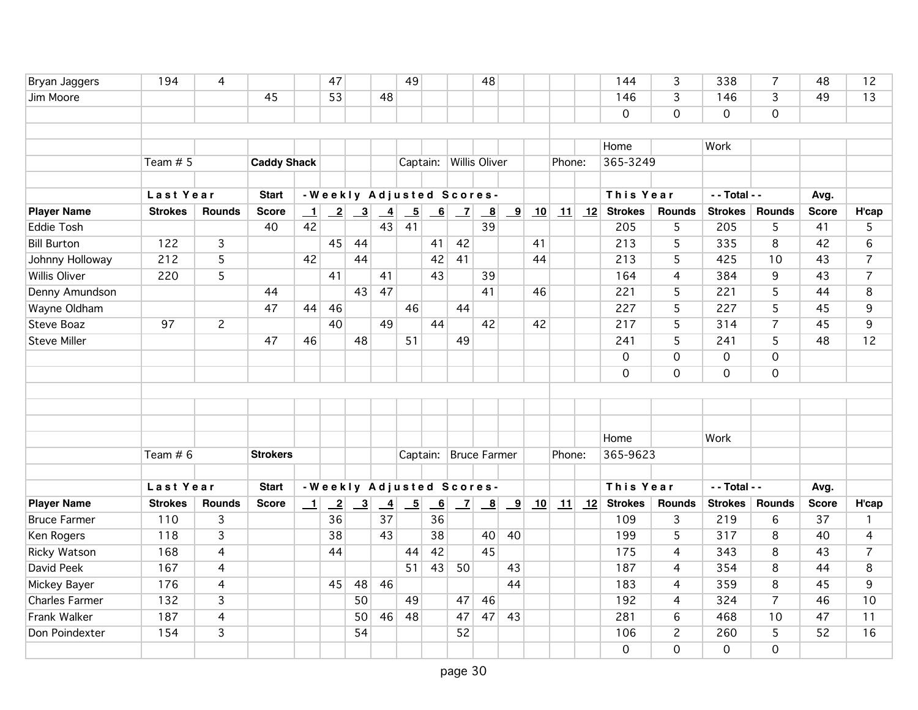| Bryan Jaggers         | 194            | 4              |                    |         | 47                           |                         |                            | 49                       |                          |                | 48                       |                         |    |            |    | 144            | 3              | 338            | 7              | 48           | 12             |
|-----------------------|----------------|----------------|--------------------|---------|------------------------------|-------------------------|----------------------------|--------------------------|--------------------------|----------------|--------------------------|-------------------------|----|------------|----|----------------|----------------|----------------|----------------|--------------|----------------|
| Jim Moore             |                |                | 45                 |         | 53                           |                         | 48                         |                          |                          |                |                          |                         |    |            |    | 146            | $\overline{3}$ | 146            | 3              | 49           | 13             |
|                       |                |                |                    |         |                              |                         |                            |                          |                          |                |                          |                         |    |            |    | $\Omega$       | 0              | $\overline{0}$ | $\mathbf 0$    |              |                |
|                       |                |                |                    |         |                              |                         |                            |                          |                          |                |                          |                         |    |            |    |                |                |                |                |              |                |
|                       |                |                |                    |         |                              |                         |                            |                          |                          |                |                          |                         |    |            |    | Home           |                | Work           |                |              |                |
|                       | Team $# 5$     |                | <b>Caddy Shack</b> |         |                              |                         |                            |                          |                          |                | Captain: Willis Oliver   |                         |    | Phone:     |    | 365-3249       |                |                |                |              |                |
|                       |                |                |                    |         |                              |                         |                            |                          |                          |                |                          |                         |    |            |    |                |                |                |                |              |                |
|                       | Last Year      |                | <b>Start</b>       |         |                              |                         |                            |                          |                          |                | -Weekly Adjusted Scores- |                         |    |            |    | This Year      |                | - - Total - -  |                | Avg.         |                |
| <b>Player Name</b>    | <b>Strokes</b> | <b>Rounds</b>  | <b>Score</b>       | $\perp$ | $\left  \frac{2}{2} \right $ | $\overline{\mathbf{3}}$ | $\overline{-4}$            | $\overline{-5}$          | 6                        | $\overline{z}$ | $\overline{\mathbf{8}}$  | $\overline{\mathbf{9}}$ | 10 | $\vert$ 11 | 12 | <b>Strokes</b> | Rounds         | <b>Strokes</b> | <b>Rounds</b>  | <b>Score</b> | H'cap          |
| <b>Eddie Tosh</b>     |                |                | 40                 | 42      |                              |                         | 43                         | 41                       |                          |                | 39                       |                         |    |            |    | 205            | 5              | 205            | 5              | 41           | 5              |
| <b>Bill Burton</b>    | 122            | $\overline{3}$ |                    |         | 45                           | 44                      |                            |                          | 41                       | 42             |                          |                         | 41 |            |    | 213            | 5              | 335            | 8              | 42           | 6              |
| Johnny Holloway       | 212            | 5              |                    | 42      |                              | 44                      |                            |                          | 42                       | 41             |                          |                         | 44 |            |    | 213            | 5              | 425            | 10             | 43           | $\overline{7}$ |
| <b>Willis Oliver</b>  | 220            | 5              |                    |         | 41                           |                         | 41                         |                          | 43                       |                | 39                       |                         |    |            |    | 164            | $\overline{4}$ | 384            | 9              | 43           | $\overline{7}$ |
| Denny Amundson        |                |                | 44                 |         |                              | 43                      | 47                         |                          |                          |                | 41                       |                         | 46 |            |    | 221            | 5              | 221            | 5              | 44           | 8              |
| Wayne Oldham          |                |                | 47                 | 44      | 46                           |                         |                            | 46                       |                          | 44             |                          |                         |    |            |    | 227            | 5              | 227            | 5              | 45           | 9              |
| <b>Steve Boaz</b>     | 97             | $\overline{c}$ |                    |         | 40                           |                         | 49                         |                          | 44                       |                | 42                       |                         | 42 |            |    | 217            | 5              | 314            | $\overline{7}$ | 45           | 9              |
| <b>Steve Miller</b>   |                |                | 47                 | 46      |                              | 48                      |                            | 51                       |                          | 49             |                          |                         |    |            |    | 241            | $\overline{5}$ | 241            | $\overline{5}$ | 48           | 12             |
|                       |                |                |                    |         |                              |                         |                            |                          |                          |                |                          |                         |    |            |    | $\mathbf 0$    | 0              | $\mathbf 0$    | $\mathbf 0$    |              |                |
|                       |                |                |                    |         |                              |                         |                            |                          |                          |                |                          |                         |    |            |    | $\Omega$       | $\mathsf{O}$   | $\mathbf 0$    | $\mathbf 0$    |              |                |
|                       |                |                |                    |         |                              |                         |                            |                          |                          |                |                          |                         |    |            |    |                |                |                |                |              |                |
|                       |                |                |                    |         |                              |                         |                            |                          |                          |                |                          |                         |    |            |    |                |                |                |                |              |                |
|                       |                |                |                    |         |                              |                         |                            |                          |                          |                |                          |                         |    |            |    |                |                |                |                |              |                |
|                       |                |                |                    |         |                              |                         |                            |                          |                          |                |                          |                         |    |            |    | Home           |                | Work           |                |              |                |
|                       | Team $# 6$     |                | <b>Strokers</b>    |         |                              |                         |                            |                          |                          |                | Captain: Bruce Farmer    |                         |    | Phone:     |    | 365-9623       |                |                |                |              |                |
|                       |                |                |                    |         |                              |                         |                            |                          |                          |                |                          |                         |    |            |    |                |                |                |                |              |                |
|                       | Last Year      |                | <b>Start</b>       |         |                              |                         |                            |                          |                          |                | -Weekly Adjusted Scores- |                         |    |            |    | This Year      |                | - - Total - -  |                | Avg.         |                |
| <b>Player Name</b>    | <b>Strokes</b> | <b>Rounds</b>  | <b>Score</b>       | $\perp$ | $\overline{\phantom{2}}$     | $\overline{\mathbf{3}}$ | $\overline{\phantom{0}}^4$ | $\overline{\phantom{0}}$ | $\overline{\phantom{0}}$ | $\overline{z}$ | $\overline{\mathbf{8}}$  | $\overline{\mathbf{9}}$ | 10 | 11         |    | 12 Strokes     | <b>Rounds</b>  | <b>Strokes</b> | <b>Rounds</b>  | <b>Score</b> | H'cap          |
| <b>Bruce Farmer</b>   | 110            | 3              |                    |         | 36                           |                         | 37                         |                          | 36                       |                |                          |                         |    |            |    | 109            | 3              | 219            | 6              | 37           | $\mathbf{1}$   |
| Ken Rogers            | 118            | $\overline{3}$ |                    |         | 38                           |                         | 43                         |                          | 38                       |                | 40                       | 40                      |    |            |    | 199            | 5              | 317            | 8              | 40           | 4              |
| <b>Ricky Watson</b>   | 168            | $\overline{4}$ |                    |         | 44                           |                         |                            | 44                       | 42                       |                | 45                       |                         |    |            |    | 175            | $\overline{4}$ | 343            | $\overline{8}$ | 43           | $\overline{7}$ |
| David Peek            | 167            | $\overline{4}$ |                    |         |                              |                         |                            | 51                       | 43                       | 50             |                          | 43                      |    |            |    | 187            | 4              | 354            | 8              | 44           | 8              |
| Mickey Bayer          | 176            | $\overline{4}$ |                    |         | 45                           | 48                      | 46                         |                          |                          |                |                          | 44                      |    |            |    | 183            | $\overline{4}$ | 359            | 8              | 45           | 9              |
| <b>Charles Farmer</b> | 132            | $\overline{3}$ |                    |         |                              | 50                      |                            | 49                       |                          | 47             | 46                       |                         |    |            |    | 192            | $\overline{4}$ | 324            | $\overline{7}$ | 46           | 10             |
| Frank Walker          | 187            | $\overline{4}$ |                    |         |                              | 50                      | 46                         | 48                       |                          | 47             | 47                       | 43                      |    |            |    | 281            | 6              | 468            | 10             | 47           | 11             |
| Don Poindexter        | 154            | $\overline{3}$ |                    |         |                              | 54                      |                            |                          |                          | 52             |                          |                         |    |            |    | 106            | $\overline{2}$ | 260            | 5              | 52           | 16             |
|                       |                |                |                    |         |                              |                         |                            |                          |                          |                |                          |                         |    |            |    | 0              | $\mathbf 0$    | $\mathbf 0$    | $\mathbf 0$    |              |                |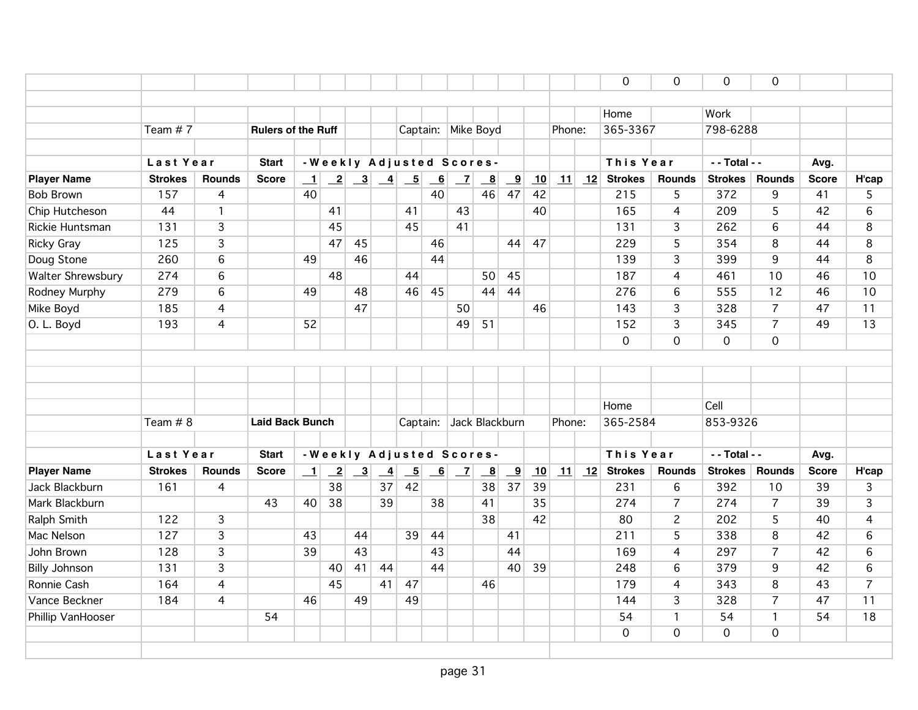|                      |                |                |                           |         |                              |                         |                 |                                                                     |                           |                         |                           |                         |    |        | $\mathbf 0$          | 0              | $\mathbf 0$     | $\Omega$       |              |                |
|----------------------|----------------|----------------|---------------------------|---------|------------------------------|-------------------------|-----------------|---------------------------------------------------------------------|---------------------------|-------------------------|---------------------------|-------------------------|----|--------|----------------------|----------------|-----------------|----------------|--------------|----------------|
|                      |                |                |                           |         |                              |                         |                 |                                                                     |                           |                         |                           |                         |    |        |                      |                |                 |                |              |                |
|                      |                |                |                           |         |                              |                         |                 |                                                                     |                           |                         |                           |                         |    |        | Home                 |                | Work            |                |              |                |
|                      | Team #7        |                | <b>Rulers of the Ruff</b> |         |                              |                         |                 |                                                                     |                           |                         | Captain: Mike Boyd        |                         |    | Phone: | 365-3367             |                | 798-6288        |                |              |                |
|                      |                |                |                           |         |                              |                         |                 |                                                                     |                           |                         |                           |                         |    |        |                      |                |                 |                |              |                |
|                      | Last Year      |                | <b>Start</b>              |         |                              |                         |                 |                                                                     |                           |                         | - Weekly Adjusted Scores- |                         |    |        | This Year            |                | $-$ - Total - - |                | Avg.         |                |
| <b>Player Name</b>   | <b>Strokes</b> | <b>Rounds</b>  | <b>Score</b>              | $\perp$ | $\left  \frac{2}{2} \right $ |                         |                 | $\begin{array}{ c c c c c } \hline 3 & 4 & 5 \\ \hline \end{array}$ | $\underline{\phantom{a}}$ | $\vert$ $\vert$ $\vert$ | $\underline{\phantom{a}}$ | $\overline{\mathbf{9}}$ | 10 | 11     | $\boxed{12}$ Strokes | <b>Rounds</b>  | <b>Strokes</b>  | <b>Rounds</b>  | <b>Score</b> | H'cap          |
| <b>Bob Brown</b>     | 157            | 4              |                           | 40      |                              |                         |                 |                                                                     | 40                        |                         | 46                        | 47                      | 42 |        | 215                  | 5              | 372             | 9              | 41           | 5              |
| Chip Hutcheson       | 44             | $\mathbf{1}$   |                           |         | 41                           |                         |                 | 41                                                                  |                           | 43                      |                           |                         | 40 |        | 165                  | $\overline{4}$ | 209             | 5              | 42           | $6\phantom{1}$ |
| Rickie Huntsman      | 131            | 3              |                           |         | 45                           |                         |                 | 45                                                                  |                           | 41                      |                           |                         |    |        | 131                  | 3              | 262             | 6              | 44           | 8              |
| <b>Ricky Gray</b>    | 125            | $\overline{3}$ |                           |         | 47                           | 45                      |                 |                                                                     | 46                        |                         |                           | 44                      | 47 |        | 229                  | $\overline{5}$ | 354             | 8              | 44           | 8              |
| Doug Stone           | 260            | 6              |                           | 49      |                              | 46                      |                 |                                                                     | 44                        |                         |                           |                         |    |        | 139                  | 3              | 399             | 9              | 44           | 8              |
| Walter Shrewsbury    | 274            | 6              |                           |         | 48                           |                         |                 | 44                                                                  |                           |                         | 50                        | 45                      |    |        | 187                  | $\overline{4}$ | 461             | 10             | 46           | 10             |
| Rodney Murphy        | 279            | 6              |                           | 49      |                              | 48                      |                 | 46                                                                  | 45                        |                         | 44                        | 44                      |    |        | 276                  | 6              | 555             | 12             | 46           | 10             |
| Mike Boyd            | 185            | $\overline{4}$ |                           |         |                              | 47                      |                 |                                                                     |                           | 50                      |                           |                         | 46 |        | 143                  | 3              | 328             | $\overline{7}$ | 47           | 11             |
| O. L. Boyd           | 193            | $\overline{4}$ |                           | 52      |                              |                         |                 |                                                                     |                           | 49                      | 51                        |                         |    |        | 152                  | $\overline{3}$ | 345             | $\overline{7}$ | 49           | 13             |
|                      |                |                |                           |         |                              |                         |                 |                                                                     |                           |                         |                           |                         |    |        | $\overline{0}$       | $\overline{0}$ | $\overline{0}$  | $\mathbf 0$    |              |                |
|                      |                |                |                           |         |                              |                         |                 |                                                                     |                           |                         |                           |                         |    |        |                      |                |                 |                |              |                |
|                      |                |                |                           |         |                              |                         |                 |                                                                     |                           |                         |                           |                         |    |        |                      |                |                 |                |              |                |
|                      |                |                |                           |         |                              |                         |                 |                                                                     |                           |                         |                           |                         |    |        |                      |                |                 |                |              |                |
|                      |                |                |                           |         |                              |                         |                 |                                                                     |                           |                         |                           |                         |    |        | Home                 |                | Cell            |                |              |                |
|                      | Team $# 8$     |                | <b>Laid Back Bunch</b>    |         |                              |                         |                 | Captain:                                                            |                           |                         | Jack Blackburn            |                         |    | Phone: | 365-2584             |                | 853-9326        |                |              |                |
|                      |                |                |                           |         |                              |                         |                 |                                                                     |                           |                         |                           |                         |    |        |                      |                |                 |                |              |                |
|                      | Last Year      |                | <b>Start</b>              |         |                              |                         |                 |                                                                     |                           |                         | - Weekly Adjusted Scores- |                         |    |        | This Year            |                | - - Total - -   |                | Avg.         |                |
| <b>Player Name</b>   | <b>Strokes</b> | <b>Rounds</b>  | <b>Score</b>              | $\perp$ | $\overline{-2}$              | $\overline{\mathbf{3}}$ | $\overline{-4}$ | $\overline{\phantom{0}}$                                            | $-6$                      | $\overline{z}$          | $\overline{\mathbf{8}}$   | $\overline{\mathbf{9}}$ | 10 | 11     | 12 Strokes           | <b>Rounds</b>  | <b>Strokes</b>  | <b>Rounds</b>  | <b>Score</b> | H'cap          |
| Jack Blackburn       | 161            | $\overline{4}$ |                           |         | $\overline{38}$              |                         | 37              | 42                                                                  |                           |                         | 38                        | 37                      | 39 |        | 231                  | 6              | 392             | 10             | 39           | 3              |
| Mark Blackburn       |                |                | 43                        | 40      | 38                           |                         | 39              |                                                                     | 38                        |                         | 41                        |                         | 35 |        | 274                  | $\overline{7}$ | 274             | $\overline{7}$ | 39           | 3              |
| Ralph Smith          | 122            | 3              |                           |         |                              |                         |                 |                                                                     |                           |                         | 38                        |                         | 42 |        | 80                   | $\overline{c}$ | 202             | 5              | 40           | 4              |
| Mac Nelson           | 127            | 3              |                           | 43      |                              | 44                      |                 | 39                                                                  | 44                        |                         |                           | 41                      |    |        | 211                  | 5              | 338             | 8              | 42           | 6              |
| John Brown           | 128            | 3              |                           | 39      |                              | 43                      |                 |                                                                     | 43                        |                         |                           | 44                      |    |        | 169                  | $\overline{4}$ | 297             | $\overline{7}$ | 42           | 6              |
| <b>Billy Johnson</b> | 131            | 3              |                           |         | 40                           | 41                      | 44              |                                                                     | 44                        |                         |                           | 40                      | 39 |        | 248                  | 6              | 379             | 9              | 42           | $6\phantom{1}$ |
| Ronnie Cash          | 164            | $\overline{4}$ |                           |         | 45                           |                         | 41              | 47                                                                  |                           |                         | 46                        |                         |    |        | 179                  | 4              | 343             | 8              | 43           | $\overline{7}$ |
| Vance Beckner        | 184            | 4              |                           | 46      |                              | 49                      |                 | 49                                                                  |                           |                         |                           |                         |    |        | 144                  | 3              | 328             | $\overline{7}$ | 47           | 11             |
| Phillip VanHooser    |                |                | 54                        |         |                              |                         |                 |                                                                     |                           |                         |                           |                         |    |        | 54                   | $\mathbf{1}$   | 54              | $\mathbf{1}$   | 54           | 18             |
|                      |                |                |                           |         |                              |                         |                 |                                                                     |                           |                         |                           |                         |    |        | $\Omega$             | $\mathsf{O}$   | $\overline{O}$  | $\mathbf 0$    |              |                |
|                      |                |                |                           |         |                              |                         |                 |                                                                     |                           |                         |                           |                         |    |        |                      |                |                 |                |              |                |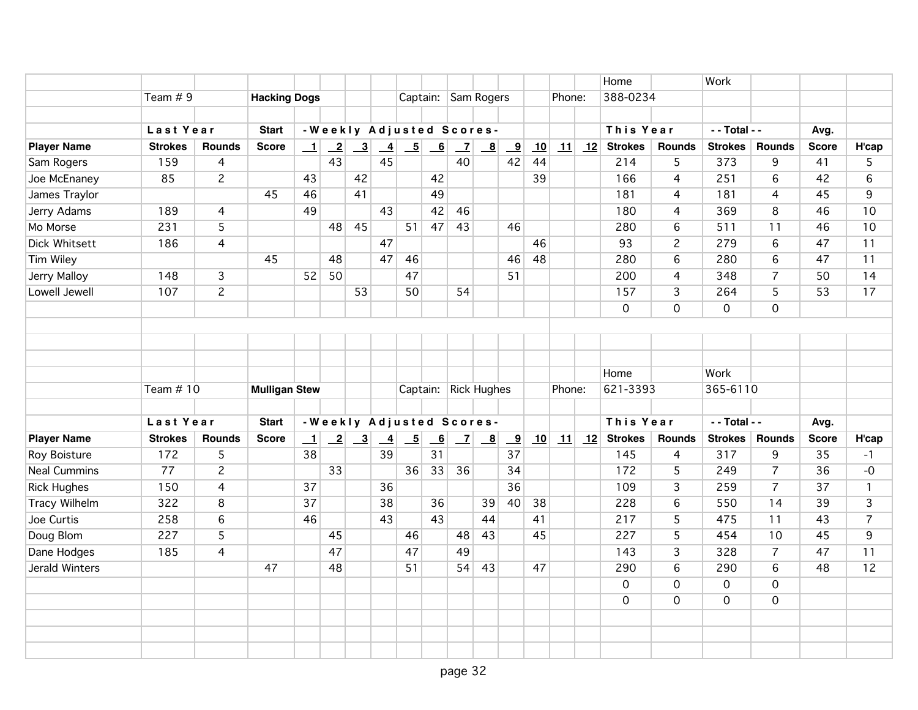|                      |                |                |                      |         |                 |                                                             |               |                 |                         |                          |                           |                         |    |        |    | Home           |                     | Work                |                 |                 |                |
|----------------------|----------------|----------------|----------------------|---------|-----------------|-------------------------------------------------------------|---------------|-----------------|-------------------------|--------------------------|---------------------------|-------------------------|----|--------|----|----------------|---------------------|---------------------|-----------------|-----------------|----------------|
|                      | Team $# 9$     |                | <b>Hacking Dogs</b>  |         |                 |                                                             |               |                 |                         | Captain: Sam Rogers      |                           |                         |    | Phone: |    | 388-0234       |                     |                     |                 |                 |                |
|                      |                |                |                      |         |                 |                                                             |               |                 |                         |                          |                           |                         |    |        |    |                |                     |                     |                 |                 |                |
|                      | Last Year      |                | <b>Start</b>         |         |                 |                                                             |               |                 |                         | -Weekly Adjusted Scores- |                           |                         |    |        |    | This Year      |                     | - - Total - -       |                 | Avg.            |                |
| <b>Player Name</b>   | <b>Strokes</b> | <b>Rounds</b>  | <b>Score</b>         | $\perp$ |                 | $\begin{array}{ c c c } \hline 2 & 3 \\ \hline \end{array}$ | $\frac{4}{1}$ | $\overline{5}$  | $-6$                    | $\mathbf{Z}$             | $\frac{8}{1}$             | $\overline{\mathbf{9}}$ | 10 |        |    | 11 12 Strokes  | <b>Rounds</b>       | <b>Strokes</b>      | <b>Rounds</b>   | <b>Score</b>    | H'cap          |
| Sam Rogers           | 159            | 4              |                      |         | 43              |                                                             | 45            |                 |                         | 40                       |                           | 42                      | 44 |        |    | 214            | 5                   | 373                 | 9               | 41              | 5              |
| Joe McEnaney         | 85             | $\overline{c}$ |                      | 43      |                 | 42                                                          |               |                 | 42                      |                          |                           |                         | 39 |        |    | 166            | $\overline{4}$      | 251                 | 6               | 42              | 6              |
| James Traylor        |                |                | 45                   | 46      |                 | 41                                                          |               |                 | 49                      |                          |                           |                         |    |        |    | 181            | 4                   | 181                 | $\overline{4}$  | 45              | 9              |
| Jerry Adams          | 189            | $\overline{4}$ |                      | 49      |                 |                                                             | 43            |                 | 42                      | 46                       |                           |                         |    |        |    | 180            | 4                   | 369                 | 8               | 46              | 10             |
| Mo Morse             | 231            | $\overline{5}$ |                      |         | 48              | 45                                                          |               | 51              | 47                      | 43                       |                           | 46                      |    |        |    | 280            | 6                   | 511                 | 11              | 46              | 10             |
| <b>Dick Whitsett</b> | 186            | 4              |                      |         |                 |                                                             | 47            |                 |                         |                          |                           |                         | 46 |        |    | 93             | $\overline{2}$      | 279                 | $6\overline{6}$ | 47              | 11             |
| Tim Wiley            |                |                | 45                   |         | 48              |                                                             | 47            | 46              |                         |                          |                           | 46                      | 48 |        |    | 280            | 6                   | 280                 | 6               | 47              | 11             |
| Jerry Malloy         | 148            | $\overline{3}$ |                      | 52      | 50              |                                                             |               | 47              |                         |                          |                           | 51                      |    |        |    | 200            | 4                   | 348                 | $\overline{7}$  | 50              | 14             |
| Lowell Jewell        | 107            | $\overline{2}$ |                      |         |                 | 53                                                          |               | 50              |                         | 54                       |                           |                         |    |        |    | 157            | 3                   | 264                 | 5               | 53              | 17             |
|                      |                |                |                      |         |                 |                                                             |               |                 |                         |                          |                           |                         |    |        |    | $\mathbf 0$    | 0                   | $\mathbf 0$         | $\mathbf 0$     |                 |                |
|                      |                |                |                      |         |                 |                                                             |               |                 |                         |                          |                           |                         |    |        |    |                |                     |                     |                 |                 |                |
|                      |                |                |                      |         |                 |                                                             |               |                 |                         |                          |                           |                         |    |        |    |                |                     |                     |                 |                 |                |
|                      |                |                |                      |         |                 |                                                             |               |                 |                         |                          |                           |                         |    |        |    |                |                     |                     |                 |                 |                |
|                      |                |                |                      |         |                 |                                                             |               |                 |                         |                          |                           |                         |    |        |    | Home           |                     | Work                |                 |                 |                |
|                      | Team $# 10$    |                | <b>Mulligan Stew</b> |         |                 |                                                             |               |                 |                         | Captain: Rick Hughes     |                           |                         |    | Phone: |    | 621-3393       |                     | 365-6110            |                 |                 |                |
|                      |                |                |                      |         |                 |                                                             |               |                 |                         |                          |                           |                         |    |        |    |                |                     |                     |                 |                 |                |
|                      | Last Year      |                | <b>Start</b>         |         |                 |                                                             |               |                 |                         | -Weekly Adjusted Scores- |                           |                         |    |        |    | This Year      |                     | - - Total - -       |                 | Avg.            |                |
| <b>Player Name</b>   | <b>Strokes</b> | <b>Rounds</b>  | <b>Score</b>         | $\perp$ | $\mathbf{2}$    | $\overline{\mathbf{3}}$                                     | $\frac{4}{1}$ | $\overline{-5}$ | $\overline{\mathbf{6}}$ | $\mathbf{Z}$             | $\underline{\phantom{a}}$ | $\overline{\mathbf{9}}$ | 10 | 11     | 12 | <b>Strokes</b> | <b>Rounds</b>       | <b>Strokes</b>      | <b>Rounds</b>   | <b>Score</b>    | H'cap          |
| Roy Boisture         | 172            | $\overline{5}$ |                      | 38      |                 |                                                             | 39            |                 | 31                      |                          |                           | 37                      |    |        |    | 145            | 4                   | 317                 | 9               | 35              | $-1$           |
| <b>Neal Cummins</b>  | 77             | $\overline{c}$ |                      |         | $\overline{33}$ |                                                             |               | 36              | 33                      | 36                       |                           | 34                      |    |        |    | 172            | 5                   | 249                 | $\overline{7}$  | 36              | $-0$           |
| <b>Rick Hughes</b>   | 150            | 4              |                      | 37      |                 |                                                             | 36            |                 |                         |                          |                           | $\overline{36}$         |    |        |    | 109            | 3                   | 259                 | $\overline{7}$  | $\overline{37}$ | $\mathbf{1}$   |
| Tracy Wilhelm        | 322            | 8              |                      | 37      |                 |                                                             | 38            |                 | 36                      |                          | 39                        | 40                      | 38 |        |    | 228            | 6                   | 550                 | 14              | 39              | 3              |
| Joe Curtis           | 258            | 6              |                      | 46      |                 |                                                             | 43            |                 | 43                      |                          | 44                        |                         | 41 |        |    | 217            | 5                   | 475                 | 11              | 43              | $\overline{7}$ |
| Doug Blom            | 227            | 5              |                      |         | 45              |                                                             |               | 46              |                         | 48                       | 43                        |                         | 45 |        |    | 227            | 5                   | 454                 | 10              | 45              | 9              |
| Dane Hodges          | 185            | 4              |                      |         | 47              |                                                             |               | 47              |                         | 49                       |                           |                         |    |        |    | 143            | 3                   | 328                 | $\overline{7}$  | 47              | 11             |
| Jerald Winters       |                |                | 47                   |         | 48              |                                                             |               | 51              |                         | 54                       | 43                        |                         | 47 |        |    | 290            | $\overline{6}$      | 290                 | $6\,$           | 48              | 12             |
|                      |                |                |                      |         |                 |                                                             |               |                 |                         |                          |                           |                         |    |        |    | $\mathbf 0$    | $\boldsymbol{0}$    | $\mathsf{O}\xspace$ | $\overline{0}$  |                 |                |
|                      |                |                |                      |         |                 |                                                             |               |                 |                         |                          |                           |                         |    |        |    | $\Omega$       | $\mathsf{O}\xspace$ | 0                   | $\mathsf{O}$    |                 |                |
|                      |                |                |                      |         |                 |                                                             |               |                 |                         |                          |                           |                         |    |        |    |                |                     |                     |                 |                 |                |
|                      |                |                |                      |         |                 |                                                             |               |                 |                         |                          |                           |                         |    |        |    |                |                     |                     |                 |                 |                |
|                      |                |                |                      |         |                 |                                                             |               |                 |                         |                          |                           |                         |    |        |    |                |                     |                     |                 |                 |                |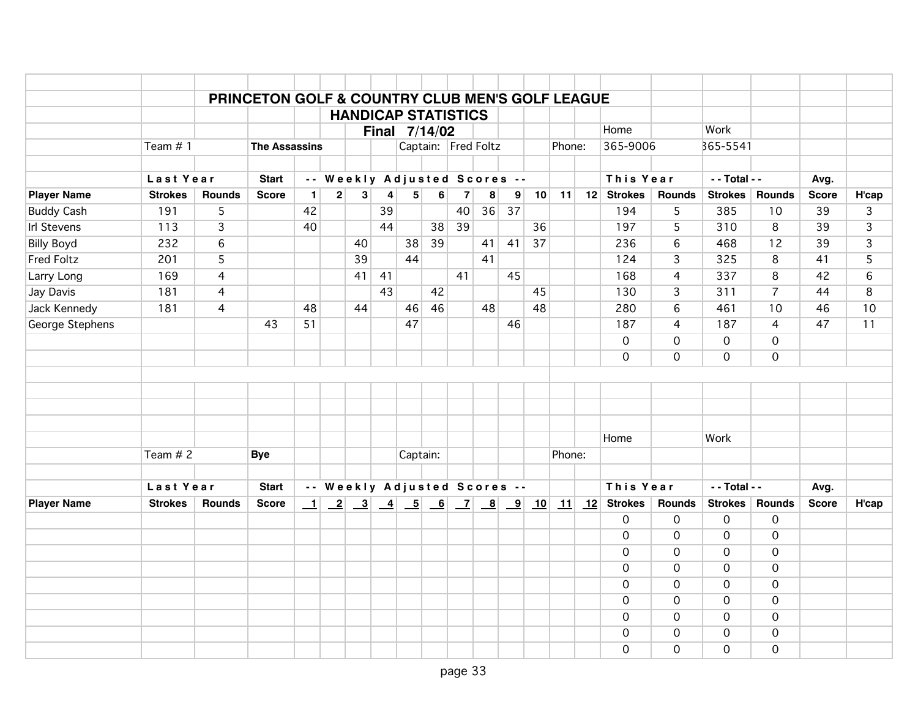|                    |                |                | PRINCETON GOLF & COUNTRY CLUB MEN'S GOLF LEAGUE |              |                         |                         |                              |          |                  | <b>HANDICAP STATISTICS</b>   |                                                             |                         |    |        |                                                  |                               |                     |                     |                      |       |
|--------------------|----------------|----------------|-------------------------------------------------|--------------|-------------------------|-------------------------|------------------------------|----------|------------------|------------------------------|-------------------------------------------------------------|-------------------------|----|--------|--------------------------------------------------|-------------------------------|---------------------|---------------------|----------------------|-------|
|                    |                |                |                                                 |              |                         |                         |                              |          |                  |                              |                                                             |                         |    |        | Home                                             |                               | Work                |                     |                      |       |
|                    | Team $# 1$     |                | <b>The Assassins</b>                            |              |                         |                         | Final 7/14/02                |          |                  | Captain: Fred Foltz          |                                                             |                         |    | Phone: | 365-9006                                         |                               | 365-5541            |                     |                      |       |
|                    |                |                |                                                 |              |                         |                         |                              |          |                  |                              |                                                             |                         |    |        |                                                  |                               |                     |                     |                      |       |
|                    | Last Year      |                | <b>Start</b>                                    |              |                         |                         |                              |          |                  | -- Weekly Adjusted Scores -- |                                                             |                         |    |        | This Year                                        |                               | - - Total - -       |                     | Avg.                 |       |
| <b>Player Name</b> | <b>Strokes</b> | <b>Rounds</b>  | <b>Score</b>                                    | $\mathbf{1}$ | $\overline{\mathbf{c}}$ | 3 <sup>1</sup>          | 4                            | 5        | $6 \overline{6}$ | $\overline{7}$               | 8                                                           | 9                       | 10 | 11     | 12 Strokes                                       | <b>Rounds</b>                 | Strokes             | <b>Rounds</b>       | <b>Score</b>         | H'cap |
| <b>Buddy Cash</b>  | 191            | 5              |                                                 | 42           |                         |                         | 39                           |          |                  | 40                           | 36                                                          | 37                      |    |        | 194                                              | 5                             | 385                 | 10                  | 39                   | 3     |
| <b>Irl Stevens</b> | 113            | 3              |                                                 | 40           |                         |                         | 44                           |          | 38               | 39                           |                                                             |                         | 36 |        | 197                                              | 5                             | 310                 | 8                   | 39                   | 3     |
| <b>Billy Boyd</b>  | 232            | $6\,$          |                                                 |              |                         | 40                      |                              | 38       | 39               |                              | 41                                                          | 41                      | 37 |        | 236                                              | $\sqrt{6}$                    | 468                 | 12                  | 39                   | 3     |
| <b>Fred Foltz</b>  | 201            | 5              |                                                 |              |                         | 39                      |                              | 44       |                  |                              | 41                                                          |                         |    |        | 124                                              | 3                             | 325                 | 8                   | 41                   | 5     |
| Larry Long         | 169            | $\overline{4}$ |                                                 |              |                         | 41                      | 41                           |          |                  | 41                           |                                                             | 45                      |    |        | 168                                              | $\overline{4}$                | 337                 | 8                   | 42                   | 6     |
| Jay Davis          | 181            | 4              |                                                 |              |                         |                         | 43                           |          | 42               |                              |                                                             |                         | 45 |        | 130                                              | $\overline{3}$                | 311                 | $\overline{7}$      | 44                   | 8     |
| Jack Kennedy       | 181            | $\overline{4}$ |                                                 | 48           |                         | 44                      |                              | 46       | 46               |                              | 48                                                          |                         | 48 |        | 280                                              | 6                             | 461                 | 10                  | 46                   | 10    |
| George Stephens    |                |                | 43                                              | 51           |                         |                         |                              | 47       |                  |                              |                                                             | 46                      |    |        | 187                                              | $\overline{4}$                | 187                 | 4                   | 47                   | 11    |
|                    |                |                |                                                 |              |                         |                         |                              |          |                  |                              |                                                             |                         |    |        | $\mathbf 0$                                      | $\mathsf{O}\xspace$           | $\mathbf 0$         | $\overline{0}$      |                      |       |
|                    |                |                |                                                 |              |                         |                         |                              |          |                  |                              |                                                             |                         |    |        | $\mathbf 0$                                      | $\mathbf 0$                   | $\mathbf 0$         | $\mathbf 0$         |                      |       |
|                    |                |                |                                                 |              |                         |                         |                              |          |                  |                              |                                                             |                         |    |        |                                                  |                               |                     |                     |                      |       |
|                    |                |                |                                                 |              |                         |                         |                              |          |                  |                              |                                                             |                         |    |        |                                                  |                               |                     |                     |                      |       |
|                    |                |                |                                                 |              |                         |                         |                              |          |                  |                              |                                                             |                         |    |        |                                                  |                               |                     |                     |                      |       |
|                    |                |                |                                                 |              |                         |                         |                              |          |                  |                              |                                                             |                         |    |        |                                                  |                               |                     |                     |                      |       |
|                    |                |                |                                                 |              |                         |                         |                              |          |                  |                              |                                                             |                         |    |        | Home                                             |                               | Work                |                     |                      |       |
|                    | Team $# 2$     |                | <b>Bye</b>                                      |              |                         |                         |                              | Captain: |                  |                              |                                                             |                         |    | Phone: |                                                  |                               |                     |                     |                      |       |
|                    | Last Year      |                |                                                 |              |                         |                         |                              |          |                  | -- Weekly Adjusted Scores -- |                                                             |                         |    |        | This Year                                        |                               | - - Total - -       |                     |                      |       |
|                    | <b>Strokes</b> | <b>Rounds</b>  | <b>Start</b>                                    |              |                         |                         |                              |          |                  |                              |                                                             |                         |    |        |                                                  | <b>Rounds</b>                 | Strokes             | <b>Rounds</b>       | Avg.<br><b>Score</b> |       |
| <b>Player Name</b> |                |                | <b>Score</b>                                    | $\mathbf{1}$ | $\overline{-2}$         | $\overline{\mathbf{3}}$ | $\left  \frac{4}{2} \right $ |          | $\boxed{5}$ 6    |                              | $\begin{array}{ c c c } \hline 7 & 8 \\ \hline \end{array}$ | $\overline{\mathbf{9}}$ | 10 |        | $\boxed{11}$ $\boxed{12}$ Strokes<br>$\mathbf 0$ | 0                             | $\mathbf 0$         | $\mathbf 0$         |                      | H'cap |
|                    |                |                |                                                 |              |                         |                         |                              |          |                  |                              |                                                             |                         |    |        | $\overline{O}$                                   | $\mathbf 0$                   | $\overline{O}$      | $\overline{O}$      |                      |       |
|                    |                |                |                                                 |              |                         |                         |                              |          |                  |                              |                                                             |                         |    |        | $\Omega$                                         | $\mathbf 0$                   | $\mathbf 0$         | $\mathbf 0$         |                      |       |
|                    |                |                |                                                 |              |                         |                         |                              |          |                  |                              |                                                             |                         |    |        | $\Omega$                                         | $\mathsf{O}\xspace$           | $\mathbf 0$         | $\mathbf 0$         |                      |       |
|                    |                |                |                                                 |              |                         |                         |                              |          |                  |                              |                                                             |                         |    |        | $\Omega$                                         | $\mathbf 0$                   | $\overline{O}$      | $\overline{O}$      |                      |       |
|                    |                |                |                                                 |              |                         |                         |                              |          |                  |                              |                                                             |                         |    |        | $\mathbf 0$                                      | $\mathbf 0$                   | $\mathbf 0$         | $\mathbf 0$         |                      |       |
|                    |                |                |                                                 |              |                         |                         |                              |          |                  |                              |                                                             |                         |    |        | $\Omega$                                         |                               |                     |                     |                      |       |
|                    |                |                |                                                 |              |                         |                         |                              |          |                  |                              |                                                             |                         |    |        | $\overline{O}$                                   | $\mathbf 0$<br>$\overline{0}$ | 0<br>$\overline{0}$ | 0<br>$\overline{0}$ |                      |       |
|                    |                |                |                                                 |              |                         |                         |                              |          |                  |                              |                                                             |                         |    |        | $\mathbf 0$                                      | 0                             | $\mathbf 0$         | $\mathbf 0$         |                      |       |
|                    |                |                |                                                 |              |                         |                         |                              |          |                  |                              |                                                             |                         |    |        |                                                  |                               |                     |                     |                      |       |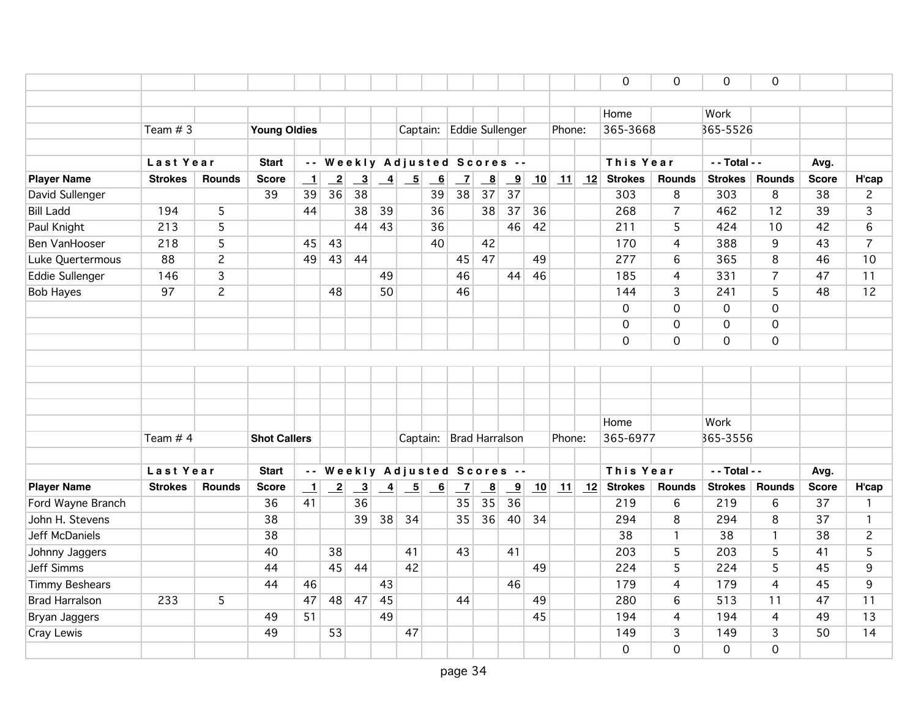|                       |                |                |                     |                          |                            |                         |                 |                                                             |      |                              |                           |                         |    |        |    | $\mathbf 0$    | $\mathbf 0$         | $\mathbf 0$    | $\overline{0}$ |              |                |
|-----------------------|----------------|----------------|---------------------|--------------------------|----------------------------|-------------------------|-----------------|-------------------------------------------------------------|------|------------------------------|---------------------------|-------------------------|----|--------|----|----------------|---------------------|----------------|----------------|--------------|----------------|
|                       |                |                |                     |                          |                            |                         |                 |                                                             |      |                              |                           |                         |    |        |    |                |                     |                |                |              |                |
|                       |                |                |                     |                          |                            |                         |                 |                                                             |      |                              |                           |                         |    |        |    | Home           |                     | Work           |                |              |                |
|                       | Team $#3$      |                | <b>Young Oldies</b> |                          |                            |                         |                 |                                                             |      | Captain: Eddie Sullenger     |                           |                         |    | Phone: |    | 365-3668       |                     | 365-5526       |                |              |                |
|                       |                |                |                     |                          |                            |                         |                 |                                                             |      |                              |                           |                         |    |        |    |                |                     |                |                |              |                |
|                       | Last Year      |                | <b>Start</b>        |                          |                            |                         |                 |                                                             |      | -- Weekly Adjusted Scores -- |                           |                         |    |        |    | This Year      |                     | - - Total - -  |                | Avg.         |                |
| <b>Player Name</b>    | <b>Strokes</b> | <b>Rounds</b>  | <b>Score</b>        | $\overline{\phantom{0}}$ | $\overline{\phantom{0}}^2$ | $\overline{\mathbf{3}}$ |                 | $\begin{array}{ c c c } \hline 4 & 5 \\ \hline \end{array}$ |      | $\overline{\phantom{0}}$     | $\underline{\phantom{a}}$ | $\overline{\mathbf{9}}$ | 10 | 11     | 12 | <b>Strokes</b> | Rounds              | <b>Strokes</b> | <b>Rounds</b>  | <b>Score</b> | H'cap          |
| David Sullenger       |                |                | 39                  | 39                       | 36                         | $\overline{38}$         |                 |                                                             | 39   | $\overline{38}$              | 37                        | 37                      |    |        |    | 303            | 8                   | 303            | 8              | 38           | $\overline{c}$ |
| <b>Bill Ladd</b>      | 194            | 5              |                     | 44                       |                            | 38                      | 39              |                                                             | 36   |                              | 38                        | 37                      | 36 |        |    | 268            | $\overline{7}$      | 462            | 12             | 39           | 3              |
| Paul Knight           | 213            | 5              |                     |                          |                            | 44                      | 43              |                                                             | 36   |                              |                           | 46                      | 42 |        |    | 211            | 5                   | 424            | 10             | 42           | 6              |
| Ben VanHooser         | 218            | 5              |                     | 45                       | 43                         |                         |                 |                                                             | 40   |                              | 42                        |                         |    |        |    | 170            | 4                   | 388            | 9              | 43           | $\overline{7}$ |
| Luke Quertermous      | 88             | $\overline{c}$ |                     | 49                       | 43                         | 44                      |                 |                                                             |      | 45                           | 47                        |                         | 49 |        |    | 277            | 6                   | 365            | $\overline{8}$ | 46           | 10             |
| Eddie Sullenger       | 146            | $\overline{3}$ |                     |                          |                            |                         | 49              |                                                             |      | 46                           |                           | 44                      | 46 |        |    | 185            | 4                   | 331            | $\overline{7}$ | 47           | 11             |
| <b>Bob Hayes</b>      | 97             | $\overline{c}$ |                     |                          | 48                         |                         | 50              |                                                             |      | 46                           |                           |                         |    |        |    | 144            | $\overline{3}$      | 241            | 5              | 48           | 12             |
|                       |                |                |                     |                          |                            |                         |                 |                                                             |      |                              |                           |                         |    |        |    | $\mathbf 0$    | $\mathbf 0$         | $\mathbf 0$    | $\mathbf 0$    |              |                |
|                       |                |                |                     |                          |                            |                         |                 |                                                             |      |                              |                           |                         |    |        |    | $\mathbf 0$    | $\mathsf{O}\xspace$ | $\mathbf 0$    | $\mathbf 0$    |              |                |
|                       |                |                |                     |                          |                            |                         |                 |                                                             |      |                              |                           |                         |    |        |    | $\overline{0}$ | $\overline{0}$      | $\overline{0}$ | $\overline{0}$ |              |                |
|                       |                |                |                     |                          |                            |                         |                 |                                                             |      |                              |                           |                         |    |        |    |                |                     |                |                |              |                |
|                       |                |                |                     |                          |                            |                         |                 |                                                             |      |                              |                           |                         |    |        |    |                |                     |                |                |              |                |
|                       |                |                |                     |                          |                            |                         |                 |                                                             |      |                              |                           |                         |    |        |    |                |                     |                |                |              |                |
|                       |                |                |                     |                          |                            |                         |                 |                                                             |      |                              |                           |                         |    |        |    |                |                     |                |                |              |                |
|                       |                |                |                     |                          |                            |                         |                 |                                                             |      |                              |                           |                         |    |        |    | Home           |                     | Work           |                |              |                |
|                       | Team # 4       |                | <b>Shot Callers</b> |                          |                            |                         |                 | Captain:                                                    |      | <b>Brad Harralson</b>        |                           |                         |    | Phone: |    | 365-6977       |                     | 365-3556       |                |              |                |
|                       |                |                |                     |                          |                            |                         |                 |                                                             |      |                              |                           |                         |    |        |    |                |                     |                |                |              |                |
|                       | Last Year      |                | <b>Start</b>        |                          |                            |                         |                 |                                                             |      | -- Weekly Adjusted Scores -- |                           |                         |    |        |    | This Year      |                     | - - Total - -  |                | Avg.         |                |
| <b>Player Name</b>    | <b>Strokes</b> | <b>Rounds</b>  | <b>Score</b>        | $\overline{\phantom{0}}$ | $\overline{-2}$            | $\overline{\mathbf{3}}$ | $\overline{-4}$ | $-5$                                                        | $-6$ | $\overline{z}$               | $\overline{\mathbf{8}}$   | $\overline{\mathbf{9}}$ | 10 | 11     |    | $12$ Strokes   | Rounds              | <b>Strokes</b> | <b>Rounds</b>  | <b>Score</b> | H'cap          |
| Ford Wayne Branch     |                |                | 36                  | 41                       |                            | 36                      |                 |                                                             |      | 35                           | 35                        | 36                      |    |        |    | 219            | 6                   | 219            | 6              | 37           | $\mathbf{1}$   |
| John H. Stevens       |                |                | 38                  |                          |                            | 39                      | 38              | 34                                                          |      | 35                           | 36                        | 40                      | 34 |        |    | 294            | 8                   | 294            | 8              | 37           | $\mathbf{1}$   |
| Jeff McDaniels        |                |                | 38                  |                          |                            |                         |                 |                                                             |      |                              |                           |                         |    |        |    | 38             | $\mathbf{1}$        | 38             | $\mathbf{1}$   | 38           | $\overline{c}$ |
| Johnny Jaggers        |                |                | 40                  |                          | 38                         |                         |                 | 41                                                          |      | 43                           |                           | 41                      |    |        |    | 203            | 5                   | 203            | 5              | 41           | 5              |
| <b>Jeff Simms</b>     |                |                | 44                  |                          | 45                         | 44                      |                 | 42                                                          |      |                              |                           |                         | 49 |        |    | 224            | $\overline{5}$      | 224            | 5              | 45           | $\overline{9}$ |
| <b>Timmy Beshears</b> |                |                | 44                  | 46                       |                            |                         | 43              |                                                             |      |                              |                           | 46                      |    |        |    | 179            | 4                   | 179            | $\overline{4}$ | 45           | 9              |
| <b>Brad Harralson</b> | 233            | 5              |                     | 47                       | 48                         | 47                      | 45              |                                                             |      | 44                           |                           |                         | 49 |        |    | 280            | 6                   | 513            | 11             | 47           | 11             |
| Bryan Jaggers         |                |                | 49                  | 51                       |                            |                         | 49              |                                                             |      |                              |                           |                         | 45 |        |    | 194            | $\overline{4}$      | 194            | $\overline{4}$ | 49           | 13             |
| Cray Lewis            |                |                | 49                  |                          | 53                         |                         |                 | 47                                                          |      |                              |                           |                         |    |        |    | 149            | $\overline{3}$      | 149            | 3              | 50           | 14             |
|                       |                |                |                     |                          |                            |                         |                 |                                                             |      |                              |                           |                         |    |        |    | $\mathbf 0$    | 0                   | 0              | $\Omega$       |              |                |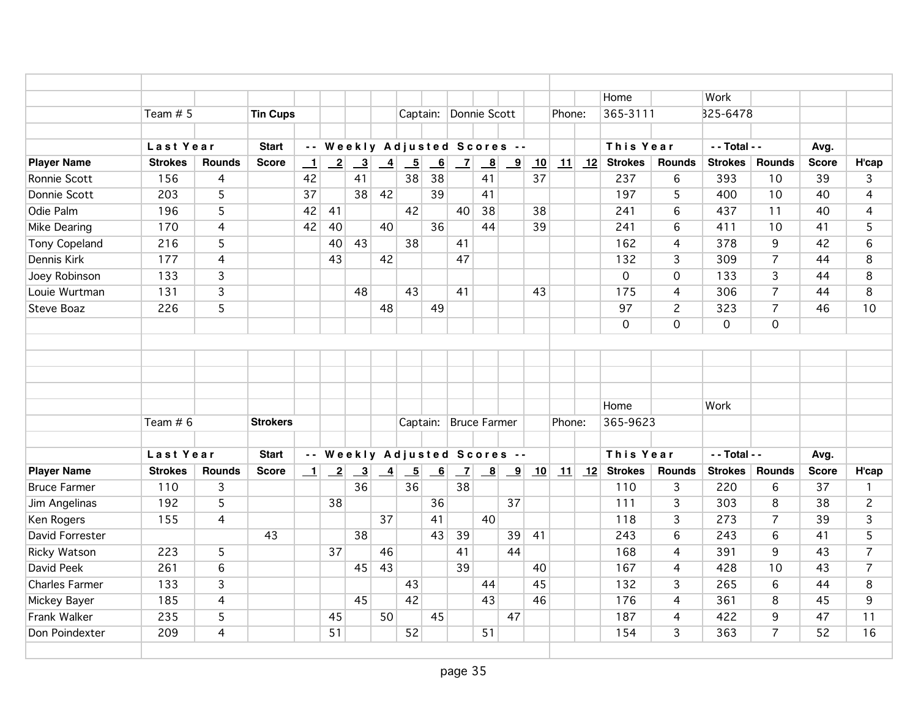|                      |                |                |                 |         |                            |                              |                 |                          |                |                       |                         |            |    |        |    | Home                              |                | Work           |                |              |                 |
|----------------------|----------------|----------------|-----------------|---------|----------------------------|------------------------------|-----------------|--------------------------|----------------|-----------------------|-------------------------|------------|----|--------|----|-----------------------------------|----------------|----------------|----------------|--------------|-----------------|
|                      | Team # 5       |                | <b>Tin Cups</b> |         |                            |                              |                 |                          |                | Captain: Donnie Scott |                         |            |    | Phone: |    | 365-3111                          |                | B25-6478       |                |              |                 |
|                      |                |                |                 |         |                            |                              |                 |                          |                |                       |                         |            |    |        |    |                                   |                |                |                |              |                 |
|                      | Last Year      |                | <b>Start</b>    |         |                            | -- Weekly Adjusted Scores -- |                 |                          |                |                       |                         |            |    |        |    | This Year                         |                | - - Total - -  |                | Avg.         |                 |
| <b>Player Name</b>   | <b>Strokes</b> | <b>Rounds</b>  | <b>Score</b>    | $\perp$ | $\overline{\phantom{0}}^2$ | $\overline{\mathbf{3}}$      | $\overline{4}$  | $\overline{\phantom{0}}$ | $\overline{6}$ | $\overline{z}$        | $\overline{\mathbf{8}}$ | <u>__9</u> | 10 | 11     | 12 | <b>Strokes</b>                    | <b>Rounds</b>  | <b>Strokes</b> | <b>Rounds</b>  | <b>Score</b> | H'cap           |
| Ronnie Scott         | 156            | $\overline{4}$ |                 | 42      |                            | 41                           |                 | 38                       | 38             |                       | 41                      |            | 37 |        |    | 237                               | 6              | 393            | 10             | 39           | 3               |
| Donnie Scott         | 203            | $\overline{5}$ |                 | 37      |                            | 38                           | 42              |                          | 39             |                       | 41                      |            |    |        |    | 197                               | 5              | 400            | 10             | 40           | $\overline{4}$  |
| Odie Palm            | 196            | 5              |                 | 42      | 41                         |                              |                 | 42                       |                | 40                    | 38                      |            | 38 |        |    | 241                               | 6              | 437            | 11             | 40           | $\overline{4}$  |
| Mike Dearing         | 170            | $\overline{4}$ |                 | 42      | 40                         |                              | 40              |                          | 36             |                       | 44                      |            | 39 |        |    | 241                               | 6              | 411            | 10             | 41           | 5               |
| <b>Tony Copeland</b> | 216            | 5              |                 |         | 40                         | 43                           |                 | 38                       |                | 41                    |                         |            |    |        |    | 162                               | $\overline{4}$ | 378            | 9              | 42           | $6\overline{6}$ |
| Dennis Kirk          | 177            | 4              |                 |         | 43                         |                              | 42              |                          |                | 47                    |                         |            |    |        |    | 132                               | 3              | 309            | $\overline{7}$ | 44           | 8               |
| Joey Robinson        | 133            | 3              |                 |         |                            |                              |                 |                          |                |                       |                         |            |    |        |    | $\mathbf 0$                       | $\mathsf{O}$   | 133            | 3              | 44           | 8               |
| Louie Wurtman        | 131            | $\overline{3}$ |                 |         |                            | 48                           |                 | 43                       |                | 41                    |                         |            | 43 |        |    | 175                               | 4              | 306            | $\overline{7}$ | 44           | 8               |
| <b>Steve Boaz</b>    | 226            | 5              |                 |         |                            |                              | 48              |                          | 49             |                       |                         |            |    |        |    | 97                                | $\overline{c}$ | 323            | $\overline{7}$ | 46           | 10              |
|                      |                |                |                 |         |                            |                              |                 |                          |                |                       |                         |            |    |        |    | $\mathbf 0$                       | $\overline{O}$ | $\mathsf{O}$   | $\mathbf 0$    |              |                 |
|                      |                |                |                 |         |                            |                              |                 |                          |                |                       |                         |            |    |        |    |                                   |                |                |                |              |                 |
|                      |                |                |                 |         |                            |                              |                 |                          |                |                       |                         |            |    |        |    |                                   |                |                |                |              |                 |
|                      |                |                |                 |         |                            |                              |                 |                          |                |                       |                         |            |    |        |    |                                   |                |                |                |              |                 |
|                      |                |                |                 |         |                            |                              |                 |                          |                |                       |                         |            |    |        |    |                                   |                |                |                |              |                 |
|                      |                |                |                 |         |                            |                              |                 |                          |                |                       |                         |            |    |        |    | Home                              |                | Work           |                |              |                 |
|                      | Team $# 6$     |                | <b>Strokers</b> |         |                            |                              |                 | Captain:                 |                | Bruce Farmer          |                         |            |    | Phone: |    | 365-9623                          |                |                |                |              |                 |
|                      |                |                |                 |         |                            |                              |                 |                          |                |                       |                         |            |    |        |    |                                   |                |                |                |              |                 |
|                      | Last Year      |                | <b>Start</b>    |         |                            | -- Weekly Adjusted Scores -- |                 |                          |                |                       |                         |            |    |        |    | This Year                         |                | - - Total - -  |                | Avg.         |                 |
| <b>Player Name</b>   | <b>Strokes</b> | <b>Rounds</b>  | <b>Score</b>    | $\perp$ | $\overline{\phantom{0}}^2$ | $\frac{3}{2}$                | $\overline{-4}$ | $-5$                     | 6              | $\overline{7}$        |                         |            |    |        |    | $\boxed{11}$ $\boxed{12}$ Strokes | <b>Rounds</b>  | Strokes        | Rounds         | <b>Score</b> | H'cap           |
| <b>Bruce Farmer</b>  | 110            | 3              |                 |         |                            | 36                           |                 | 36                       |                | 38                    |                         |            |    |        |    | 110                               | 3              | 220            | 6              | 37           | $\mathbf{1}$    |
| Jim Angelinas        | 192            | 5              |                 |         | 38                         |                              |                 |                          | 36             |                       |                         | 37         |    |        |    | 111                               | 3              | 303            | 8              | 38           | $\overline{c}$  |
| Ken Rogers           | 155            | $\overline{4}$ |                 |         |                            |                              | 37              |                          | 41             |                       | 40                      |            |    |        |    | 118                               | 3              | 273            | $\overline{7}$ | 39           | 3               |
| David Forrester      |                |                | 43              |         |                            | 38                           |                 |                          | 43             | 39                    |                         | 39         | 41 |        |    | 243                               | 6              | 243            | 6              | 41           | 5               |
| <b>Ricky Watson</b>  | 223            | 5              |                 |         | 37                         |                              | 46              |                          |                | 41                    |                         | 44         |    |        |    | 168                               | 4              | 391            | 9              | 43           | $\overline{7}$  |
| <b>David Peek</b>    | 261            | 6              |                 |         |                            | 45                           | 43              |                          |                | 39                    |                         |            | 40 |        |    | 167                               | 4              | 428            | 10             | 43           | $\overline{7}$  |
| Charles Farmer       | 133            | 3              |                 |         |                            |                              |                 | 43                       |                |                       | 44                      |            | 45 |        |    | 132                               | 3              | 265            | 6              | 44           | 8               |
| Mickey Bayer         | 185            | $\overline{4}$ |                 |         |                            | 45                           |                 | 42                       |                |                       | 43                      |            | 46 |        |    | 176                               | 4              | 361            | 8              | 45           | 9               |
| Frank Walker         | 235            | $\overline{5}$ |                 |         | 45                         |                              | 50              |                          | 45             |                       |                         | 47         |    |        |    | 187                               | $\overline{4}$ | 422            | 9              | 47           | 11              |
| Don Poindexter       | 209            | 4              |                 |         | 51                         |                              |                 | 52                       |                |                       | 51                      |            |    |        |    | 154                               | $\overline{3}$ | 363            | $\overline{7}$ | 52           | 16              |
|                      |                |                |                 |         |                            |                              |                 |                          |                |                       |                         |            |    |        |    |                                   |                |                |                |              |                 |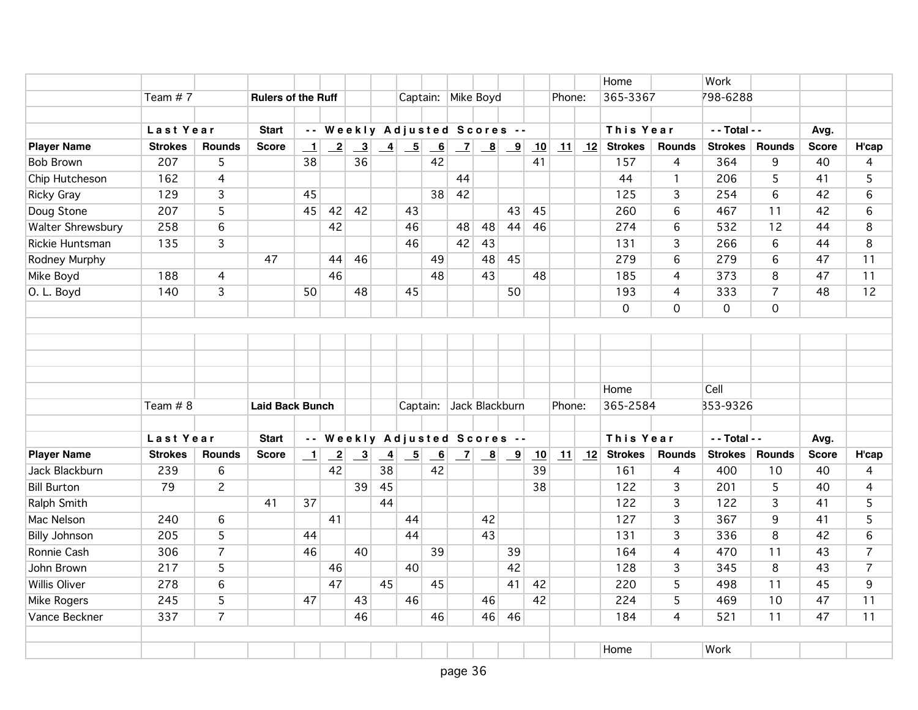|                          |                |                |                           |                          |                 |                              |                |                                                           |                           |                    |                                                             |                         |    |        |    | Home           |                 | Work           |                 |              |                |
|--------------------------|----------------|----------------|---------------------------|--------------------------|-----------------|------------------------------|----------------|-----------------------------------------------------------|---------------------------|--------------------|-------------------------------------------------------------|-------------------------|----|--------|----|----------------|-----------------|----------------|-----------------|--------------|----------------|
|                          | Team #7        |                | <b>Rulers of the Ruff</b> |                          |                 |                              |                |                                                           |                           | Captain: Mike Boyd |                                                             |                         |    | Phone: |    | 365-3367       |                 | 798-6288       |                 |              |                |
|                          |                |                |                           |                          |                 |                              |                |                                                           |                           |                    |                                                             |                         |    |        |    |                |                 |                |                 |              |                |
|                          | Last Year      |                | <b>Start</b>              |                          |                 | -- Weekly Adjusted Scores -- |                |                                                           |                           |                    |                                                             |                         |    |        |    | This Year      |                 | - - Total - -  |                 | Avg.         |                |
| <b>Player Name</b>       | <b>Strokes</b> | <b>Rounds</b>  | <b>Score</b>              | $\mathbf{1}$             | $\overline{-2}$ | $\overline{\mathbf{3}}$      |                | $\begin{array}{ c c } \hline 4 & 5 \\ \hline \end{array}$ | $\underline{\phantom{a}}$ | $\mathbf{Z}$       | $\mathbf{B}$                                                | $\overline{\mathbf{9}}$ | 10 | 11     | 12 | <b>Strokes</b> | Rounds          | <b>Strokes</b> | <b>Rounds</b>   | <b>Score</b> | H'cap          |
| <b>Bob Brown</b>         | 207            | 5              |                           | 38                       |                 | 36                           |                |                                                           | 42                        |                    |                                                             |                         | 41 |        |    | 157            | 4               | 364            | 9               | 40           | 4              |
| Chip Hutcheson           | 162            | $\overline{4}$ |                           |                          |                 |                              |                |                                                           |                           | 44                 |                                                             |                         |    |        |    | 44             | $\mathbf{1}$    | 206            | 5               | 41           | 5              |
| <b>Ricky Gray</b>        | 129            | $\overline{3}$ |                           | 45                       |                 |                              |                |                                                           | 38                        | 42                 |                                                             |                         |    |        |    | 125            | $\overline{3}$  | 254            | $6\overline{6}$ | 42           | 6              |
| Doug Stone               | 207            | 5              |                           | 45                       | 42              | 42                           |                | 43                                                        |                           |                    |                                                             | 43                      | 45 |        |    | 260            | 6               | 467            | 11              | 42           | 6              |
| <b>Walter Shrewsbury</b> | 258            | 6              |                           |                          | 42              |                              |                | 46                                                        |                           | 48                 | 48                                                          | 44                      | 46 |        |    | 274            | 6               | 532            | 12              | 44           | 8              |
| Rickie Huntsman          | 135            | $\overline{3}$ |                           |                          |                 |                              |                | 46                                                        |                           | 42                 | 43                                                          |                         |    |        |    | 131            | $\overline{3}$  | 266            | $6\phantom{a}$  | 44           | 8              |
| Rodney Murphy            |                |                | 47                        |                          | 44              | 46                           |                |                                                           | 49                        |                    | 48                                                          | 45                      |    |        |    | 279            | $6\overline{6}$ | 279            | 6               | 47           | 11             |
| Mike Boyd                | 188            | $\overline{4}$ |                           |                          | 46              |                              |                |                                                           | 48                        |                    | 43                                                          |                         | 48 |        |    | 185            | 4               | 373            | 8               | 47           | 11             |
| O. L. Boyd               | 140            | $\overline{3}$ |                           | 50                       |                 | 48                           |                | 45                                                        |                           |                    |                                                             | 50                      |    |        |    | 193            | $\overline{4}$  | 333            | $\overline{7}$  | 48           | 12             |
|                          |                |                |                           |                          |                 |                              |                |                                                           |                           |                    |                                                             |                         |    |        |    | $\mathbf 0$    | $\mathsf{O}$    | $\mathbf 0$    | $\mathbf{O}$    |              |                |
|                          |                |                |                           |                          |                 |                              |                |                                                           |                           |                    |                                                             |                         |    |        |    |                |                 |                |                 |              |                |
|                          |                |                |                           |                          |                 |                              |                |                                                           |                           |                    |                                                             |                         |    |        |    |                |                 |                |                 |              |                |
|                          |                |                |                           |                          |                 |                              |                |                                                           |                           |                    |                                                             |                         |    |        |    |                |                 |                |                 |              |                |
|                          |                |                |                           |                          |                 |                              |                |                                                           |                           |                    |                                                             |                         |    |        |    |                |                 |                |                 |              |                |
|                          |                |                |                           |                          |                 |                              |                |                                                           |                           |                    |                                                             |                         |    |        |    | Home           |                 | Cell           |                 |              |                |
|                          | Team # 8       |                | <b>Laid Back Bunch</b>    |                          |                 |                              |                | Captain:                                                  |                           | Jack Blackburn     |                                                             |                         |    | Phone: |    | 365-2584       |                 | 353-9326       |                 |              |                |
|                          |                |                |                           |                          |                 |                              |                |                                                           |                           |                    |                                                             |                         |    |        |    |                |                 |                |                 |              |                |
|                          | Last Year      |                | <b>Start</b>              |                          |                 | -- Weekly Adjusted Scores -- |                |                                                           |                           |                    |                                                             |                         |    |        |    | This Year      |                 | - - Total - -  |                 | Avg.         |                |
| <b>Player Name</b>       | <b>Strokes</b> | <b>Rounds</b>  | <b>Score</b>              | $\overline{\phantom{0}}$ | $\overline{2}$  | $\overline{\mathbf{3}}$      | $\overline{4}$ | $\overline{\phantom{0}}$                                  | $\overline{6}$            |                    | $\begin{array}{ c c c } \hline 7 & 8 \\ \hline \end{array}$ | $\overline{\mathbf{9}}$ | 10 | 11     | 12 | <b>Strokes</b> | <b>Rounds</b>   | <b>Strokes</b> | <b>Rounds</b>   | <b>Score</b> | H'cap          |
| Jack Blackburn           | 239            | 6              |                           |                          | 42              |                              | 38             |                                                           | 42                        |                    |                                                             |                         | 39 |        |    | 161            | $\overline{4}$  | 400            | 10              | 40           | $\overline{4}$ |
| <b>Bill Burton</b>       | 79             | $\overline{2}$ |                           |                          |                 | 39                           | 45             |                                                           |                           |                    |                                                             |                         | 38 |        |    | 122            | 3               | 201            | 5               | 40           | 4              |
| Ralph Smith              |                |                | 41                        | 37                       |                 |                              | 44             |                                                           |                           |                    |                                                             |                         |    |        |    | 122            | 3               | 122            | 3               | 41           | 5              |
| Mac Nelson               | 240            | 6              |                           |                          | 41              |                              |                | 44                                                        |                           |                    | 42                                                          |                         |    |        |    | 127            | 3               | 367            | 9               | 41           | 5              |
| <b>Billy Johnson</b>     | 205            | $\overline{5}$ |                           | 44                       |                 |                              |                | 44                                                        |                           |                    | 43                                                          |                         |    |        |    | 131            | $\overline{3}$  | 336            | 8               | 42           | $6\phantom{a}$ |
| Ronnie Cash              | 306            | $\overline{7}$ |                           | 46                       |                 | 40                           |                |                                                           | 39                        |                    |                                                             | 39                      |    |        |    | 164            | 4               | 470            | 11              | 43           | $\overline{7}$ |
| John Brown               | 217            | $\overline{5}$ |                           |                          | 46              |                              |                | 40                                                        |                           |                    |                                                             | 42                      |    |        |    | 128            | 3               | 345            | 8               | 43           | $\overline{7}$ |
| <b>Willis Oliver</b>     | 278            | 6              |                           |                          | 47              |                              | 45             |                                                           | 45                        |                    |                                                             | 41                      | 42 |        |    | 220            | 5               | 498            | 11              | 45           | 9              |
| Mike Rogers              | 245            | 5              |                           | 47                       |                 | 43                           |                | 46                                                        |                           |                    | 46                                                          |                         | 42 |        |    | 224            | 5               | 469            | 10              | 47           | 11             |
| Vance Beckner            | 337            | $\overline{7}$ |                           |                          |                 | 46                           |                |                                                           | 46                        |                    | 46                                                          | 46                      |    |        |    | 184            | $\overline{4}$  | 521            | 11              | 47           | 11             |
|                          |                |                |                           |                          |                 |                              |                |                                                           |                           |                    |                                                             |                         |    |        |    |                |                 |                |                 |              |                |
|                          |                |                |                           |                          |                 |                              |                |                                                           |                           |                    |                                                             |                         |    |        |    | Home           |                 | Work           |                 |              |                |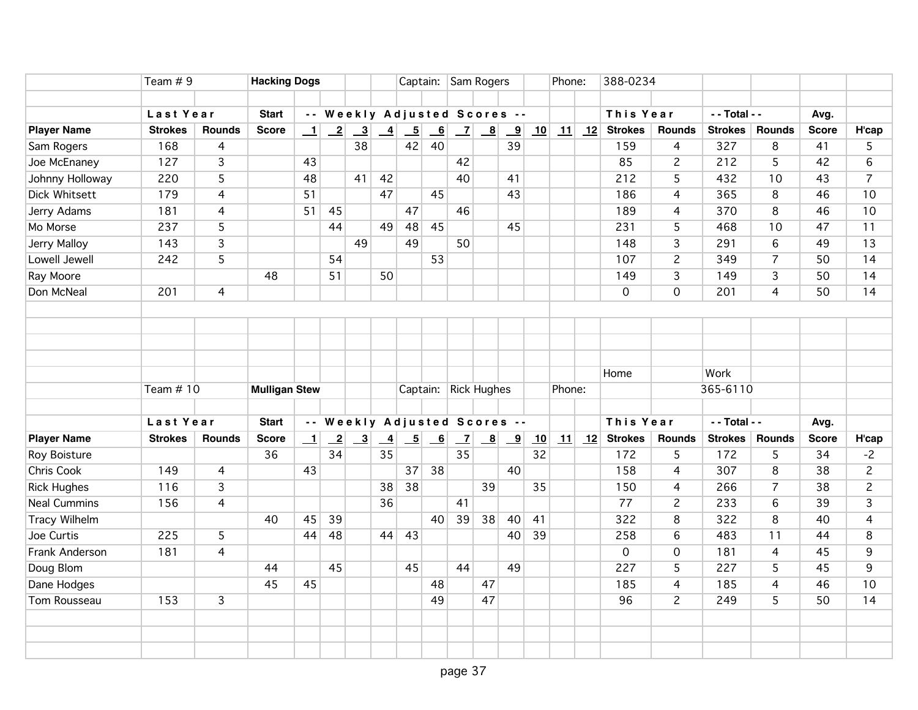|                      |                | Team $# 9$<br>Last Year |              | <b>Hacking Dogs</b>  |                 |                         |                 |                           |                 | Captain: Sam Rogers          |                                                             |                         |    | Phone: |         | 388-0234       |                     |                |                |              |                |
|----------------------|----------------|-------------------------|--------------|----------------------|-----------------|-------------------------|-----------------|---------------------------|-----------------|------------------------------|-------------------------------------------------------------|-------------------------|----|--------|---------|----------------|---------------------|----------------|----------------|--------------|----------------|
|                      |                |                         |              |                      |                 |                         |                 |                           |                 |                              | -- Weekly Adjusted Scores --                                |                         |    |        |         |                |                     | - - Total - -  |                |              |                |
|                      |                |                         | <b>Start</b> |                      |                 |                         |                 |                           |                 |                              |                                                             |                         |    |        |         | This Year      |                     |                |                | Avg.         |                |
| <b>Player Name</b>   | <b>Strokes</b> | <b>Rounds</b>           | <b>Score</b> | $\perp$              | $\overline{-2}$ | $\overline{\mathbf{3}}$ | $\overline{-4}$ | $-5$                      | 6               |                              | $\begin{array}{ c c c } \hline 7 & 8 \\ \hline \end{array}$ | $\overline{\mathbf{9}}$ | 10 |        | $11$ 12 | <b>Strokes</b> | <b>Rounds</b>       | Strokes        | <b>Rounds</b>  | <b>Score</b> | H'cap          |
| Sam Rogers           | 168            | 4                       |              |                      |                 | 38                      |                 | 42                        | 40              |                              |                                                             | 39                      |    |        |         | 159            | 4                   | 327            | 8              | 41           | 5              |
| Joe McEnaney         | 127            | 3                       |              | 43                   |                 |                         |                 |                           |                 | 42                           |                                                             |                         |    |        |         | 85             | $\overline{c}$      | 212            | 5              | 42           | 6              |
| Johnny Holloway      | 220            | $\overline{5}$          |              | 48                   |                 | 41                      | 42              |                           |                 | 40                           |                                                             | 41                      |    |        |         | 212            | 5                   | 432            | 10             | 43           | $\overline{7}$ |
| <b>Dick Whitsett</b> | 179            | $\overline{4}$          |              | 51                   |                 |                         | 47              |                           | 45              |                              |                                                             | 43                      |    |        |         | 186            | 4                   | 365            | 8              | 46           | 10             |
| Jerry Adams          | 181            | 4                       |              | 51                   | 45              |                         |                 | 47                        |                 | 46                           |                                                             |                         |    |        |         | 189            | 4                   | 370            | 8              | 46           | 10             |
| Mo Morse             | 237            | 5                       |              |                      | 44              |                         | 49              | 48                        | 45              |                              |                                                             | 45                      |    |        |         | 231            | 5                   | 468            | 10             | 47           | 11             |
| Jerry Malloy         | 143            | 3                       |              |                      |                 | 49                      |                 | 49                        |                 | 50                           |                                                             |                         |    |        |         | 148            | 3                   | 291            | 6              | 49           | 13             |
| Lowell Jewell        | 242            | 5                       |              |                      | 54              |                         |                 |                           | 53              |                              |                                                             |                         |    |        |         | 107            | $\overline{c}$      | 349            | $\overline{7}$ | 50           | 14             |
| Ray Moore            |                |                         | 48           |                      | 51              |                         | 50              |                           |                 |                              |                                                             |                         |    |        |         | 149            | 3                   | 149            | 3              | 50           | 14             |
| Don McNeal           | 201            | $\overline{4}$          |              |                      |                 |                         |                 |                           |                 |                              |                                                             |                         |    |        |         | $\mathbf 0$    | $\overline{O}$      | 201            | $\overline{4}$ | 50           | 14             |
|                      |                |                         |              |                      |                 |                         |                 |                           |                 |                              |                                                             |                         |    |        |         |                |                     |                |                |              |                |
|                      |                |                         |              |                      |                 |                         |                 |                           |                 |                              |                                                             |                         |    |        |         |                |                     |                |                |              |                |
|                      |                |                         |              |                      |                 |                         |                 |                           |                 |                              |                                                             |                         |    |        |         |                |                     |                |                |              |                |
|                      |                |                         |              |                      |                 |                         |                 |                           |                 |                              |                                                             |                         |    |        |         | Home           |                     | Work           |                |              |                |
|                      |                | Team # 10               |              | <b>Mulligan Stew</b> |                 |                         |                 |                           |                 | Captain: Rick Hughes         |                                                             |                         |    |        | Phone:  |                |                     | 365-6110       |                |              |                |
|                      |                | Last Year               |              |                      |                 |                         |                 |                           |                 | -- Weekly Adjusted Scores -- |                                                             |                         |    |        |         | This Year      | - - Total - -       |                |                | Avg.         |                |
| <b>Player Name</b>   | <b>Strokes</b> | <b>Rounds</b>           | <b>Score</b> | $\perp$              | $\overline{-2}$ | $\overline{\mathbf{3}}$ | $\frac{4}{1}$   | $\overline{\phantom{0}5}$ | $\overline{-6}$ | $\overline{z}$               | $\mathbf{B}$                                                | $\overline{\mathbf{9}}$ | 10 | 11     | 12      | <b>Strokes</b> | <b>Rounds</b>       | <b>Strokes</b> | Rounds         | <b>Score</b> | H'cap          |
| Roy Boisture         |                |                         | 36           |                      | 34              |                         | 35              |                           |                 | $\overline{35}$              |                                                             |                         | 32 |        |         | 172            | 5                   | 172            | 5              | 34           | $-2$           |
| <b>Chris Cook</b>    | 149            | $\overline{4}$          |              | 43                   |                 |                         |                 | 37                        | 38              |                              |                                                             | 40                      |    |        |         | 158            | 4                   | 307            | 8              | 38           | $\overline{2}$ |
| <b>Rick Hughes</b>   | 116            | 3                       |              |                      |                 |                         | 38              | 38                        |                 |                              | 39                                                          |                         | 35 |        |         | 150            | 4                   | 266            | $\overline{7}$ | 38           | $\overline{c}$ |
| <b>Neal Cummins</b>  | 156            | 4                       |              |                      |                 |                         | 36              |                           |                 | 41                           |                                                             |                         |    |        |         | 77             | $\overline{c}$      | 233            | 6              | 39           | 3              |
| Tracy Wilhelm        |                |                         | 40           | 45                   | 39              |                         |                 |                           | 40 <sup>1</sup> | 39                           | 38                                                          | 40                      | 41 |        |         | 322            | 8                   | 322            | 8              | 40           | 4              |
| Joe Curtis           | 225            | 5                       |              | 44                   | 48              |                         | 44              | 43                        |                 |                              |                                                             | 40                      | 39 |        |         | 258            | $6\overline{6}$     | 483            | 11             | 44           | 8              |
| Frank Anderson       | 181            | $\overline{4}$          |              |                      |                 |                         |                 |                           |                 |                              |                                                             |                         |    |        |         | $\Omega$       | $\mathsf{O}\xspace$ | 181            | $\overline{4}$ | 45           | 9              |
| Doug Blom            |                |                         | 44           |                      | 45              |                         |                 | 45                        |                 | 44                           |                                                             | 49                      |    |        |         | 227            | 5                   | 227            | 5              | 45           | 9              |
| Dane Hodges          |                |                         | 45           | 45                   |                 |                         |                 |                           | 48              |                              | 47                                                          |                         |    |        |         | 185            | $\overline{4}$      | 185            | 4              | 46           | 10             |
| Tom Rousseau         | 153            | $\overline{3}$          |              |                      |                 |                         |                 |                           | 49              |                              | 47                                                          |                         |    |        |         | 96             | $\overline{2}$      | 249            | 5              | 50           | 14             |
|                      |                |                         |              |                      |                 |                         |                 |                           |                 |                              |                                                             |                         |    |        |         |                |                     |                |                |              |                |
|                      |                |                         |              |                      |                 |                         |                 |                           |                 |                              |                                                             |                         |    |        |         |                |                     |                |                |              |                |
|                      |                |                         |              |                      |                 |                         |                 |                           |                 |                              |                                                             |                         |    |        |         |                |                     |                |                |              |                |